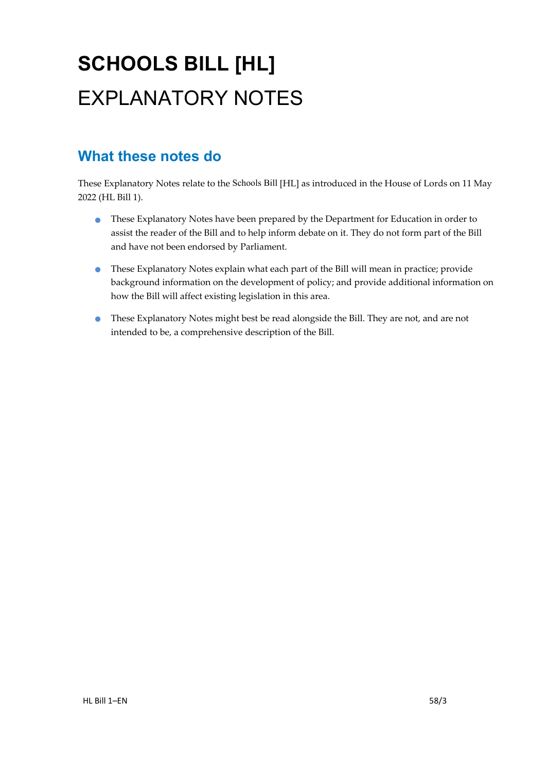# **SCHOOLS BILL [HL]** EXPLANATORY NOTES

## **What these notes do**

- These Explanatory Notes have been prepared by the Department for Education in order to assist the reader of the Bill and to help inform debate on it. They do not form part of the Bill and have not been endorsed by Parliament.
- These Explanatory Notes explain what each part of the Bill will mean in practice; provide background information on the development of policy; and provide additional information on how the Bill will affect existing legislation in this area.
- These Explanatory Notes might best be read alongside the Bill. They are not, and are not intended to be, a comprehensive description of the Bill.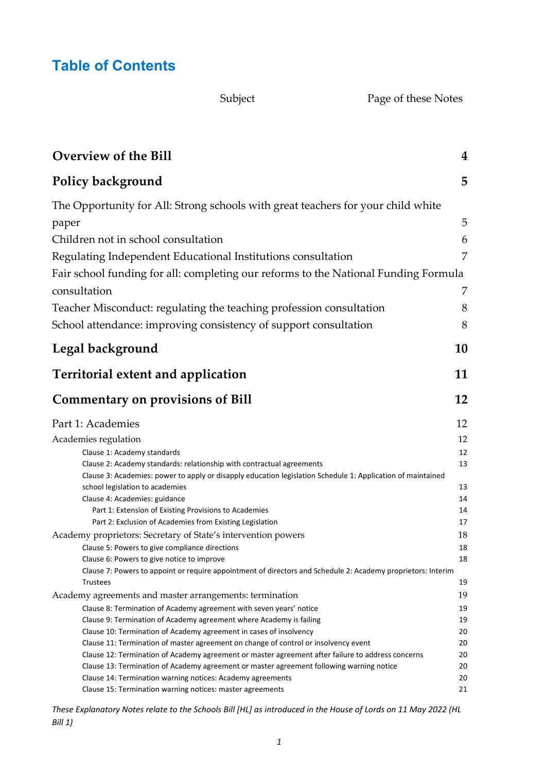### **Table of Contents**

Subject Page of these Notes

| <b>Overview of the Bill</b>                                                                                                                                | 4  |
|------------------------------------------------------------------------------------------------------------------------------------------------------------|----|
| Policy background                                                                                                                                          | 5  |
| The Opportunity for All: Strong schools with great teachers for your child white                                                                           |    |
| paper                                                                                                                                                      | 5  |
| Children not in school consultation                                                                                                                        | 6  |
|                                                                                                                                                            |    |
| Regulating Independent Educational Institutions consultation                                                                                               | 7  |
| Fair school funding for all: completing our reforms to the National Funding Formula                                                                        |    |
| consultation                                                                                                                                               | 7  |
| Teacher Misconduct: regulating the teaching profession consultation                                                                                        | 8  |
|                                                                                                                                                            |    |
| School attendance: improving consistency of support consultation                                                                                           | 8  |
| Legal background                                                                                                                                           | 10 |
|                                                                                                                                                            |    |
| <b>Territorial extent and application</b>                                                                                                                  | 11 |
| <b>Commentary on provisions of Bill</b>                                                                                                                    | 12 |
| Part 1: Academies                                                                                                                                          | 12 |
| Academies regulation                                                                                                                                       | 12 |
| Clause 1: Academy standards                                                                                                                                | 12 |
| Clause 2: Academy standards: relationship with contractual agreements                                                                                      | 13 |
| Clause 3: Academies: power to apply or disapply education legislation Schedule 1: Application of maintained                                                |    |
| school legislation to academies                                                                                                                            | 13 |
| Clause 4: Academies: guidance                                                                                                                              | 14 |
| Part 1: Extension of Existing Provisions to Academies                                                                                                      | 14 |
| Part 2: Exclusion of Academies from Existing Legislation                                                                                                   | 17 |
| Academy proprietors: Secretary of State's intervention powers                                                                                              | 18 |
| Clause 5: Powers to give compliance directions                                                                                                             | 18 |
| Clause 6: Powers to give notice to improve<br>Clause 7: Powers to appoint or require appointment of directors and Schedule 2: Academy proprietors: Interim | 18 |
| Trustees                                                                                                                                                   | 19 |
| Academy agreements and master arrangements: termination                                                                                                    | 19 |
| Clause 8: Termination of Academy agreement with seven years' notice                                                                                        | 19 |
| Clause 9: Termination of Academy agreement where Academy is failing                                                                                        | 19 |
| Clause 10: Termination of Academy agreement in cases of insolvency                                                                                         | 20 |
| Clause 11: Termination of master agreement on change of control or insolvency event                                                                        | 20 |
| Clause 12: Termination of Academy agreement or master agreement after failure to address concerns                                                          | 20 |
| Clause 13: Termination of Academy agreement or master agreement following warning notice                                                                   | 20 |
| Clause 14: Termination warning notices: Academy agreements                                                                                                 | 20 |
| Clause 15: Termination warning notices: master agreements                                                                                                  | 21 |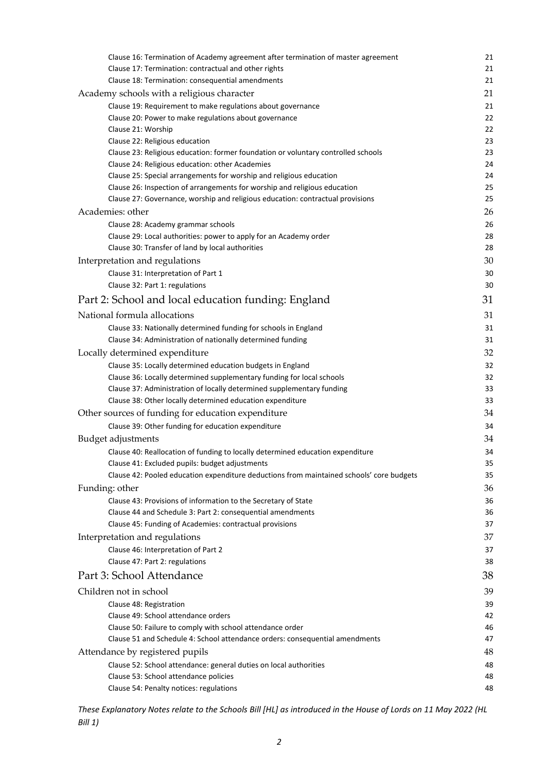| Clause 16: Termination of Academy agreement after termination of master agreement                                                                           | 21       |
|-------------------------------------------------------------------------------------------------------------------------------------------------------------|----------|
| Clause 17: Termination: contractual and other rights                                                                                                        | 21       |
| Clause 18: Termination: consequential amendments                                                                                                            | 21       |
| Academy schools with a religious character                                                                                                                  | 21       |
| Clause 19: Requirement to make regulations about governance                                                                                                 | 21       |
| Clause 20: Power to make regulations about governance                                                                                                       | 22       |
| Clause 21: Worship                                                                                                                                          | 22       |
| Clause 22: Religious education                                                                                                                              | 23       |
| Clause 23: Religious education: former foundation or voluntary controlled schools                                                                           | 23       |
| Clause 24: Religious education: other Academies                                                                                                             | 24       |
| Clause 25: Special arrangements for worship and religious education                                                                                         | 24       |
| Clause 26: Inspection of arrangements for worship and religious education<br>Clause 27: Governance, worship and religious education: contractual provisions | 25<br>25 |
| Academies: other                                                                                                                                            | 26       |
| Clause 28: Academy grammar schools                                                                                                                          | 26       |
| Clause 29: Local authorities: power to apply for an Academy order                                                                                           | 28       |
| Clause 30: Transfer of land by local authorities                                                                                                            | 28       |
| Interpretation and regulations                                                                                                                              | 30       |
| Clause 31: Interpretation of Part 1                                                                                                                         | 30       |
| Clause 32: Part 1: regulations                                                                                                                              | 30       |
| Part 2: School and local education funding: England                                                                                                         | 31       |
| National formula allocations                                                                                                                                | 31       |
| Clause 33: Nationally determined funding for schools in England                                                                                             | 31       |
| Clause 34: Administration of nationally determined funding                                                                                                  | 31       |
| Locally determined expenditure                                                                                                                              | 32       |
| Clause 35: Locally determined education budgets in England                                                                                                  | 32       |
| Clause 36: Locally determined supplementary funding for local schools                                                                                       | 32       |
| Clause 37: Administration of locally determined supplementary funding                                                                                       | 33       |
| Clause 38: Other locally determined education expenditure                                                                                                   | 33       |
| Other sources of funding for education expenditure                                                                                                          | 34       |
| Clause 39: Other funding for education expenditure                                                                                                          | 34       |
| Budget adjustments                                                                                                                                          | 34       |
| Clause 40: Reallocation of funding to locally determined education expenditure                                                                              | 34       |
| Clause 41: Excluded pupils: budget adjustments                                                                                                              | 35       |
| Clause 42: Pooled education expenditure deductions from maintained schools' core budgets                                                                    | 35       |
| Funding: other                                                                                                                                              | 36       |
| Clause 43: Provisions of information to the Secretary of State                                                                                              | 36       |
| Clause 44 and Schedule 3: Part 2: consequential amendments                                                                                                  | 36       |
| Clause 45: Funding of Academies: contractual provisions                                                                                                     | 37       |
| Interpretation and regulations                                                                                                                              | 37       |
| Clause 46: Interpretation of Part 2<br>Clause 47: Part 2: regulations                                                                                       | 37<br>38 |
| Part 3: School Attendance                                                                                                                                   | 38       |
| Children not in school                                                                                                                                      | 39       |
| Clause 48: Registration                                                                                                                                     | 39       |
| Clause 49: School attendance orders                                                                                                                         | 42       |
| Clause 50: Failure to comply with school attendance order                                                                                                   | 46       |
| Clause 51 and Schedule 4: School attendance orders: consequential amendments                                                                                | 47       |
| Attendance by registered pupils                                                                                                                             | 48       |
| Clause 52: School attendance: general duties on local authorities                                                                                           | 48       |
| Clause 53: School attendance policies                                                                                                                       | 48       |
| Clause 54: Penalty notices: regulations                                                                                                                     | 48       |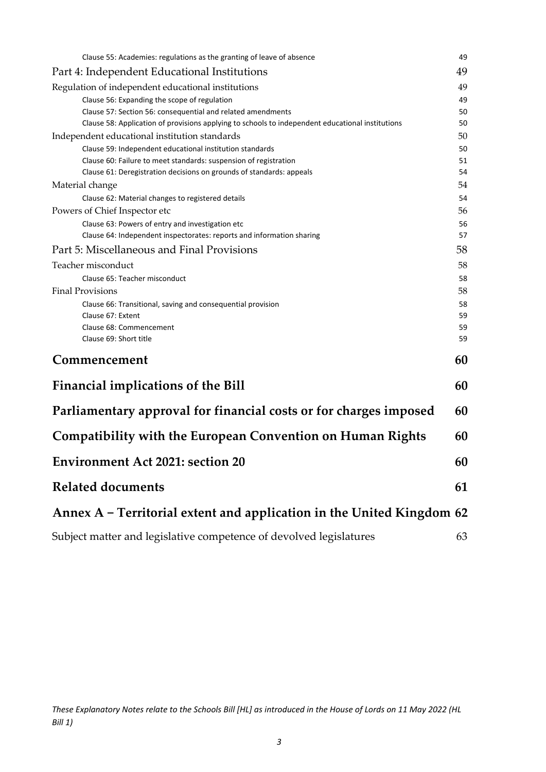| Clause 55: Academies: regulations as the granting of leave of absence                            | 49 |
|--------------------------------------------------------------------------------------------------|----|
| Part 4: Independent Educational Institutions                                                     | 49 |
| Regulation of independent educational institutions                                               | 49 |
| Clause 56: Expanding the scope of regulation                                                     | 49 |
| Clause 57: Section 56: consequential and related amendments                                      | 50 |
| Clause 58: Application of provisions applying to schools to independent educational institutions | 50 |
| Independent educational institution standards                                                    | 50 |
| Clause 59: Independent educational institution standards                                         | 50 |
| Clause 60: Failure to meet standards: suspension of registration                                 | 51 |
| Clause 61: Deregistration decisions on grounds of standards: appeals                             | 54 |
| Material change                                                                                  | 54 |
| Clause 62: Material changes to registered details                                                | 54 |
| Powers of Chief Inspector etc                                                                    | 56 |
| Clause 63: Powers of entry and investigation etc                                                 | 56 |
| Clause 64: Independent inspectorates: reports and information sharing                            | 57 |
| Part 5: Miscellaneous and Final Provisions                                                       | 58 |
| Teacher misconduct                                                                               | 58 |
| Clause 65: Teacher misconduct                                                                    | 58 |
| <b>Final Provisions</b>                                                                          | 58 |
| Clause 66: Transitional, saving and consequential provision                                      | 58 |
| Clause 67: Extent                                                                                | 59 |
| Clause 68: Commencement                                                                          | 59 |
| Clause 69: Short title                                                                           | 59 |
|                                                                                                  |    |
| Commencement                                                                                     | 60 |
| <b>Financial implications of the Bill</b>                                                        | 60 |
| Parliamentary approval for financial costs or for charges imposed                                | 60 |
| <b>Compatibility with the European Convention on Human Rights</b>                                | 60 |
| <b>Environment Act 2021: section 20</b>                                                          | 60 |
| <b>Related documents</b>                                                                         | 61 |
| Annex A - Territorial extent and application in the United Kingdom 62                            |    |
| Subject matter and legislative competence of devolved legislatures                               | 63 |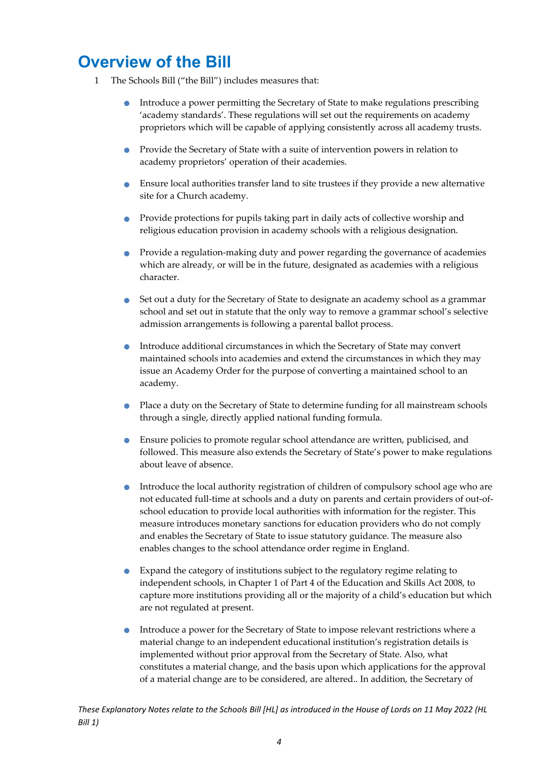## <span id="page-4-0"></span>**Overview of the Bill**

- 1 The Schools Bill ("the Bill") includes measures that:
	- Introduce a power permitting the Secretary of State to make regulations prescribing 'academy standards'. These regulations will set out the requirements on academy proprietors which will be capable of applying consistently across all academy trusts.
	- Provide the Secretary of State with a suite of intervention powers in relation to academy proprietors' operation of their academies.
	- Ensure local authorities transfer land to site trustees if they provide a new alternative site for a Church academy.
	- Provide protections for pupils taking part in daily acts of collective worship and religious education provision in academy schools with a religious designation.
	- Provide a regulation-making duty and power regarding the governance of academies which are already, or will be in the future, designated as academies with a religious character.
	- Set out a duty for the Secretary of State to designate an academy school as a grammar school and set out in statute that the only way to remove a grammar school's selective admission arrangements is following a parental ballot process.
	- Introduce additional circumstances in which the Secretary of State may convert maintained schools into academies and extend the circumstances in which they may issue an Academy Order for the purpose of converting a maintained school to an academy.
	- Place a duty on the Secretary of State to determine funding for all mainstream schools through a single, directly applied national funding formula.
	- Ensure policies to promote regular school attendance are written, publicised, and followed. This measure also extends the Secretary of State's power to make regulations about leave of absence.
	- Introduce the local authority registration of children of compulsory school age who are not educated full-time at schools and a duty on parents and certain providers of out-ofschool education to provide local authorities with information for the register. This measure introduces monetary sanctions for education providers who do not comply and enables the Secretary of State to issue statutory guidance. The measure also enables changes to the school attendance order regime in England.
	- Expand the category of institutions subject to the regulatory regime relating to independent schools, in Chapter 1 of Part 4 of the Education and Skills Act 2008, to capture more institutions providing all or the majority of a child's education but which are not regulated at present.
	- Introduce a power for the Secretary of State to impose relevant restrictions where a material change to an independent educational institution's registration details is implemented without prior approval from the Secretary of State. Also, what constitutes a material change, and the basis upon which applications for the approval of a material change are to be considered, are altered.. In addition, the Secretary of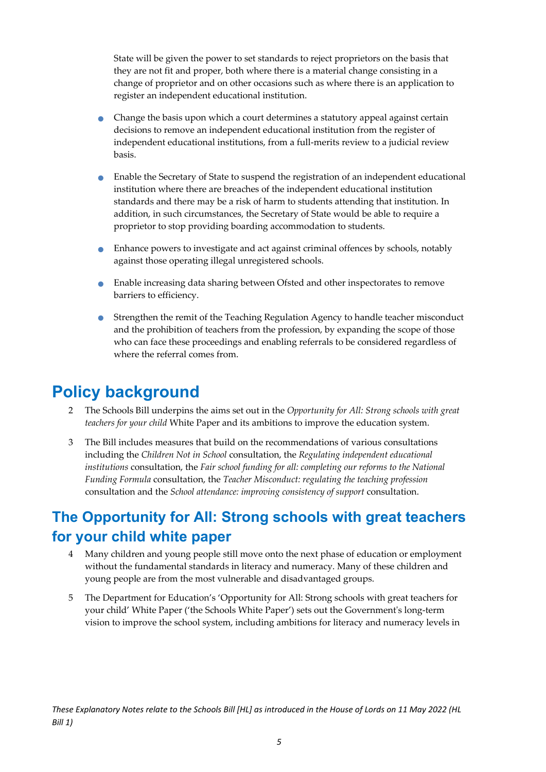State will be given the power to set standards to reject proprietors on the basis that they are not fit and proper, both where there is a material change consisting in a change of proprietor and on other occasions such as where there is an application to register an independent educational institution.

- Change the basis upon which a court determines a statutory appeal against certain decisions to remove an independent educational institution from the register of independent educational institutions, from a full-merits review to a judicial review basis.
- Enable the Secretary of State to suspend the registration of an independent educational institution where there are breaches of the independent educational institution standards and there may be a risk of harm to students attending that institution. In addition, in such circumstances, the Secretary of State would be able to require a proprietor to stop providing boarding accommodation to students.
- Enhance powers to investigate and act against criminal offences by schools, notably against those operating illegal unregistered schools.
- Enable increasing data sharing between Ofsted and other inspectorates to remove barriers to efficiency.
- Strengthen the remit of the Teaching Regulation Agency to handle teacher misconduct and the prohibition of teachers from the profession, by expanding the scope of those who can face these proceedings and enabling referrals to be considered regardless of where the referral comes from.

## <span id="page-5-0"></span>**Policy background**

- 2 The Schools Bill underpins the aims set out in the *Opportunity for All: Strong schools with great teachers for your child* White Paper and its ambitions to improve the education system.
- 3 The Bill includes measures that build on the recommendations of various consultations including the *Children Not in School* consultation, the *Regulating independent educational institutions* consultation, the *Fair school funding for all: completing our reforms to the National Funding Formula* consultation, the *Teacher Misconduct: regulating the teaching profession*  consultation and the *School attendance: improving consistency of support* consultation.

### <span id="page-5-1"></span>**The Opportunity for All: Strong schools with great teachers for your child white paper**

- 4 Many children and young people still move onto the next phase of education or employment without the fundamental standards in literacy and numeracy. Many of these children and young people are from the most vulnerable and disadvantaged groups.
- 5 The Department for Education's 'Opportunity for All: Strong schools with great teachers for your child' White Paper ('the Schools White Paper') sets out the Government's long-term vision to improve the school system, including ambitions for literacy and numeracy levels in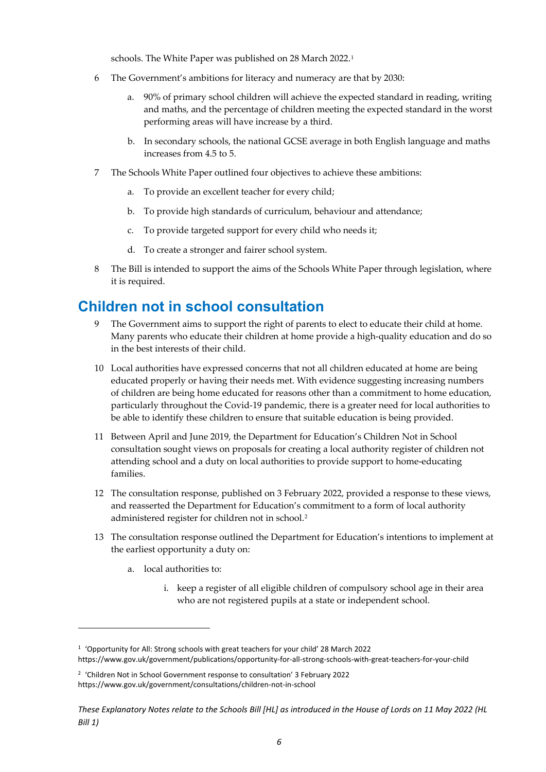schools. The White Paper was published on 28 March 2022.[1](#page-6-1)

- 6 The Government's ambitions for literacy and numeracy are that by 2030:
	- a. 90% of primary school children will achieve the expected standard in reading, writing and maths, and the percentage of children meeting the expected standard in the worst performing areas will have increase by a third.
	- b. In secondary schools, the national GCSE average in both English language and maths increases from 4.5 to 5.
- 7 The Schools White Paper outlined four objectives to achieve these ambitions:
	- a. To provide an excellent teacher for every child;
	- b. To provide high standards of curriculum, behaviour and attendance;
	- c. To provide targeted support for every child who needs it;
	- d. To create a stronger and fairer school system.
- 8 The Bill is intended to support the aims of the Schools White Paper through legislation, where it is required.

### <span id="page-6-0"></span>**Children not in school consultation**

- 9 The Government aims to support the right of parents to elect to educate their child at home. Many parents who educate their children at home provide a high-quality education and do so in the best interests of their child.
- 10 Local authorities have expressed concerns that not all children educated at home are being educated properly or having their needs met. With evidence suggesting increasing numbers of children are being home educated for reasons other than a commitment to home education, particularly throughout the Covid-19 pandemic, there is a greater need for local authorities to be able to identify these children to ensure that suitable education is being provided.
- 11 Between April and June 2019, the Department for Education's Children Not in School consultation sought views on proposals for creating a local authority register of children not attending school and a duty on local authorities to provide support to home-educating families.
- 12 The consultation response, published on 3 February 2022, provided a response to these views, and reasserted the Department for Education's commitment to a form of local authority administered register for children not in school.[2](#page-6-2)
- 13 The consultation response outlined the Department for Education's intentions to implement at the earliest opportunity a duty on:
	- a. local authorities to:
		- i. keep a register of all eligible children of compulsory school age in their area who are not registered pupils at a state or independent school.

<span id="page-6-1"></span><sup>1</sup> 'Opportunity for All: Strong schools with great teachers for your child' 28 March 2022

<https://www.gov.uk/government/publications/opportunity-for-all-strong-schools-with-great-teachers-for-your-child>

<span id="page-6-2"></span><sup>&</sup>lt;sup>2</sup> 'Children Not in School Government response to consultation' 3 February 2022 <https://www.gov.uk/government/consultations/children-not-in-school>

*These Explanatory Notes relate to the Schools Bill [HL] as introduced in the House of Lords on 11 May 2022 (HL Bill 1)*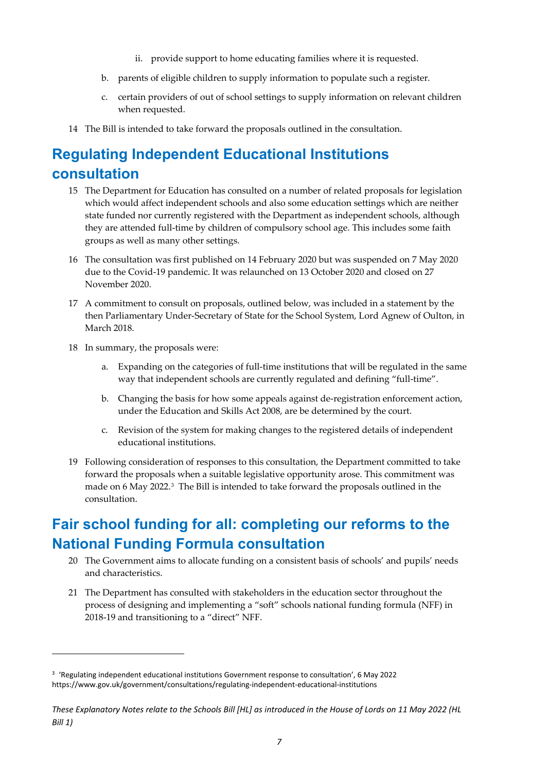- ii. provide support to home educating families where it is requested.
- b. parents of eligible children to supply information to populate such a register.
- c. certain providers of out of school settings to supply information on relevant children when requested.
- 14 The Bill is intended to take forward the proposals outlined in the consultation.

### <span id="page-7-0"></span>**Regulating Independent Educational Institutions consultation**

- 15 The Department for Education has consulted on a number of related proposals for legislation which would affect independent schools and also some education settings which are neither state funded nor currently registered with the Department as independent schools, although they are attended full-time by children of compulsory school age. This includes some faith groups as well as many other settings.
- 16 The consultation was first published on 14 February 2020 but was suspended on 7 May 2020 due to the Covid-19 pandemic. It was relaunched on 13 October 2020 and closed on 27 November 2020.
- 17 A commitment to consult on proposals, outlined below, was included in a statement by the then Parliamentary Under-Secretary of State for the School System, Lord Agnew of Oulton, in March 2018.
- 18 In summary, the proposals were:
	- a. Expanding on the categories of full-time institutions that will be regulated in the same way that independent schools are currently regulated and defining "full-time".
	- b. Changing the basis for how some appeals against de-registration enforcement action, under the Education and Skills Act 2008, are be determined by the court.
	- c. Revision of the system for making changes to the registered details of independent educational institutions.
- 19 Following consideration of responses to this consultation, the Department committed to take forward the proposals when a suitable legislative opportunity arose. This commitment was made on 6 May 2022.[3](#page-7-2) The Bill is intended to take forward the proposals outlined in the consultation.

### <span id="page-7-1"></span>**Fair school funding for all: completing our reforms to the National Funding Formula consultation**

- 20 The Government aims to allocate funding on a consistent basis of schools' and pupils' needs and characteristics.
- 21 The Department has consulted with stakeholders in the education sector throughout the process of designing and implementing a "soft" schools national funding formula (NFF) in 2018-19 and transitioning to a "direct" NFF.

<span id="page-7-2"></span><sup>3</sup> 'Regulating independent educational institutions Government response to consultation', 6 May 2022 <https://www.gov.uk/government/consultations/regulating-independent-educational-institutions>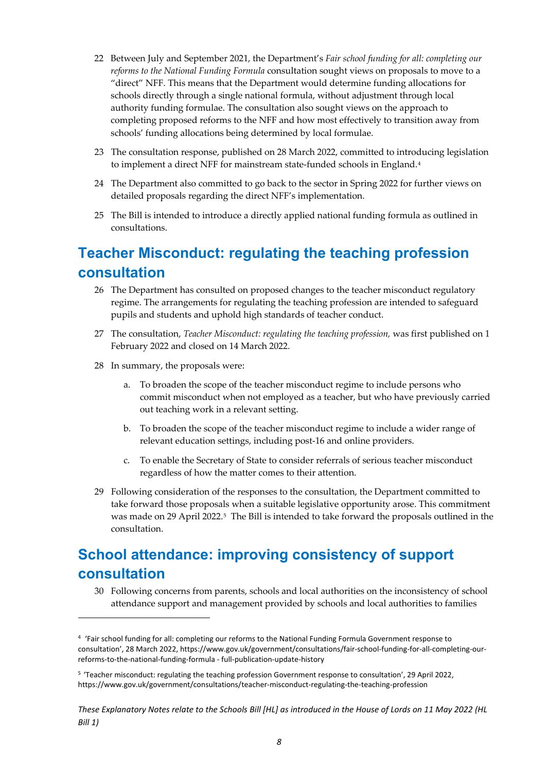- 22 Between July and September 2021, the Department's *Fair school funding for all: completing our reforms to the National Funding Formula* consultation sought views on proposals to move to a "direct" NFF. This means that the Department would determine funding allocations for schools directly through a single national formula, without adjustment through local authority funding formulae. The consultation also sought views on the approach to completing proposed reforms to the NFF and how most effectively to transition away from schools' funding allocations being determined by local formulae.
- 23 The consultation response, published on 28 March 2022, committed to introducing legislation to implement a direct NFF for mainstream state-funded schools in England.[4](#page-8-2)
- 24 The Department also committed to go back to the sector in Spring 2022 for further views on detailed proposals regarding the direct NFF's implementation.
- 25 The Bill is intended to introduce a directly applied national funding formula as outlined in consultations.

### <span id="page-8-0"></span>**Teacher Misconduct: regulating the teaching profession consultation**

- 26 The Department has consulted on proposed changes to the teacher misconduct regulatory regime. The arrangements for regulating the teaching profession are intended to safeguard pupils and students and uphold high standards of teacher conduct.
- 27 The consultation, *Teacher Misconduct: regulating the teaching profession,* was first published on 1 February 2022 and closed on 14 March 2022.
- 28 In summary, the proposals were:
	- a. To broaden the scope of the teacher misconduct regime to include persons who commit misconduct when not employed as a teacher, but who have previously carried out teaching work in a relevant setting.
	- b. To broaden the scope of the teacher misconduct regime to include a wider range of relevant education settings, including post-16 and online providers.
	- c. To enable the Secretary of State to consider referrals of serious teacher misconduct regardless of how the matter comes to their attention.
- 29 Following consideration of the responses to the consultation, the Department committed to take forward those proposals when a suitable legislative opportunity arose. This commitment was made on 29 April 2022.[5](#page-8-3) The Bill is intended to take forward the proposals outlined in the consultation.

### <span id="page-8-1"></span>**School attendance: improving consistency of support consultation**

30 Following concerns from parents, schools and local authorities on the inconsistency of school attendance support and management provided by schools and local authorities to families

<span id="page-8-2"></span><sup>4</sup> 'Fair school funding for all: completing our reforms to the National Funding Formula Government response to consultation', 28 March 2022[, https://www.gov.uk/government/consultations/fair-school-funding-for-all-completing-our](https://www.gov.uk/government/consultations/fair-school-funding-for-all-completing-our-reforms-to-the-national-funding-formula%20-%20full-publication-update-history)[reforms-to-the-national-funding-formula -](https://www.gov.uk/government/consultations/fair-school-funding-for-all-completing-our-reforms-to-the-national-funding-formula%20-%20full-publication-update-history) full-publication-update-history

<span id="page-8-3"></span><sup>5</sup> 'Teacher misconduct: regulating the teaching profession Government response to consultation', 29 April 2022, <https://www.gov.uk/government/consultations/teacher-misconduct-regulating-the-teaching-profession>

*These Explanatory Notes relate to the Schools Bill [HL] as introduced in the House of Lords on 11 May 2022 (HL Bill 1)*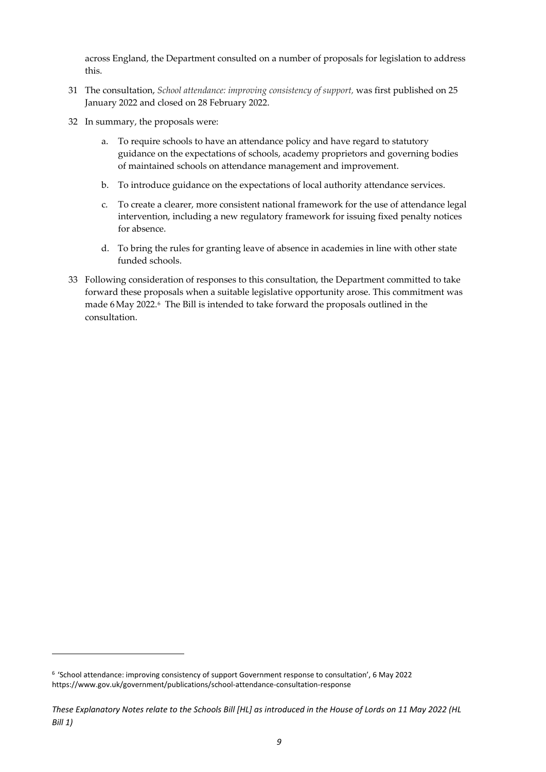across England, the Department consulted on a number of proposals for legislation to address this.

- 31 The consultation, *School attendance: improving consistency of support,* was first published on 25 January 2022 and closed on 28 February 2022.
- 32 In summary, the proposals were:
	- a. To require schools to have an attendance policy and have regard to statutory guidance on the expectations of schools, academy proprietors and governing bodies of maintained schools on attendance management and improvement.
	- b. To introduce guidance on the expectations of local authority attendance services.
	- c. To create a clearer, more consistent national framework for the use of attendance legal intervention, including a new regulatory framework for issuing fixed penalty notices for absence.
	- d. To bring the rules for granting leave of absence in academies in line with other state funded schools.
- 33 Following consideration of responses to this consultation, the Department committed to take forward these proposals when a suitable legislative opportunity arose. This commitment was made 6May 2022.[6](#page-9-0) The Bill is intended to take forward the proposals outlined in the consultation.

<span id="page-9-0"></span><sup>6 &#</sup>x27;School attendance: improving consistency of support Government response to consultation', 6 May 2022 <https://www.gov.uk/government/publications/school-attendance-consultation-response>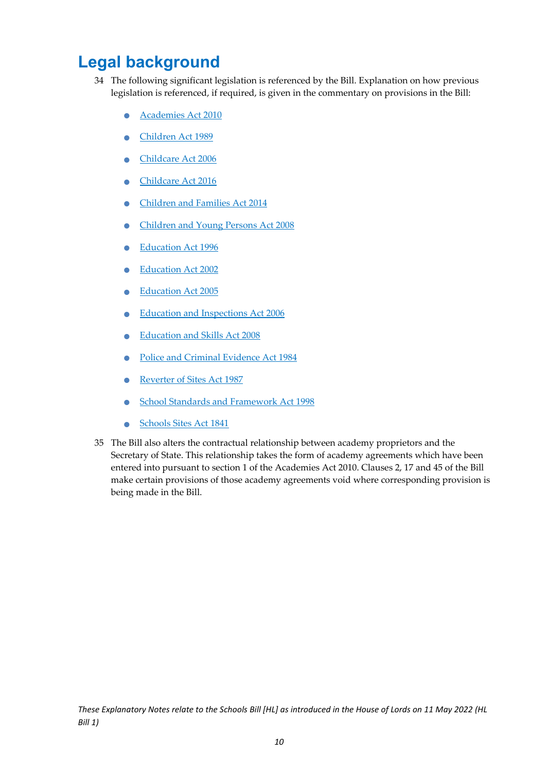## <span id="page-10-0"></span>**Legal background**

- 34 The following significant legislation is referenced by the Bill. Explanation on how previous legislation is referenced, if required, is given in the commentary on provisions in the Bill:
	- [Academies Act 2010](https://www.legislation.gov.uk/ukpga/2010/32/contents)
	- [Children Act 1989](https://www.legislation.gov.uk/ukpga/1989/41/contents)
	- [Childcare Act 2006](https://www.legislation.gov.uk/ukpga/2006/21)
	- [Childcare Act 2016](https://www.legislation.gov.uk/ukpga/2016/5)
	- [Children and Families Act 2014](https://www.legislation.gov.uk/ukpga/2014/6/contents)
	- [Children and Young Persons Act 2008](https://www.legislation.gov.uk/ukpga/2008/23/contents)
	- [Education Act 1996](https://www.legislation.gov.uk/ukpga/1996/56/contents)
	- [Education Act 2002](https://www.legislation.gov.uk/ukpga/2002/32/contents)
	- [Education Act 2005](https://www.legislation.gov.uk/ukpga/2005/18/contents)
	- [Education and Inspections Act 2006](https://www.legislation.gov.uk/ukpga/2006/40/section/19)
	- [Education and Skills Act 2008](https://www.legislation.gov.uk/ukpga/2008/25/contents)
	- [Police and Criminal Evidence Act 1984](https://www.legislation.gov.uk/ukpga/1984/60/contents)
	- Reverter of Sites Act 1987
	- [School Standards and Framework Act 1998](https://www.legislation.gov.uk/ukpga/1998/31/section/104)
	- Schools Sites Act 1841
- 35 The Bill also alters the contractual relationship between academy proprietors and the Secretary of State. This relationship takes the form of academy agreements which have been entered into pursuant to section 1 of the Academies Act 2010. Clauses 2, 17 and 45 of the Bill make certain provisions of those academy agreements void where corresponding provision is being made in the Bill.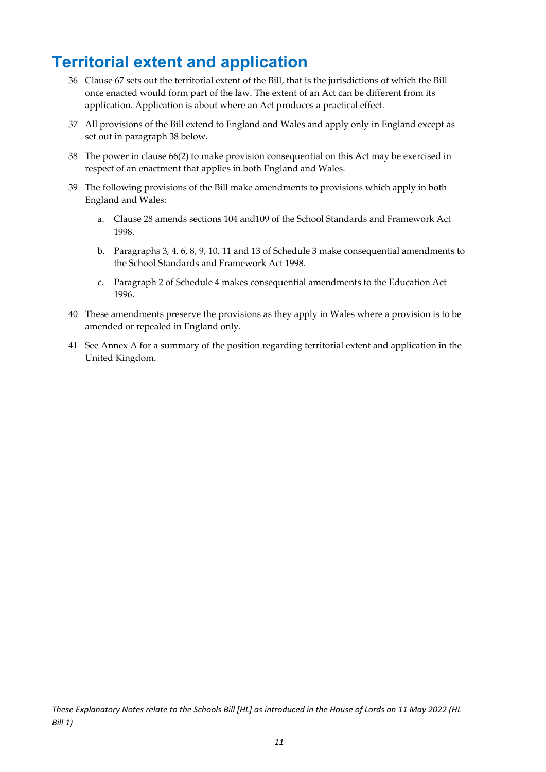## <span id="page-11-0"></span>**Territorial extent and application**

- 36 Clause 67 sets out the territorial extent of the Bill, that is the jurisdictions of which the Bill once enacted would form part of the law. The extent of an Act can be different from its application. Application is about where an Act produces a practical effect.
- 37 All provisions of the Bill extend to England and Wales and apply only in England except as set out in paragraph 38 below.
- 38 The power in clause 66(2) to make provision consequential on this Act may be exercised in respect of an enactment that applies in both England and Wales.
- 39 The following provisions of the Bill make amendments to provisions which apply in both England and Wales:
	- a. Clause 28 amends sections 104 and109 of the School Standards and Framework Act 1998.
	- b. Paragraphs 3, 4, 6, 8, 9, 10, 11 and 13 of Schedule 3 make consequential amendments to the School Standards and Framework Act 1998.
	- c. Paragraph 2 of Schedule 4 makes consequential amendments to the Education Act 1996.
- 40 These amendments preserve the provisions as they apply in Wales where a provision is to be amended or repealed in England only.
- 41 See Annex A for a summary of the position regarding territorial extent and application in the United Kingdom.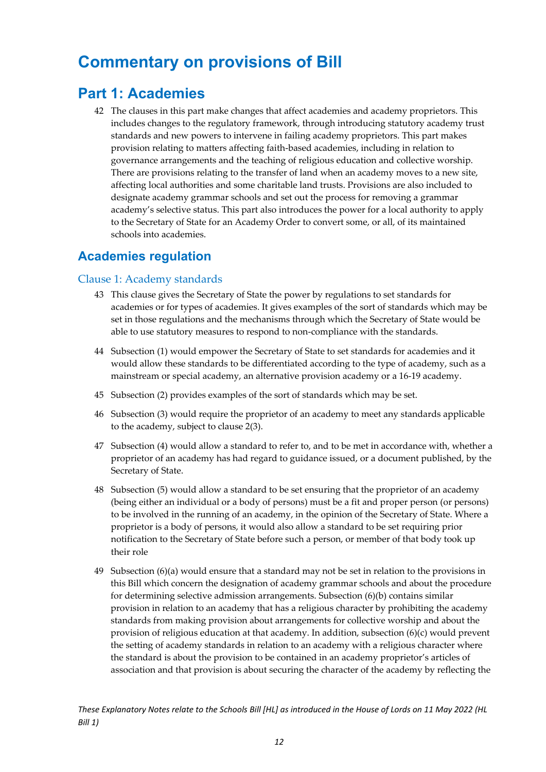## <span id="page-12-0"></span>**Commentary on provisions of Bill**

### <span id="page-12-1"></span>**Part 1: Academies**

42 The clauses in this part make changes that affect academies and academy proprietors. This includes changes to the regulatory framework, through introducing statutory academy trust standards and new powers to intervene in failing academy proprietors. This part makes provision relating to matters affecting faith-based academies, including in relation to governance arrangements and the teaching of religious education and collective worship. There are provisions relating to the transfer of land when an academy moves to a new site, affecting local authorities and some charitable land trusts. Provisions are also included to designate academy grammar schools and set out the process for removing a grammar academy's selective status. This part also introduces the power for a local authority to apply to the Secretary of State for an Academy Order to convert some, or all, of its maintained schools into academies.

### <span id="page-12-2"></span>**Academies regulation**

#### <span id="page-12-3"></span>Clause 1: Academy standards

- 43 This clause gives the Secretary of State the power by regulations to set standards for academies or for types of academies. It gives examples of the sort of standards which may be set in those regulations and the mechanisms through which the Secretary of State would be able to use statutory measures to respond to non-compliance with the standards.
- 44 Subsection (1) would empower the Secretary of State to set standards for academies and it would allow these standards to be differentiated according to the type of academy, such as a mainstream or special academy, an alternative provision academy or a 16-19 academy.
- 45 Subsection (2) provides examples of the sort of standards which may be set.
- 46 Subsection (3) would require the proprietor of an academy to meet any standards applicable to the academy, subject to clause 2(3).
- 47 Subsection (4) would allow a standard to refer to, and to be met in accordance with, whether a proprietor of an academy has had regard to guidance issued, or a document published, by the Secretary of State.
- 48 Subsection (5) would allow a standard to be set ensuring that the proprietor of an academy (being either an individual or a body of persons) must be a fit and proper person (or persons) to be involved in the running of an academy, in the opinion of the Secretary of State. Where a proprietor is a body of persons, it would also allow a standard to be set requiring prior notification to the Secretary of State before such a person, or member of that body took up their role
- 49 Subsection (6)(a) would ensure that a standard may not be set in relation to the provisions in this Bill which concern the designation of academy grammar schools and about the procedure for determining selective admission arrangements. Subsection (6)(b) contains similar provision in relation to an academy that has a religious character by prohibiting the academy standards from making provision about arrangements for collective worship and about the provision of religious education at that academy. In addition, subsection (6)(c) would prevent the setting of academy standards in relation to an academy with a religious character where the standard is about the provision to be contained in an academy proprietor's articles of association and that provision is about securing the character of the academy by reflecting the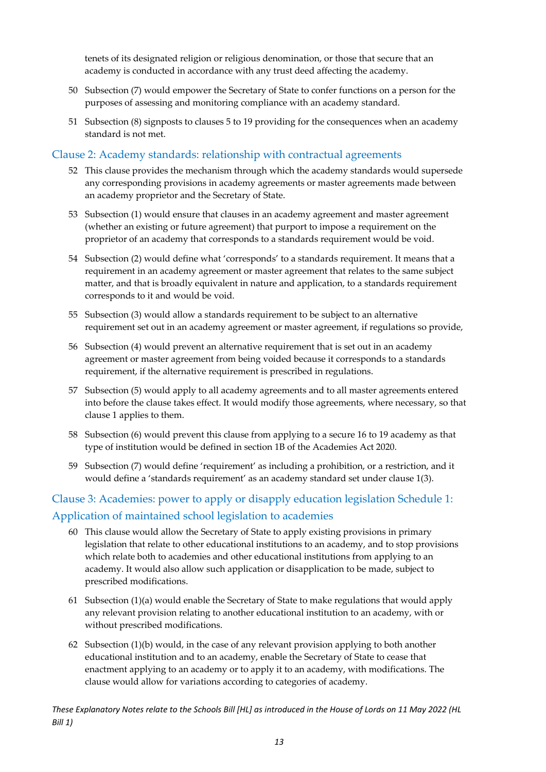tenets of its designated religion or religious denomination, or those that secure that an academy is conducted in accordance with any trust deed affecting the academy.

- 50 Subsection (7) would empower the Secretary of State to confer functions on a person for the purposes of assessing and monitoring compliance with an academy standard.
- 51 Subsection (8) signposts to clauses 5 to 19 providing for the consequences when an academy standard is not met.

#### <span id="page-13-0"></span>Clause 2: Academy standards: relationship with contractual agreements

- 52 This clause provides the mechanism through which the academy standards would supersede any corresponding provisions in academy agreements or master agreements made between an academy proprietor and the Secretary of State.
- 53 Subsection (1) would ensure that clauses in an academy agreement and master agreement (whether an existing or future agreement) that purport to impose a requirement on the proprietor of an academy that corresponds to a standards requirement would be void.
- 54 Subsection (2) would define what 'corresponds' to a standards requirement. It means that a requirement in an academy agreement or master agreement that relates to the same subject matter, and that is broadly equivalent in nature and application, to a standards requirement corresponds to it and would be void.
- 55 Subsection (3) would allow a standards requirement to be subject to an alternative requirement set out in an academy agreement or master agreement, if regulations so provide,
- 56 Subsection (4) would prevent an alternative requirement that is set out in an academy agreement or master agreement from being voided because it corresponds to a standards requirement, if the alternative requirement is prescribed in regulations.
- 57 Subsection (5) would apply to all academy agreements and to all master agreements entered into before the clause takes effect. It would modify those agreements, where necessary, so that clause 1 applies to them.
- 58 Subsection (6) would prevent this clause from applying to a secure 16 to 19 academy as that type of institution would be defined in section 1B of the Academies Act 2020.
- 59 Subsection (7) would define 'requirement' as including a prohibition, or a restriction, and it would define a 'standards requirement' as an academy standard set under clause 1(3).

### <span id="page-13-1"></span>Clause 3: Academies: power to apply or disapply education legislation Schedule 1: Application of maintained school legislation to academies

- 60 This clause would allow the Secretary of State to apply existing provisions in primary legislation that relate to other educational institutions to an academy, and to stop provisions which relate both to academies and other educational institutions from applying to an academy. It would also allow such application or disapplication to be made, subject to prescribed modifications.
- 61 Subsection (1)(a) would enable the Secretary of State to make regulations that would apply any relevant provision relating to another educational institution to an academy, with or without prescribed modifications.
- 62 Subsection (1)(b) would, in the case of any relevant provision applying to both another educational institution and to an academy, enable the Secretary of State to cease that enactment applying to an academy or to apply it to an academy, with modifications. The clause would allow for variations according to categories of academy.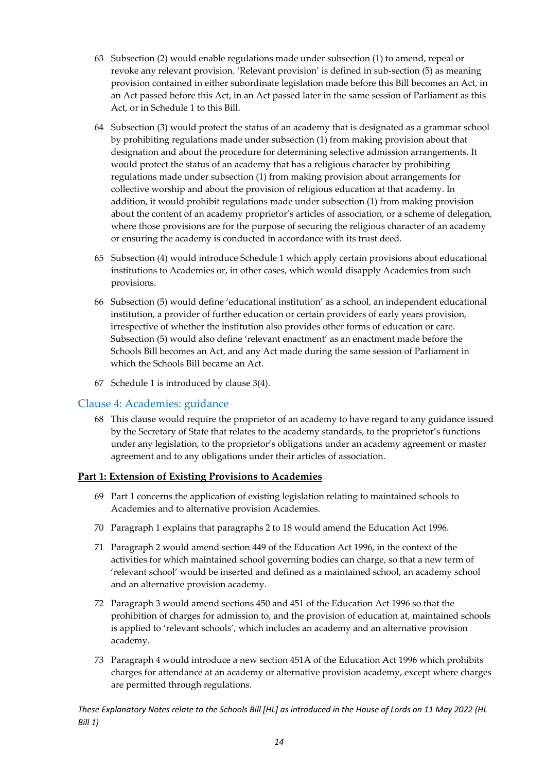- 63 Subsection (2) would enable regulations made under subsection (1) to amend, repeal or revoke any relevant provision. 'Relevant provision' is defined in sub-section (5) as meaning provision contained in either subordinate legislation made before this Bill becomes an Act, in an Act passed before this Act, in an Act passed later in the same session of Parliament as this Act, or in Schedule 1 to this Bill.
- 64 Subsection (3) would protect the status of an academy that is designated as a grammar school by prohibiting regulations made under subsection (1) from making provision about that designation and about the procedure for determining selective admission arrangements. It would protect the status of an academy that has a religious character by prohibiting regulations made under subsection (1) from making provision about arrangements for collective worship and about the provision of religious education at that academy. In addition, it would prohibit regulations made under subsection (1) from making provision about the content of an academy proprietor's articles of association, or a scheme of delegation, where those provisions are for the purpose of securing the religious character of an academy or ensuring the academy is conducted in accordance with its trust deed.
- 65 Subsection (4) would introduce Schedule 1 which apply certain provisions about educational institutions to Academies or, in other cases, which would disapply Academies from such provisions.
- 66 Subsection (5) would define 'educational institution' as a school, an independent educational institution, a provider of further education or certain providers of early years provision, irrespective of whether the institution also provides other forms of education or care. Subsection (5) would also define 'relevant enactment' as an enactment made before the Schools Bill becomes an Act, and any Act made during the same session of Parliament in which the Schools Bill became an Act.
- 67 Schedule 1 is introduced by clause 3(4).

#### <span id="page-14-0"></span>Clause 4: Academies: guidance

68 This clause would require the proprietor of an academy to have regard to any guidance issued by the Secretary of State that relates to the academy standards, to the proprietor's functions under any legislation, to the proprietor's obligations under an academy agreement or master agreement and to any obligations under their articles of association.

#### <span id="page-14-1"></span>**Part 1: Extension of Existing Provisions to Academies**

- 69 Part 1 concerns the application of existing legislation relating to maintained schools to Academies and to alternative provision Academies.
- 70 Paragraph 1 explains that paragraphs 2 to 18 would amend the Education Act 1996.
- 71 Paragraph 2 would amend section 449 of the Education Act 1996, in the context of the activities for which maintained school governing bodies can charge, so that a new term of 'relevant school' would be inserted and defined as a maintained school, an academy school and an alternative provision academy.
- 72 Paragraph 3 would amend sections 450 and 451 of the Education Act 1996 so that the prohibition of charges for admission to, and the provision of education at, maintained schools is applied to 'relevant schools', which includes an academy and an alternative provision academy.
- 73 Paragraph 4 would introduce a new section 451A of the Education Act 1996 which prohibits charges for attendance at an academy or alternative provision academy, except where charges are permitted through regulations.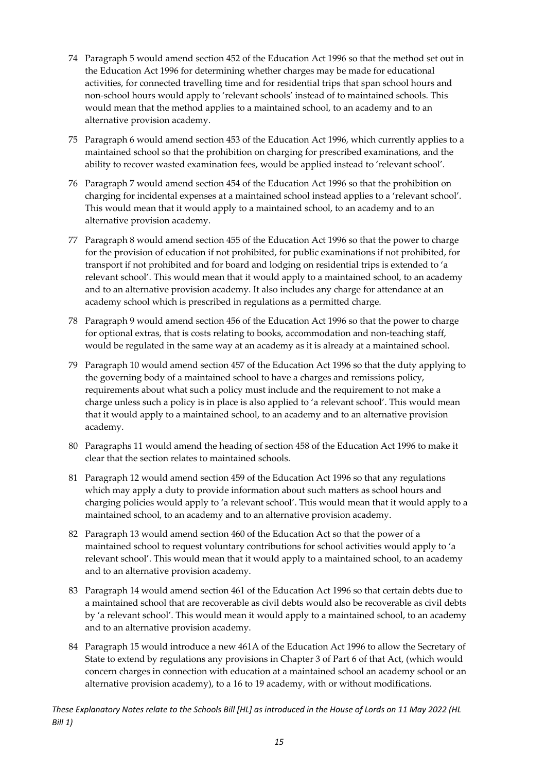- 74 Paragraph 5 would amend section 452 of the Education Act 1996 so that the method set out in the Education Act 1996 for determining whether charges may be made for educational activities, for connected travelling time and for residential trips that span school hours and non-school hours would apply to 'relevant schools' instead of to maintained schools. This would mean that the method applies to a maintained school, to an academy and to an alternative provision academy.
- 75 Paragraph 6 would amend section 453 of the Education Act 1996, which currently applies to a maintained school so that the prohibition on charging for prescribed examinations, and the ability to recover wasted examination fees, would be applied instead to 'relevant school'.
- 76 Paragraph 7 would amend section 454 of the Education Act 1996 so that the prohibition on charging for incidental expenses at a maintained school instead applies to a 'relevant school'. This would mean that it would apply to a maintained school, to an academy and to an alternative provision academy.
- 77 Paragraph 8 would amend section 455 of the Education Act 1996 so that the power to charge for the provision of education if not prohibited, for public examinations if not prohibited, for transport if not prohibited and for board and lodging on residential trips is extended to 'a relevant school'. This would mean that it would apply to a maintained school, to an academy and to an alternative provision academy. It also includes any charge for attendance at an academy school which is prescribed in regulations as a permitted charge.
- 78 Paragraph 9 would amend section 456 of the Education Act 1996 so that the power to charge for optional extras, that is costs relating to books, accommodation and non-teaching staff, would be regulated in the same way at an academy as it is already at a maintained school.
- 79 Paragraph 10 would amend section 457 of the Education Act 1996 so that the duty applying to the governing body of a maintained school to have a charges and remissions policy, requirements about what such a policy must include and the requirement to not make a charge unless such a policy is in place is also applied to 'a relevant school'. This would mean that it would apply to a maintained school, to an academy and to an alternative provision academy.
- 80 Paragraphs 11 would amend the heading of section 458 of the Education Act 1996 to make it clear that the section relates to maintained schools.
- 81 Paragraph 12 would amend section 459 of the Education Act 1996 so that any regulations which may apply a duty to provide information about such matters as school hours and charging policies would apply to 'a relevant school'. This would mean that it would apply to a maintained school, to an academy and to an alternative provision academy.
- 82 Paragraph 13 would amend section 460 of the Education Act so that the power of a maintained school to request voluntary contributions for school activities would apply to 'a relevant school'. This would mean that it would apply to a maintained school, to an academy and to an alternative provision academy.
- 83 Paragraph 14 would amend section 461 of the Education Act 1996 so that certain debts due to a maintained school that are recoverable as civil debts would also be recoverable as civil debts by 'a relevant school'. This would mean it would apply to a maintained school, to an academy and to an alternative provision academy.
- 84 Paragraph 15 would introduce a new 461A of the Education Act 1996 to allow the Secretary of State to extend by regulations any provisions in Chapter 3 of Part 6 of that Act, (which would concern charges in connection with education at a maintained school an academy school or an alternative provision academy), to a 16 to 19 academy, with or without modifications.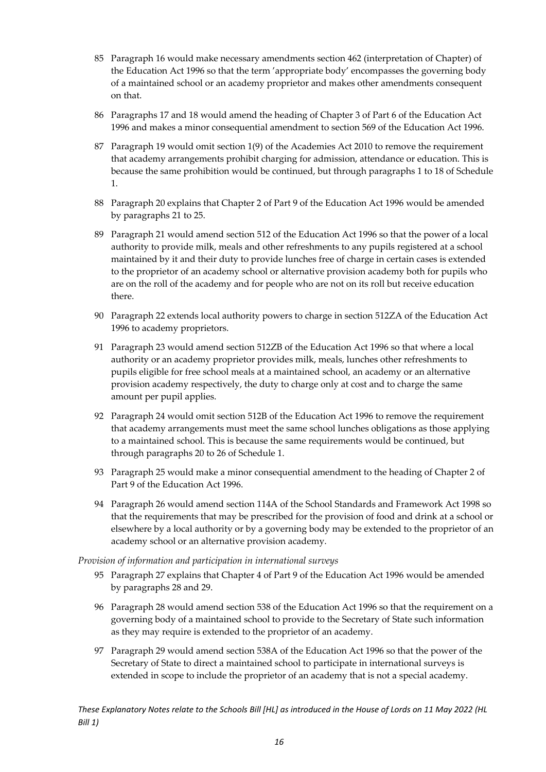- 85 Paragraph 16 would make necessary amendments section 462 (interpretation of Chapter) of the Education Act 1996 so that the term 'appropriate body' encompasses the governing body of a maintained school or an academy proprietor and makes other amendments consequent on that.
- 86 Paragraphs 17 and 18 would amend the heading of Chapter 3 of Part 6 of the Education Act 1996 and makes a minor consequential amendment to section 569 of the Education Act 1996.
- 87 Paragraph 19 would omit section 1(9) of the Academies Act 2010 to remove the requirement that academy arrangements prohibit charging for admission, attendance or education. This is because the same prohibition would be continued, but through paragraphs 1 to 18 of Schedule 1.
- 88 Paragraph 20 explains that Chapter 2 of Part 9 of the Education Act 1996 would be amended by paragraphs 21 to 25.
- 89 Paragraph 21 would amend section 512 of the Education Act 1996 so that the power of a local authority to provide milk, meals and other refreshments to any pupils registered at a school maintained by it and their duty to provide lunches free of charge in certain cases is extended to the proprietor of an academy school or alternative provision academy both for pupils who are on the roll of the academy and for people who are not on its roll but receive education there.
- 90 Paragraph 22 extends local authority powers to charge in section 512ZA of the Education Act 1996 to academy proprietors.
- 91 Paragraph 23 would amend section 512ZB of the Education Act 1996 so that where a local authority or an academy proprietor provides milk, meals, lunches other refreshments to pupils eligible for free school meals at a maintained school, an academy or an alternative provision academy respectively, the duty to charge only at cost and to charge the same amount per pupil applies.
- 92 Paragraph 24 would omit section 512B of the Education Act 1996 to remove the requirement that academy arrangements must meet the same school lunches obligations as those applying to a maintained school. This is because the same requirements would be continued, but through paragraphs 20 to 26 of Schedule 1.
- 93 Paragraph 25 would make a minor consequential amendment to the heading of Chapter 2 of Part 9 of the Education Act 1996.
- 94 Paragraph 26 would amend section 114A of the School Standards and Framework Act 1998 so that the requirements that may be prescribed for the provision of food and drink at a school or elsewhere by a local authority or by a governing body may be extended to the proprietor of an academy school or an alternative provision academy.

#### *Provision of information and participation in international surveys*

- 95 Paragraph 27 explains that Chapter 4 of Part 9 of the Education Act 1996 would be amended by paragraphs 28 and 29.
- 96 Paragraph 28 would amend section 538 of the Education Act 1996 so that the requirement on a governing body of a maintained school to provide to the Secretary of State such information as they may require is extended to the proprietor of an academy.
- 97 Paragraph 29 would amend section 538A of the Education Act 1996 so that the power of the Secretary of State to direct a maintained school to participate in international surveys is extended in scope to include the proprietor of an academy that is not a special academy.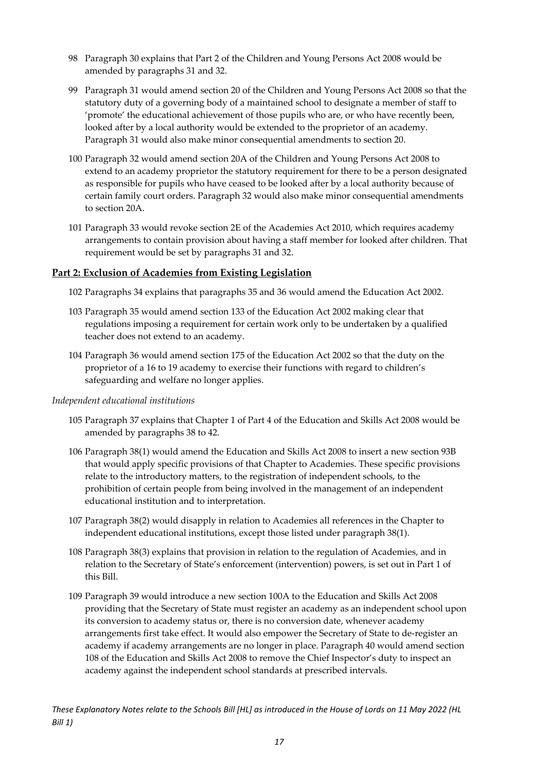- 98 Paragraph 30 explains that Part 2 of the Children and Young Persons Act 2008 would be amended by paragraphs 31 and 32.
- 99 Paragraph 31 would amend section 20 of the Children and Young Persons Act 2008 so that the statutory duty of a governing body of a maintained school to designate a member of staff to 'promote' the educational achievement of those pupils who are, or who have recently been, looked after by a local authority would be extended to the proprietor of an academy. Paragraph 31 would also make minor consequential amendments to section 20.
- 100 Paragraph 32 would amend section 20A of the Children and Young Persons Act 2008 to extend to an academy proprietor the statutory requirement for there to be a person designated as responsible for pupils who have ceased to be looked after by a local authority because of certain family court orders. Paragraph 32 would also make minor consequential amendments to section 20A.
- 101 Paragraph 33 would revoke section 2E of the Academies Act 2010, which requires academy arrangements to contain provision about having a staff member for looked after children. That requirement would be set by paragraphs 31 and 32.

#### <span id="page-17-0"></span>**Part 2: Exclusion of Academies from Existing Legislation**

- 102 Paragraphs 34 explains that paragraphs 35 and 36 would amend the Education Act 2002.
- 103 Paragraph 35 would amend section 133 of the Education Act 2002 making clear that regulations imposing a requirement for certain work only to be undertaken by a qualified teacher does not extend to an academy.
- 104 Paragraph 36 would amend section 175 of the Education Act 2002 so that the duty on the proprietor of a 16 to 19 academy to exercise their functions with regard to children's safeguarding and welfare no longer applies.

#### *Independent educational institutions*

- 105 Paragraph 37 explains that Chapter 1 of Part 4 of the Education and Skills Act 2008 would be amended by paragraphs 38 to 42.
- 106 Paragraph 38(1) would amend the Education and Skills Act 2008 to insert a new section 93B that would apply specific provisions of that Chapter to Academies. These specific provisions relate to the introductory matters, to the registration of independent schools, to the prohibition of certain people from being involved in the management of an independent educational institution and to interpretation.
- 107 Paragraph 38(2) would disapply in relation to Academies all references in the Chapter to independent educational institutions, except those listed under paragraph 38(1).
- 108 Paragraph 38(3) explains that provision in relation to the regulation of Academies, and in relation to the Secretary of State's enforcement (intervention) powers, is set out in Part 1 of this Bill.
- 109 Paragraph 39 would introduce a new section 100A to the Education and Skills Act 2008 providing that the Secretary of State must register an academy as an independent school upon its conversion to academy status or, there is no conversion date, whenever academy arrangements first take effect. It would also empower the Secretary of State to de-register an academy if academy arrangements are no longer in place. Paragraph 40 would amend section 108 of the Education and Skills Act 2008 to remove the Chief Inspector's duty to inspect an academy against the independent school standards at prescribed intervals.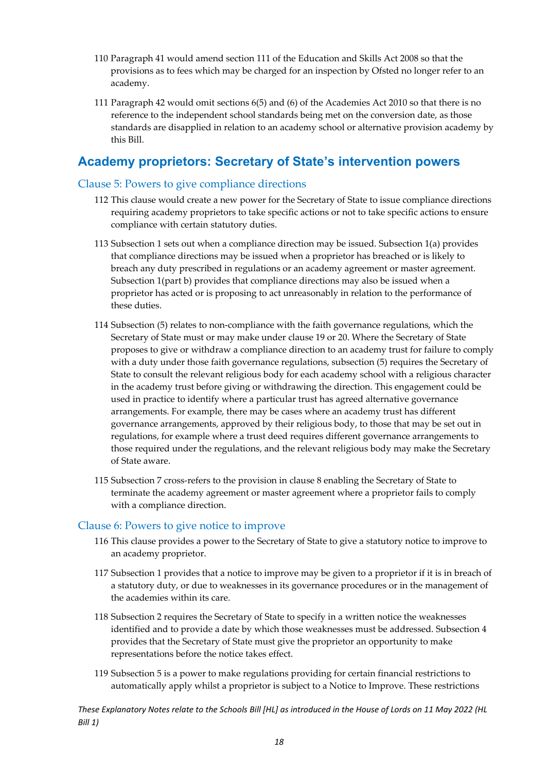- 110 Paragraph 41 would amend section 111 of the Education and Skills Act 2008 so that the provisions as to fees which may be charged for an inspection by Ofsted no longer refer to an academy.
- 111 Paragraph 42 would omit sections 6(5) and (6) of the Academies Act 2010 so that there is no reference to the independent school standards being met on the conversion date, as those standards are disapplied in relation to an academy school or alternative provision academy by this Bill.

#### <span id="page-18-0"></span>**Academy proprietors: Secretary of State's intervention powers**

#### <span id="page-18-1"></span>Clause 5: Powers to give compliance directions

- 112 This clause would create a new power for the Secretary of State to issue compliance directions requiring academy proprietors to take specific actions or not to take specific actions to ensure compliance with certain statutory duties.
- 113 Subsection 1 sets out when a compliance direction may be issued. Subsection 1(a) provides that compliance directions may be issued when a proprietor has breached or is likely to breach any duty prescribed in regulations or an academy agreement or master agreement. Subsection 1(part b) provides that compliance directions may also be issued when a proprietor has acted or is proposing to act unreasonably in relation to the performance of these duties.
- 114 Subsection (5) relates to non-compliance with the faith governance regulations, which the Secretary of State must or may make under clause 19 or 20. Where the Secretary of State proposes to give or withdraw a compliance direction to an academy trust for failure to comply with a duty under those faith governance regulations, subsection (5) requires the Secretary of State to consult the relevant religious body for each academy school with a religious character in the academy trust before giving or withdrawing the direction. This engagement could be used in practice to identify where a particular trust has agreed alternative governance arrangements. For example, there may be cases where an academy trust has different governance arrangements, approved by their religious body, to those that may be set out in regulations, for example where a trust deed requires different governance arrangements to those required under the regulations, and the relevant religious body may make the Secretary of State aware.
- 115 Subsection 7 cross-refers to the provision in clause 8 enabling the Secretary of State to terminate the academy agreement or master agreement where a proprietor fails to comply with a compliance direction.

#### <span id="page-18-2"></span>Clause 6: Powers to give notice to improve

- 116 This clause provides a power to the Secretary of State to give a statutory notice to improve to an academy proprietor.
- 117 Subsection 1 provides that a notice to improve may be given to a proprietor if it is in breach of a statutory duty, or due to weaknesses in its governance procedures or in the management of the academies within its care.
- 118 Subsection 2 requires the Secretary of State to specify in a written notice the weaknesses identified and to provide a date by which those weaknesses must be addressed. Subsection 4 provides that the Secretary of State must give the proprietor an opportunity to make representations before the notice takes effect.
- 119 Subsection 5 is a power to make regulations providing for certain financial restrictions to automatically apply whilst a proprietor is subject to a Notice to Improve. These restrictions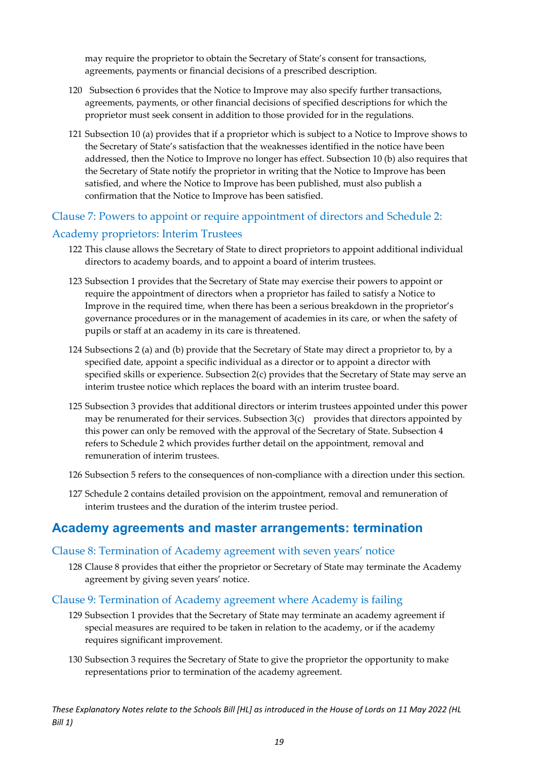may require the proprietor to obtain the Secretary of State's consent for transactions, agreements, payments or financial decisions of a prescribed description.

- 120 Subsection 6 provides that the Notice to Improve may also specify further transactions, agreements, payments, or other financial decisions of specified descriptions for which the proprietor must seek consent in addition to those provided for in the regulations.
- 121 Subsection 10 (a) provides that if a proprietor which is subject to a Notice to Improve shows to the Secretary of State's satisfaction that the weaknesses identified in the notice have been addressed, then the Notice to Improve no longer has effect. Subsection 10 (b) also requires that the Secretary of State notify the proprietor in writing that the Notice to Improve has been satisfied, and where the Notice to Improve has been published, must also publish a confirmation that the Notice to Improve has been satisfied.

#### <span id="page-19-0"></span>Clause 7: Powers to appoint or require appointment of directors and Schedule 2:

#### Academy proprietors: Interim Trustees

- 122 This clause allows the Secretary of State to direct proprietors to appoint additional individual directors to academy boards, and to appoint a board of interim trustees.
- 123 Subsection 1 provides that the Secretary of State may exercise their powers to appoint or require the appointment of directors when a proprietor has failed to satisfy a Notice to Improve in the required time, when there has been a serious breakdown in the proprietor's governance procedures or in the management of academies in its care, or when the safety of pupils or staff at an academy in its care is threatened.
- 124 Subsections 2 (a) and (b) provide that the Secretary of State may direct a proprietor to, by a specified date, appoint a specific individual as a director or to appoint a director with specified skills or experience. Subsection 2(c) provides that the Secretary of State may serve an interim trustee notice which replaces the board with an interim trustee board.
- 125 Subsection 3 provides that additional directors or interim trustees appointed under this power may be renumerated for their services. Subsection  $3(c)$  provides that directors appointed by this power can only be removed with the approval of the Secretary of State. Subsection 4 refers to Schedule 2 which provides further detail on the appointment, removal and remuneration of interim trustees.
- 126 Subsection 5 refers to the consequences of non-compliance with a direction under this section.
- 127 Schedule 2 contains detailed provision on the appointment, removal and remuneration of interim trustees and the duration of the interim trustee period.

#### <span id="page-19-1"></span>**Academy agreements and master arrangements: termination**

#### <span id="page-19-2"></span>Clause 8: Termination of Academy agreement with seven years' notice

128 Clause 8 provides that either the proprietor or Secretary of State may terminate the Academy agreement by giving seven years' notice.

#### <span id="page-19-3"></span>Clause 9: Termination of Academy agreement where Academy is failing

- 129 Subsection 1 provides that the Secretary of State may terminate an academy agreement if special measures are required to be taken in relation to the academy, or if the academy requires significant improvement.
- 130 Subsection 3 requires the Secretary of State to give the proprietor the opportunity to make representations prior to termination of the academy agreement.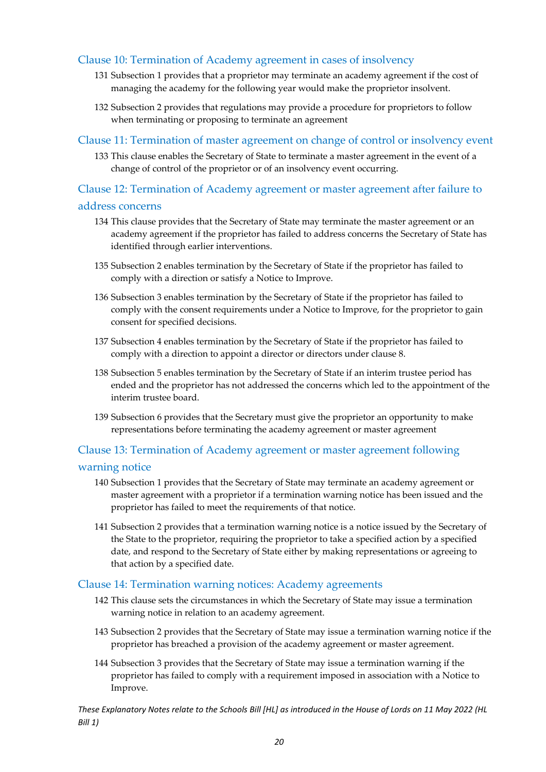#### <span id="page-20-0"></span>Clause 10: Termination of Academy agreement in cases of insolvency

- 131 Subsection 1 provides that a proprietor may terminate an academy agreement if the cost of managing the academy for the following year would make the proprietor insolvent.
- 132 Subsection 2 provides that regulations may provide a procedure for proprietors to follow when terminating or proposing to terminate an agreement

#### <span id="page-20-1"></span>Clause 11: Termination of master agreement on change of control or insolvency event

133 This clause enables the Secretary of State to terminate a master agreement in the event of a change of control of the proprietor or of an insolvency event occurring.

#### <span id="page-20-2"></span>Clause 12: Termination of Academy agreement or master agreement after failure to

#### address concerns

- 134 This clause provides that the Secretary of State may terminate the master agreement or an academy agreement if the proprietor has failed to address concerns the Secretary of State has identified through earlier interventions.
- 135 Subsection 2 enables termination by the Secretary of State if the proprietor has failed to comply with a direction or satisfy a Notice to Improve.
- 136 Subsection 3 enables termination by the Secretary of State if the proprietor has failed to comply with the consent requirements under a Notice to Improve, for the proprietor to gain consent for specified decisions.
- 137 Subsection 4 enables termination by the Secretary of State if the proprietor has failed to comply with a direction to appoint a director or directors under clause 8.
- 138 Subsection 5 enables termination by the Secretary of State if an interim trustee period has ended and the proprietor has not addressed the concerns which led to the appointment of the interim trustee board.
- 139 Subsection 6 provides that the Secretary must give the proprietor an opportunity to make representations before terminating the academy agreement or master agreement

#### <span id="page-20-3"></span>Clause 13: Termination of Academy agreement or master agreement following

#### warning notice

- 140 Subsection 1 provides that the Secretary of State may terminate an academy agreement or master agreement with a proprietor if a termination warning notice has been issued and the proprietor has failed to meet the requirements of that notice.
- 141 Subsection 2 provides that a termination warning notice is a notice issued by the Secretary of the State to the proprietor, requiring the proprietor to take a specified action by a specified date, and respond to the Secretary of State either by making representations or agreeing to that action by a specified date.

#### <span id="page-20-4"></span>Clause 14: Termination warning notices: Academy agreements

- 142 This clause sets the circumstances in which the Secretary of State may issue a termination warning notice in relation to an academy agreement.
- 143 Subsection 2 provides that the Secretary of State may issue a termination warning notice if the proprietor has breached a provision of the academy agreement or master agreement.
- 144 Subsection 3 provides that the Secretary of State may issue a termination warning if the proprietor has failed to comply with a requirement imposed in association with a Notice to Improve.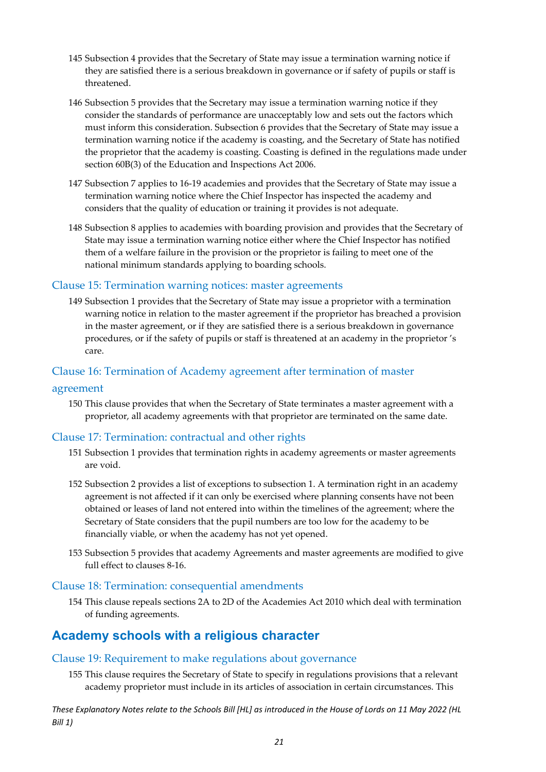- 145 Subsection 4 provides that the Secretary of State may issue a termination warning notice if they are satisfied there is a serious breakdown in governance or if safety of pupils or staff is threatened.
- 146 Subsection 5 provides that the Secretary may issue a termination warning notice if they consider the standards of performance are unacceptably low and sets out the factors which must inform this consideration. Subsection 6 provides that the Secretary of State may issue a termination warning notice if the academy is coasting, and the Secretary of State has notified the proprietor that the academy is coasting. Coasting is defined in the regulations made under section 60B(3) of the Education and Inspections Act 2006.
- 147 Subsection 7 applies to 16-19 academies and provides that the Secretary of State may issue a termination warning notice where the Chief Inspector has inspected the academy and considers that the quality of education or training it provides is not adequate.
- 148 Subsection 8 applies to academies with boarding provision and provides that the Secretary of State may issue a termination warning notice either where the Chief Inspector has notified them of a welfare failure in the provision or the proprietor is failing to meet one of the national minimum standards applying to boarding schools.

#### <span id="page-21-0"></span>Clause 15: Termination warning notices: master agreements

149 Subsection 1 provides that the Secretary of State may issue a proprietor with a termination warning notice in relation to the master agreement if the proprietor has breached a provision in the master agreement, or if they are satisfied there is a serious breakdown in governance procedures, or if the safety of pupils or staff is threatened at an academy in the proprietor 's care.

#### <span id="page-21-1"></span>Clause 16: Termination of Academy agreement after termination of master

#### agreement

150 This clause provides that when the Secretary of State terminates a master agreement with a proprietor, all academy agreements with that proprietor are terminated on the same date.

#### <span id="page-21-2"></span>Clause 17: Termination: contractual and other rights

- 151 Subsection 1 provides that termination rights in academy agreements or master agreements are void.
- 152 Subsection 2 provides a list of exceptions to subsection 1. A termination right in an academy agreement is not affected if it can only be exercised where planning consents have not been obtained or leases of land not entered into within the timelines of the agreement; where the Secretary of State considers that the pupil numbers are too low for the academy to be financially viable, or when the academy has not yet opened.
- 153 Subsection 5 provides that academy Agreements and master agreements are modified to give full effect to clauses 8-16.

#### <span id="page-21-3"></span>Clause 18: Termination: consequential amendments

154 This clause repeals sections 2A to 2D of the Academies Act 2010 which deal with termination of funding agreements.

#### <span id="page-21-4"></span>**Academy schools with a religious character**

#### <span id="page-21-5"></span>Clause 19: Requirement to make regulations about governance

155 This clause requires the Secretary of State to specify in regulations provisions that a relevant academy proprietor must include in its articles of association in certain circumstances. This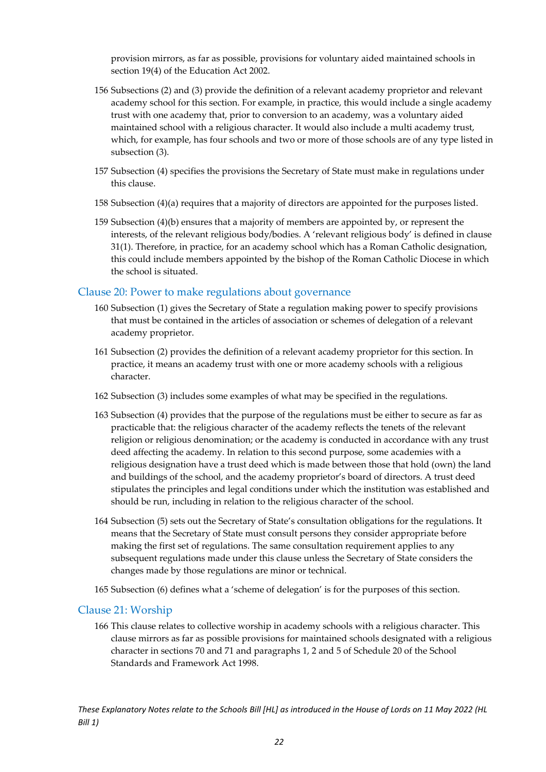provision mirrors, as far as possible, provisions for voluntary aided maintained schools in section 19(4) of the Education Act 2002.

- 156 Subsections (2) and (3) provide the definition of a relevant academy proprietor and relevant academy school for this section. For example, in practice, this would include a single academy trust with one academy that, prior to conversion to an academy, was a voluntary aided maintained school with a religious character. It would also include a multi academy trust, which, for example, has four schools and two or more of those schools are of any type listed in subsection (3).
- 157 Subsection (4) specifies the provisions the Secretary of State must make in regulations under this clause.
- 158 Subsection (4)(a) requires that a majority of directors are appointed for the purposes listed.
- 159 Subsection (4)(b) ensures that a majority of members are appointed by, or represent the interests, of the relevant religious body/bodies. A 'relevant religious body' is defined in clause 31(1). Therefore, in practice, for an academy school which has a Roman Catholic designation, this could include members appointed by the bishop of the Roman Catholic Diocese in which the school is situated.

#### <span id="page-22-0"></span>Clause 20: Power to make regulations about governance

- 160 Subsection (1) gives the Secretary of State a regulation making power to specify provisions that must be contained in the articles of association or schemes of delegation of a relevant academy proprietor.
- 161 Subsection (2) provides the definition of a relevant academy proprietor for this section. In practice, it means an academy trust with one or more academy schools with a religious character.
- 162 Subsection (3) includes some examples of what may be specified in the regulations.
- 163 Subsection (4) provides that the purpose of the regulations must be either to secure as far as practicable that: the religious character of the academy reflects the tenets of the relevant religion or religious denomination; or the academy is conducted in accordance with any trust deed affecting the academy. In relation to this second purpose, some academies with a religious designation have a trust deed which is made between those that hold (own) the land and buildings of the school, and the academy proprietor's board of directors. A trust deed stipulates the principles and legal conditions under which the institution was established and should be run, including in relation to the religious character of the school.
- 164 Subsection (5) sets out the Secretary of State's consultation obligations for the regulations. It means that the Secretary of State must consult persons they consider appropriate before making the first set of regulations. The same consultation requirement applies to any subsequent regulations made under this clause unless the Secretary of State considers the changes made by those regulations are minor or technical.
- 165 Subsection (6) defines what a 'scheme of delegation' is for the purposes of this section.

#### <span id="page-22-1"></span>Clause 21: Worship

166 This clause relates to collective worship in academy schools with a religious character. This clause mirrors as far as possible provisions for maintained schools designated with a religious character in sections 70 and 71 and paragraphs 1, 2 and 5 of Schedule 20 of the School Standards and Framework Act 1998.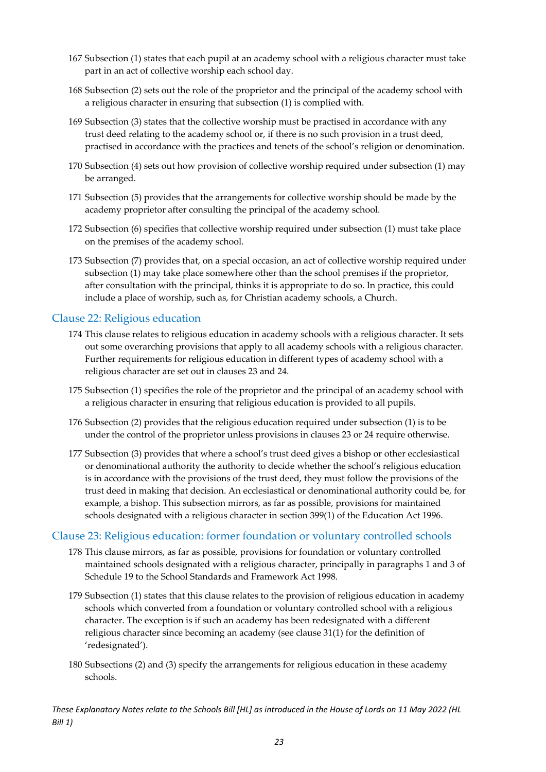- 167 Subsection (1) states that each pupil at an academy school with a religious character must take part in an act of collective worship each school day.
- 168 Subsection (2) sets out the role of the proprietor and the principal of the academy school with a religious character in ensuring that subsection (1) is complied with.
- 169 Subsection (3) states that the collective worship must be practised in accordance with any trust deed relating to the academy school or, if there is no such provision in a trust deed, practised in accordance with the practices and tenets of the school's religion or denomination.
- 170 Subsection (4) sets out how provision of collective worship required under subsection (1) may be arranged.
- 171 Subsection (5) provides that the arrangements for collective worship should be made by the academy proprietor after consulting the principal of the academy school.
- 172 Subsection (6) specifies that collective worship required under subsection (1) must take place on the premises of the academy school.
- 173 Subsection (7) provides that, on a special occasion, an act of collective worship required under subsection (1) may take place somewhere other than the school premises if the proprietor, after consultation with the principal, thinks it is appropriate to do so. In practice, this could include a place of worship, such as, for Christian academy schools, a Church.

#### <span id="page-23-0"></span>Clause 22: Religious education

- 174 This clause relates to religious education in academy schools with a religious character. It sets out some overarching provisions that apply to all academy schools with a religious character. Further requirements for religious education in different types of academy school with a religious character are set out in clauses 23 and 24.
- 175 Subsection (1) specifies the role of the proprietor and the principal of an academy school with a religious character in ensuring that religious education is provided to all pupils.
- 176 Subsection (2) provides that the religious education required under subsection (1) is to be under the control of the proprietor unless provisions in clauses 23 or 24 require otherwise.
- 177 Subsection (3) provides that where a school's trust deed gives a bishop or other ecclesiastical or denominational authority the authority to decide whether the school's religious education is in accordance with the provisions of the trust deed, they must follow the provisions of the trust deed in making that decision. An ecclesiastical or denominational authority could be, for example, a bishop. This subsection mirrors, as far as possible, provisions for maintained schools designated with a religious character in section 399(1) of the Education Act 1996.

#### <span id="page-23-1"></span>Clause 23: Religious education: former foundation or voluntary controlled schools

- 178 This clause mirrors, as far as possible, provisions for foundation or voluntary controlled maintained schools designated with a religious character, principally in paragraphs 1 and 3 of Schedule 19 to the School Standards and Framework Act 1998.
- 179 Subsection (1) states that this clause relates to the provision of religious education in academy schools which converted from a foundation or voluntary controlled school with a religious character. The exception is if such an academy has been redesignated with a different religious character since becoming an academy (see clause 31(1) for the definition of 'redesignated').
- 180 Subsections (2) and (3) specify the arrangements for religious education in these academy schools.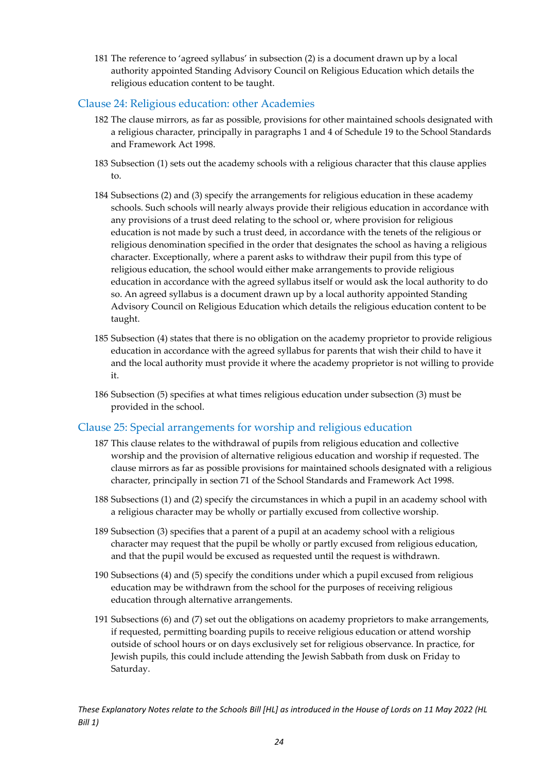181 The reference to 'agreed syllabus' in subsection (2) is a document drawn up by a local authority appointed Standing Advisory Council on Religious Education which details the religious education content to be taught.

#### <span id="page-24-0"></span>Clause 24: Religious education: other Academies

- 182 The clause mirrors, as far as possible, provisions for other maintained schools designated with a religious character, principally in paragraphs 1 and 4 of Schedule 19 to the School Standards and Framework Act 1998.
- 183 Subsection (1) sets out the academy schools with a religious character that this clause applies to.
- 184 Subsections (2) and (3) specify the arrangements for religious education in these academy schools. Such schools will nearly always provide their religious education in accordance with any provisions of a trust deed relating to the school or, where provision for religious education is not made by such a trust deed, in accordance with the tenets of the religious or religious denomination specified in the order that designates the school as having a religious character. Exceptionally, where a parent asks to withdraw their pupil from this type of religious education, the school would either make arrangements to provide religious education in accordance with the agreed syllabus itself or would ask the local authority to do so. An agreed syllabus is a document drawn up by a local authority appointed Standing Advisory Council on Religious Education which details the religious education content to be taught.
- 185 Subsection (4) states that there is no obligation on the academy proprietor to provide religious education in accordance with the agreed syllabus for parents that wish their child to have it and the local authority must provide it where the academy proprietor is not willing to provide it.
- 186 Subsection (5) specifies at what times religious education under subsection (3) must be provided in the school.

#### <span id="page-24-1"></span>Clause 25: Special arrangements for worship and religious education

- 187 This clause relates to the withdrawal of pupils from religious education and collective worship and the provision of alternative religious education and worship if requested. The clause mirrors as far as possible provisions for maintained schools designated with a religious character, principally in section 71 of the School Standards and Framework Act 1998.
- 188 Subsections (1) and (2) specify the circumstances in which a pupil in an academy school with a religious character may be wholly or partially excused from collective worship.
- 189 Subsection (3) specifies that a parent of a pupil at an academy school with a religious character may request that the pupil be wholly or partly excused from religious education, and that the pupil would be excused as requested until the request is withdrawn.
- 190 Subsections (4) and (5) specify the conditions under which a pupil excused from religious education may be withdrawn from the school for the purposes of receiving religious education through alternative arrangements.
- 191 Subsections (6) and (7) set out the obligations on academy proprietors to make arrangements, if requested, permitting boarding pupils to receive religious education or attend worship outside of school hours or on days exclusively set for religious observance. In practice, for Jewish pupils, this could include attending the Jewish Sabbath from dusk on Friday to Saturday.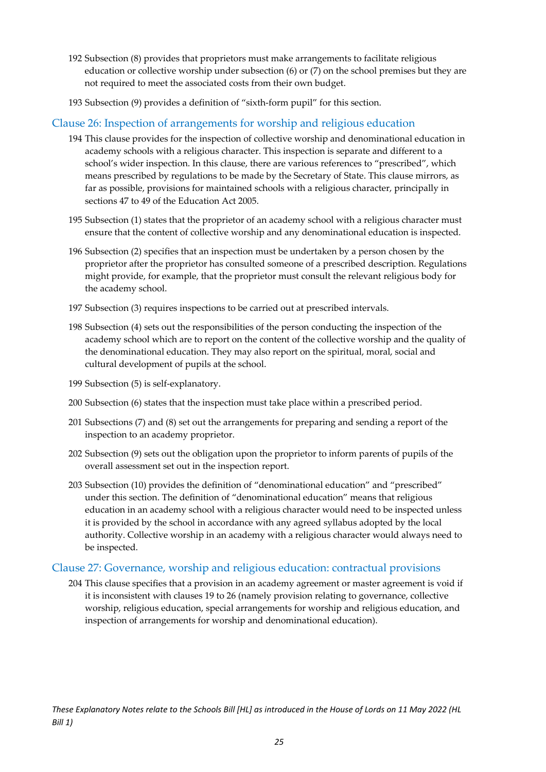- 192 Subsection (8) provides that proprietors must make arrangements to facilitate religious education or collective worship under subsection (6) or (7) on the school premises but they are not required to meet the associated costs from their own budget.
- 193 Subsection (9) provides a definition of "sixth-form pupil" for this section.

#### <span id="page-25-0"></span>Clause 26: Inspection of arrangements for worship and religious education

- 194 This clause provides for the inspection of collective worship and denominational education in academy schools with a religious character. This inspection is separate and different to a school's wider inspection. In this clause, there are various references to "prescribed", which means prescribed by regulations to be made by the Secretary of State. This clause mirrors, as far as possible, provisions for maintained schools with a religious character, principally in sections 47 to 49 of the Education Act 2005.
- 195 Subsection (1) states that the proprietor of an academy school with a religious character must ensure that the content of collective worship and any denominational education is inspected.
- 196 Subsection (2) specifies that an inspection must be undertaken by a person chosen by the proprietor after the proprietor has consulted someone of a prescribed description. Regulations might provide, for example, that the proprietor must consult the relevant religious body for the academy school.
- 197 Subsection (3) requires inspections to be carried out at prescribed intervals.
- 198 Subsection (4) sets out the responsibilities of the person conducting the inspection of the academy school which are to report on the content of the collective worship and the quality of the denominational education. They may also report on the spiritual, moral, social and cultural development of pupils at the school.
- 199 Subsection (5) is self-explanatory.
- 200 Subsection (6) states that the inspection must take place within a prescribed period.
- 201 Subsections (7) and (8) set out the arrangements for preparing and sending a report of the inspection to an academy proprietor.
- 202 Subsection (9) sets out the obligation upon the proprietor to inform parents of pupils of the overall assessment set out in the inspection report.
- 203 Subsection (10) provides the definition of "denominational education" and "prescribed" under this section. The definition of "denominational education" means that religious education in an academy school with a religious character would need to be inspected unless it is provided by the school in accordance with any agreed syllabus adopted by the local authority. Collective worship in an academy with a religious character would always need to be inspected.

#### <span id="page-25-1"></span>Clause 27: Governance, worship and religious education: contractual provisions

204 This clause specifies that a provision in an academy agreement or master agreement is void if it is inconsistent with clauses 19 to 26 (namely provision relating to governance, collective worship, religious education, special arrangements for worship and religious education, and inspection of arrangements for worship and denominational education).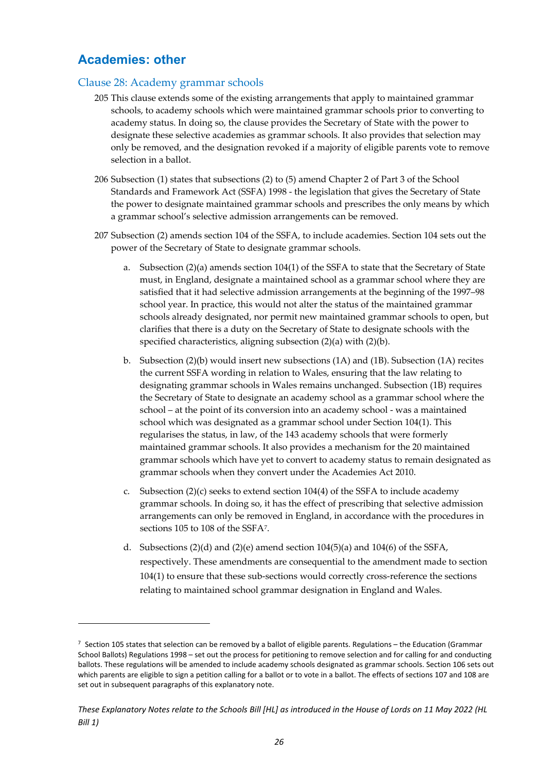#### <span id="page-26-0"></span>**Academies: other**

#### <span id="page-26-1"></span>Clause 28: Academy grammar schools

- 205 This clause extends some of the existing arrangements that apply to maintained grammar schools, to academy schools which were maintained grammar schools prior to converting to academy status. In doing so, the clause provides the Secretary of State with the power to designate these selective academies as grammar schools. It also provides that selection may only be removed, and the designation revoked if a majority of eligible parents vote to remove selection in a ballot.
- 206 Subsection (1) states that subsections (2) to (5) amend Chapter 2 of Part 3 of the School Standards and Framework Act (SSFA) 1998 - the legislation that gives the Secretary of State the power to designate maintained grammar schools and prescribes the only means by which a grammar school's selective admission arrangements can be removed.
- 207 Subsection (2) amends section 104 of the SSFA, to include academies. Section 104 sets out the power of the Secretary of State to designate grammar schools.
	- a. Subsection (2)(a) amends section 104(1) of the SSFA to state that the Secretary of State must, in England, designate a maintained school as a grammar school where they are satisfied that it had selective admission arrangements at the beginning of the 1997–98 school year. In practice, this would not alter the status of the maintained grammar schools already designated, nor permit new maintained grammar schools to open, but clarifies that there is a duty on the Secretary of State to designate schools with the specified characteristics, aligning subsection (2)(a) with (2)(b).
	- b. Subsection (2)(b) would insert new subsections (1A) and (1B). Subsection (1A) recites the current SSFA wording in relation to Wales, ensuring that the law relating to designating grammar schools in Wales remains unchanged. Subsection (1B) requires the Secretary of State to designate an academy school as a grammar school where the school – at the point of its conversion into an academy school - was a maintained school which was designated as a grammar school under Section 104(1). This regularises the status, in law, of the 143 academy schools that were formerly maintained grammar schools. It also provides a mechanism for the 20 maintained grammar schools which have yet to convert to academy status to remain designated as grammar schools when they convert under the Academies Act 2010.
	- c. Subsection  $(2)(c)$  seeks to extend section 104(4) of the SSFA to include academy grammar schools. In doing so, it has the effect of prescribing that selective admission arrangements can only be removed in England, in accordance with the procedures in sections 105 to 108 of the SSF[A7](#page-26-2).
	- d. Subsections  $(2)(d)$  and  $(2)(e)$  amend section  $104(5)(a)$  and  $104(6)$  of the SSFA, respectively. These amendments are consequential to the amendment made to section 104(1) to ensure that these sub-sections would correctly cross-reference the sections relating to maintained school grammar designation in England and Wales.

<span id="page-26-2"></span> $7$  Section 105 states that selection can be removed by a ballot of eligible parents. Regulations – the Education (Grammar School Ballots) Regulations 1998 – set out the process for petitioning to remove selection and for calling for and conducting ballots. These regulations will be amended to include academy schools designated as grammar schools. Section 106 sets out which parents are eligible to sign a petition calling for a ballot or to vote in a ballot. The effects of sections 107 and 108 are set out in subsequent paragraphs of this explanatory note.

*These Explanatory Notes relate to the Schools Bill [HL] as introduced in the House of Lords on 11 May 2022 (HL Bill 1)*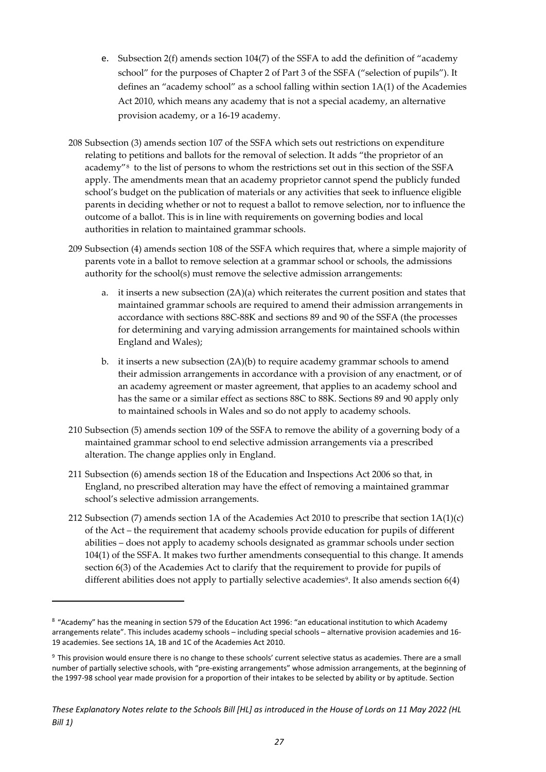- e. Subsection 2(f) amends section 104(7) of the SSFA to add the definition of "academy school" for the purposes of Chapter 2 of Part 3 of the SSFA ("selection of pupils"). It defines an "academy school" as a school falling within section 1A(1) of the Academies Act 2010, which means any academy that is not a special academy, an alternative provision academy, or a 16-19 academy.
- 208 Subsection (3) amends section 107 of the SSFA which sets out restrictions on expenditure relating to petitions and ballots for the removal of selection. It adds "the proprietor of an academy"[8](#page-27-0) to the list of persons to whom the restrictions set out in this section of the SSFA apply. The amendments mean that an academy proprietor cannot spend the publicly funded school's budget on the publication of materials or any activities that seek to influence eligible parents in deciding whether or not to request a ballot to remove selection, nor to influence the outcome of a ballot. This is in line with requirements on governing bodies and local authorities in relation to maintained grammar schools.
- 209 Subsection (4) amends section 108 of the SSFA which requires that, where a simple majority of parents vote in a ballot to remove selection at a grammar school or schools, the admissions authority for the school(s) must remove the selective admission arrangements:
	- a. it inserts a new subsection (2A)(a) which reiterates the current position and states that maintained grammar schools are required to amend their admission arrangements in accordance with sections 88C-88K and sections 89 and 90 of the SSFA (the processes for determining and varying admission arrangements for maintained schools within England and Wales);
	- b. it inserts a new subsection (2A)(b) to require academy grammar schools to amend their admission arrangements in accordance with a provision of any enactment, or of an academy agreement or master agreement, that applies to an academy school and has the same or a similar effect as sections 88C to 88K. Sections 89 and 90 apply only to maintained schools in Wales and so do not apply to academy schools.
- 210 Subsection (5) amends section 109 of the SSFA to remove the ability of a governing body of a maintained grammar school to end selective admission arrangements via a prescribed alteration. The change applies only in England.
- 211 Subsection (6) amends section 18 of the Education and Inspections Act 2006 so that, in England, no prescribed alteration may have the effect of removing a maintained grammar school's selective admission arrangements.
- 212 Subsection (7) amends section 1A of the Academies Act 2010 to prescribe that section 1A(1)(c) of the Act – the requirement that academy schools provide education for pupils of different abilities – does not apply to academy schools designated as grammar schools under section 104(1) of the SSFA. It makes two further amendments consequential to this change. It amends section 6(3) of the Academies Act to clarify that the requirement to provide for pupils of different abilities does not apply to partially selective academies<sup>9</sup>. It also amends section 6(4)

<span id="page-27-0"></span><sup>8</sup> "Academy" has the meaning in section 579 of the Education Act 1996: "an educational institution to which Academy arrangements relate". This includes academy schools – including special schools – alternative provision academies and 16- 19 academies. See sections 1A, 1B and 1C of the Academies Act 2010.

<span id="page-27-1"></span><sup>9</sup> This provision would ensure there is no change to these schools' current selective status as academies. There are a small number of partially selective schools, with "pre-existing arrangements" whose admission arrangements, at the beginning of the 1997-98 school year made provision for a proportion of their intakes to be selected by ability or by aptitude. Section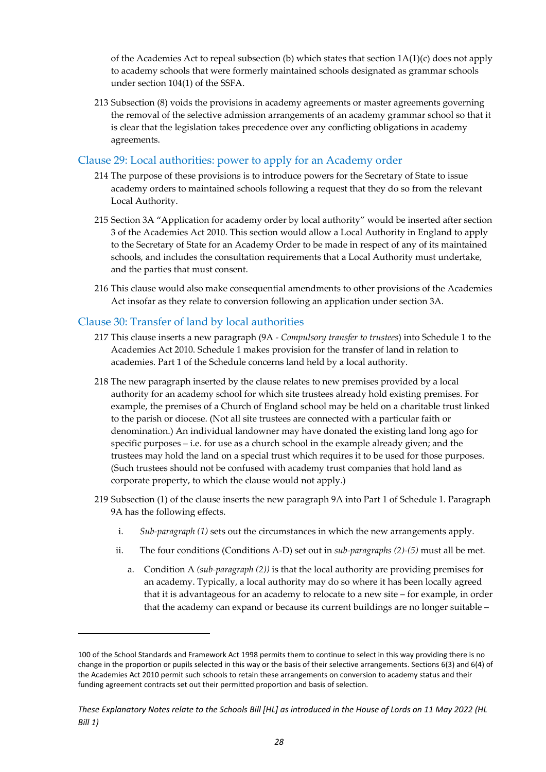of the Academies Act to repeal subsection (b) which states that section  $1A(1)(c)$  does not apply to academy schools that were formerly maintained schools designated as grammar schools under section 104(1) of the SSFA.

213 Subsection (8) voids the provisions in academy agreements or master agreements governing the removal of the selective admission arrangements of an academy grammar school so that it is clear that the legislation takes precedence over any conflicting obligations in academy agreements.

#### <span id="page-28-0"></span>Clause 29: Local authorities: power to apply for an Academy order

- 214 The purpose of these provisions is to introduce powers for the Secretary of State to issue academy orders to maintained schools following a request that they do so from the relevant Local Authority.
- 215 Section 3A "Application for academy order by local authority" would be inserted after section 3 of the Academies Act 2010. This section would allow a Local Authority in England to apply to the Secretary of State for an Academy Order to be made in respect of any of its maintained schools, and includes the consultation requirements that a Local Authority must undertake, and the parties that must consent.
- 216 This clause would also make consequential amendments to other provisions of the Academies Act insofar as they relate to conversion following an application under section 3A.

#### <span id="page-28-1"></span>Clause 30: Transfer of land by local authorities

- 217 This clause inserts a new paragraph (9A *Compulsory transfer to trustees*) into Schedule 1 to the Academies Act 2010. Schedule 1 makes provision for the transfer of land in relation to academies. Part 1 of the Schedule concerns land held by a local authority.
- 218 The new paragraph inserted by the clause relates to new premises provided by a local authority for an academy school for which site trustees already hold existing premises. For example, the premises of a Church of England school may be held on a charitable trust linked to the parish or diocese. (Not all site trustees are connected with a particular faith or denomination.) An individual landowner may have donated the existing land long ago for specific purposes – i.e. for use as a church school in the example already given; and the trustees may hold the land on a special trust which requires it to be used for those purposes. (Such trustees should not be confused with academy trust companies that hold land as corporate property, to which the clause would not apply.)
- 219 Subsection (1) of the clause inserts the new paragraph 9A into Part 1 of Schedule 1. Paragraph 9A has the following effects.
	- i. *Sub-paragraph (1)* sets out the circumstances in which the new arrangements apply.
	- ii. The four conditions (Conditions A-D) set out in *sub-paragraphs (2)-(5)* must all be met.
		- a. Condition A *(sub-paragraph (2))* is that the local authority are providing premises for an academy. Typically, a local authority may do so where it has been locally agreed that it is advantageous for an academy to relocate to a new site – for example, in order that the academy can expand or because its current buildings are no longer suitable –

<sup>100</sup> of the School Standards and Framework Act 1998 permits them to continue to select in this way providing there is no change in the proportion or pupils selected in this way or the basis of their selective arrangements. Sections 6(3) and 6(4) of the Academies Act 2010 permit such schools to retain these arrangements on conversion to academy status and their funding agreement contracts set out their permitted proportion and basis of selection.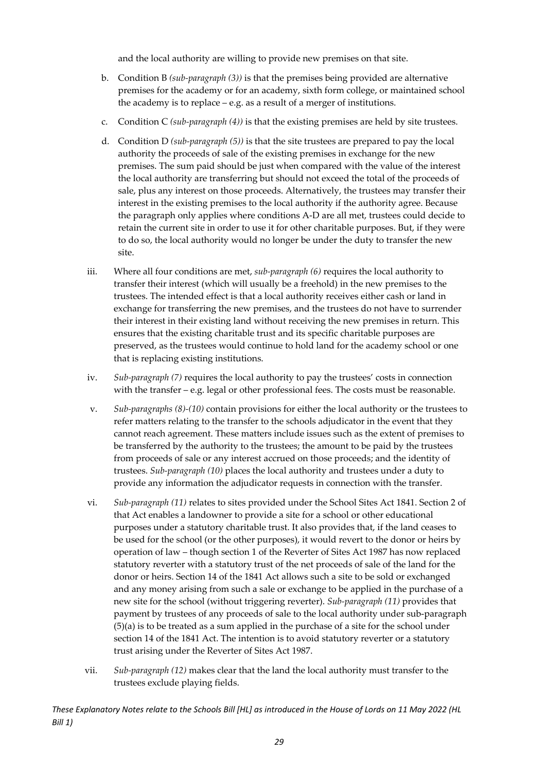and the local authority are willing to provide new premises on that site.

- b. Condition B *(sub-paragraph (3))* is that the premises being provided are alternative premises for the academy or for an academy, sixth form college, or maintained school the academy is to replace – e.g. as a result of a merger of institutions.
- c. Condition C *(sub-paragraph (4))* is that the existing premises are held by site trustees.
- d. Condition D *(sub-paragraph (5))* is that the site trustees are prepared to pay the local authority the proceeds of sale of the existing premises in exchange for the new premises. The sum paid should be just when compared with the value of the interest the local authority are transferring but should not exceed the total of the proceeds of sale, plus any interest on those proceeds. Alternatively, the trustees may transfer their interest in the existing premises to the local authority if the authority agree. Because the paragraph only applies where conditions A-D are all met, trustees could decide to retain the current site in order to use it for other charitable purposes. But, if they were to do so, the local authority would no longer be under the duty to transfer the new site.
- iii. Where all four conditions are met, *sub-paragraph (6)* requires the local authority to transfer their interest (which will usually be a freehold) in the new premises to the trustees. The intended effect is that a local authority receives either cash or land in exchange for transferring the new premises, and the trustees do not have to surrender their interest in their existing land without receiving the new premises in return. This ensures that the existing charitable trust and its specific charitable purposes are preserved, as the trustees would continue to hold land for the academy school or one that is replacing existing institutions.
- iv. *Sub-paragraph (7)* requires the local authority to pay the trustees' costs in connection with the transfer – e.g. legal or other professional fees. The costs must be reasonable.
- v. *Sub-paragraphs (8)-(10)* contain provisions for either the local authority or the trustees to refer matters relating to the transfer to the schools adjudicator in the event that they cannot reach agreement. These matters include issues such as the extent of premises to be transferred by the authority to the trustees; the amount to be paid by the trustees from proceeds of sale or any interest accrued on those proceeds; and the identity of trustees. *Sub-paragraph (10)* places the local authority and trustees under a duty to provide any information the adjudicator requests in connection with the transfer.
- vi. *Sub-paragraph (11)* relates to sites provided under the School Sites Act 1841. Section 2 of that Act enables a landowner to provide a site for a school or other educational purposes under a statutory charitable trust. It also provides that, if the land ceases to be used for the school (or the other purposes), it would revert to the donor or heirs by operation of law – though section 1 of the Reverter of Sites Act 1987 has now replaced statutory reverter with a statutory trust of the net proceeds of sale of the land for the donor or heirs. Section 14 of the 1841 Act allows such a site to be sold or exchanged and any money arising from such a sale or exchange to be applied in the purchase of a new site for the school (without triggering reverter). *Sub-paragraph (11)* provides that payment by trustees of any proceeds of sale to the local authority under sub-paragraph (5)(a) is to be treated as a sum applied in the purchase of a site for the school under section 14 of the 1841 Act. The intention is to avoid statutory reverter or a statutory trust arising under the Reverter of Sites Act 1987.
- vii. *Sub-paragraph (12)* makes clear that the land the local authority must transfer to the trustees exclude playing fields.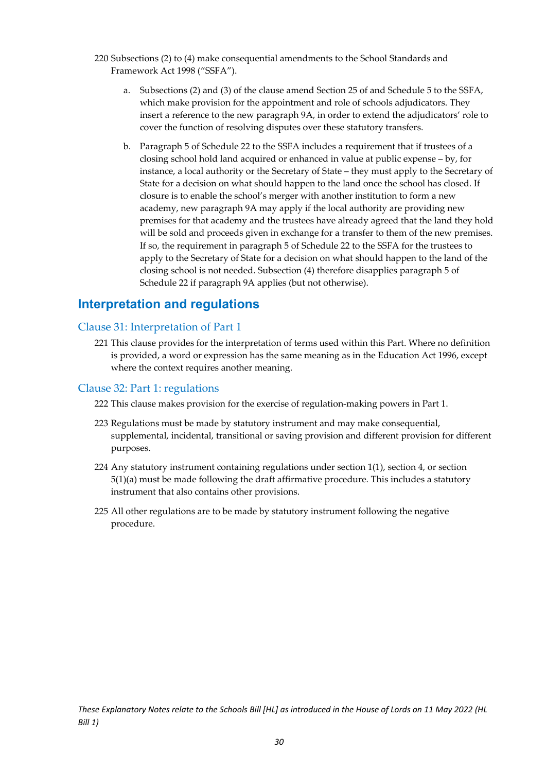- 220 Subsections (2) to (4) make consequential amendments to the School Standards and Framework Act 1998 ("SSFA").
	- a. Subsections (2) and (3) of the clause amend Section 25 of and Schedule 5 to the SSFA, which make provision for the appointment and role of schools adjudicators. They insert a reference to the new paragraph 9A, in order to extend the adjudicators' role to cover the function of resolving disputes over these statutory transfers.
	- b. Paragraph 5 of Schedule 22 to the SSFA includes a requirement that if trustees of a closing school hold land acquired or enhanced in value at public expense – by, for instance, a local authority or the Secretary of State – they must apply to the Secretary of State for a decision on what should happen to the land once the school has closed. If closure is to enable the school's merger with another institution to form a new academy, new paragraph 9A may apply if the local authority are providing new premises for that academy and the trustees have already agreed that the land they hold will be sold and proceeds given in exchange for a transfer to them of the new premises. If so, the requirement in paragraph 5 of Schedule 22 to the SSFA for the trustees to apply to the Secretary of State for a decision on what should happen to the land of the closing school is not needed. Subsection (4) therefore disapplies paragraph 5 of Schedule 22 if paragraph 9A applies (but not otherwise).

#### <span id="page-30-0"></span>**Interpretation and regulations**

#### <span id="page-30-1"></span>Clause 31: Interpretation of Part 1

221 This clause provides for the interpretation of terms used within this Part. Where no definition is provided, a word or expression has the same meaning as in the Education Act 1996, except where the context requires another meaning.

#### <span id="page-30-2"></span>Clause 32: Part 1: regulations

- 222 This clause makes provision for the exercise of regulation-making powers in Part 1.
- 223 Regulations must be made by statutory instrument and may make consequential, supplemental, incidental, transitional or saving provision and different provision for different purposes.
- 224 Any statutory instrument containing regulations under section 1(1), section 4, or section 5(1)(a) must be made following the draft affirmative procedure. This includes a statutory instrument that also contains other provisions.
- 225 All other regulations are to be made by statutory instrument following the negative procedure.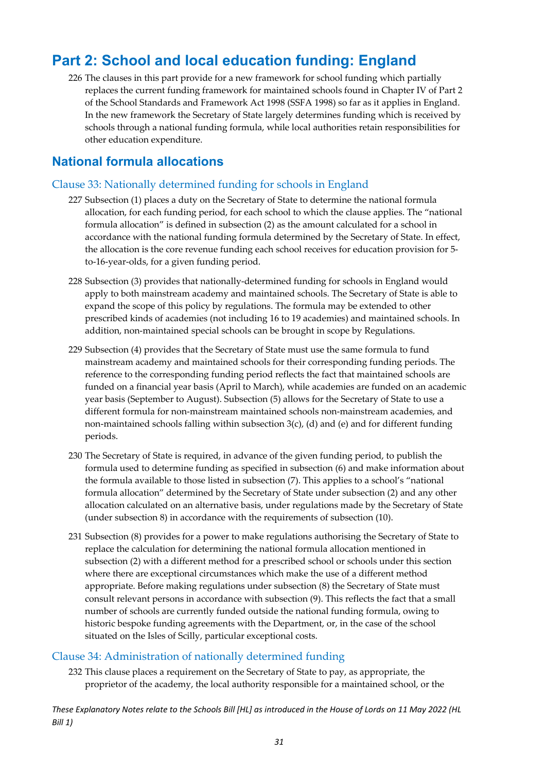### <span id="page-31-0"></span>**Part 2: School and local education funding: England**

226 The clauses in this part provide for a new framework for school funding which partially replaces the current funding framework for maintained schools found in Chapter IV of Part 2 of the School Standards and Framework Act 1998 (SSFA 1998) so far as it applies in England. In the new framework the Secretary of State largely determines funding which is received by schools through a national funding formula, while local authorities retain responsibilities for other education expenditure.

#### <span id="page-31-1"></span>**National formula allocations**

#### <span id="page-31-2"></span>Clause 33: Nationally determined funding for schools in England

- 227 Subsection (1) places a duty on the Secretary of State to determine the national formula allocation, for each funding period, for each school to which the clause applies. The "national formula allocation" is defined in subsection (2) as the amount calculated for a school in accordance with the national funding formula determined by the Secretary of State. In effect, the allocation is the core revenue funding each school receives for education provision for 5 to-16-year-olds, for a given funding period.
- 228 Subsection (3) provides that nationally-determined funding for schools in England would apply to both mainstream academy and maintained schools. The Secretary of State is able to expand the scope of this policy by regulations. The formula may be extended to other prescribed kinds of academies (not including 16 to 19 academies) and maintained schools. In addition, non-maintained special schools can be brought in scope by Regulations.
- 229 Subsection (4) provides that the Secretary of State must use the same formula to fund mainstream academy and maintained schools for their corresponding funding periods. The reference to the corresponding funding period reflects the fact that maintained schools are funded on a financial year basis (April to March), while academies are funded on an academic year basis (September to August). Subsection (5) allows for the Secretary of State to use a different formula for non-mainstream maintained schools non-mainstream academies, and non-maintained schools falling within subsection 3(c), (d) and (e) and for different funding periods.
- 230 The Secretary of State is required, in advance of the given funding period, to publish the formula used to determine funding as specified in subsection (6) and make information about the formula available to those listed in subsection (7). This applies to a school's "national formula allocation" determined by the Secretary of State under subsection (2) and any other allocation calculated on an alternative basis, under regulations made by the Secretary of State (under subsection 8) in accordance with the requirements of subsection (10).
- 231 Subsection (8) provides for a power to make regulations authorising the Secretary of State to replace the calculation for determining the national formula allocation mentioned in subsection (2) with a different method for a prescribed school or schools under this section where there are exceptional circumstances which make the use of a different method appropriate. Before making regulations under subsection (8) the Secretary of State must consult relevant persons in accordance with subsection (9). This reflects the fact that a small number of schools are currently funded outside the national funding formula, owing to historic bespoke funding agreements with the Department, or, in the case of the school situated on the Isles of Scilly, particular exceptional costs.

#### <span id="page-31-3"></span>Clause 34: Administration of nationally determined funding

232 This clause places a requirement on the Secretary of State to pay, as appropriate, the proprietor of the academy, the local authority responsible for a maintained school, or the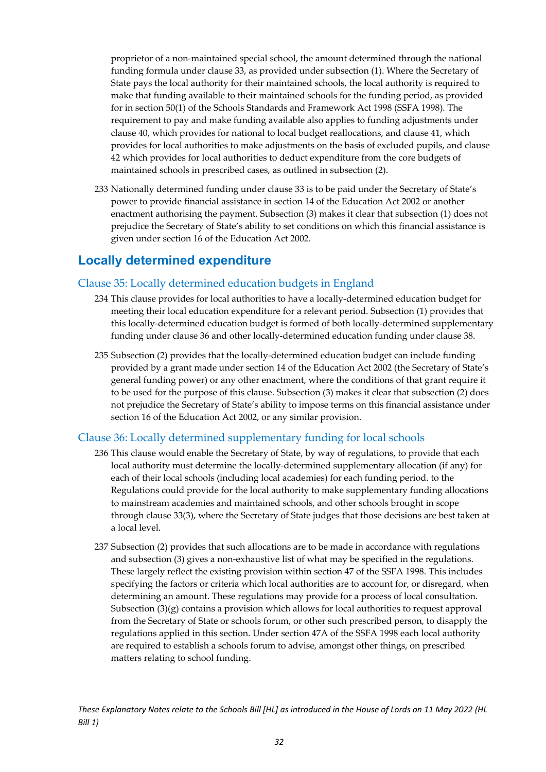proprietor of a non-maintained special school, the amount determined through the national funding formula under clause 33, as provided under subsection (1). Where the Secretary of State pays the local authority for their maintained schools, the local authority is required to make that funding available to their maintained schools for the funding period, as provided for in section 50(1) of the Schools Standards and Framework Act 1998 (SSFA 1998). The requirement to pay and make funding available also applies to funding adjustments under clause 40, which provides for national to local budget reallocations, and clause 41, which provides for local authorities to make adjustments on the basis of excluded pupils, and clause 42 which provides for local authorities to deduct expenditure from the core budgets of maintained schools in prescribed cases, as outlined in subsection (2).

233 Nationally determined funding under clause 33 is to be paid under the Secretary of State's power to provide financial assistance in section 14 of the Education Act 2002 or another enactment authorising the payment. Subsection (3) makes it clear that subsection (1) does not prejudice the Secretary of State's ability to set conditions on which this financial assistance is given under section 16 of the Education Act 2002.

#### <span id="page-32-0"></span>**Locally determined expenditure**

#### <span id="page-32-1"></span>Clause 35: Locally determined education budgets in England

- 234 This clause provides for local authorities to have a locally-determined education budget for meeting their local education expenditure for a relevant period. Subsection (1) provides that this locally-determined education budget is formed of both locally-determined supplementary funding under clause 36 and other locally-determined education funding under clause 38.
- 235 Subsection (2) provides that the locally-determined education budget can include funding provided by a grant made under section 14 of the Education Act 2002 (the Secretary of State's general funding power) or any other enactment, where the conditions of that grant require it to be used for the purpose of this clause. Subsection (3) makes it clear that subsection (2) does not prejudice the Secretary of State's ability to impose terms on this financial assistance under section 16 of the Education Act 2002, or any similar provision.

#### <span id="page-32-2"></span>Clause 36: Locally determined supplementary funding for local schools

- 236 This clause would enable the Secretary of State, by way of regulations, to provide that each local authority must determine the locally-determined supplementary allocation (if any) for each of their local schools (including local academies) for each funding period. to the Regulations could provide for the local authority to make supplementary funding allocations to mainstream academies and maintained schools, and other schools brought in scope through clause 33(3), where the Secretary of State judges that those decisions are best taken at a local level.
- 237 Subsection (2) provides that such allocations are to be made in accordance with regulations and subsection (3) gives a non-exhaustive list of what may be specified in the regulations. These largely reflect the existing provision within section 47 of the SSFA 1998. This includes specifying the factors or criteria which local authorities are to account for, or disregard, when determining an amount. These regulations may provide for a process of local consultation. Subsection  $(3)(g)$  contains a provision which allows for local authorities to request approval from the Secretary of State or schools forum, or other such prescribed person, to disapply the regulations applied in this section. Under section 47A of the SSFA 1998 each local authority are required to establish a schools forum to advise, amongst other things, on prescribed matters relating to school funding.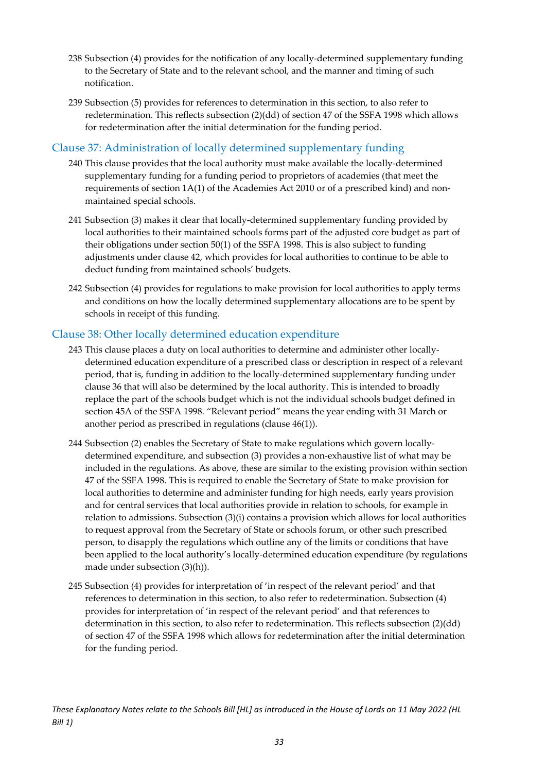- 238 Subsection (4) provides for the notification of any locally-determined supplementary funding to the Secretary of State and to the relevant school, and the manner and timing of such notification.
- 239 Subsection (5) provides for references to determination in this section, to also refer to redetermination. This reflects subsection (2)(dd) of section 47 of the SSFA 1998 which allows for redetermination after the initial determination for the funding period.

#### <span id="page-33-0"></span>Clause 37: Administration of locally determined supplementary funding

- 240 This clause provides that the local authority must make available the locally-determined supplementary funding for a funding period to proprietors of academies (that meet the requirements of section 1A(1) of the Academies Act 2010 or of a prescribed kind) and nonmaintained special schools.
- 241 Subsection (3) makes it clear that locally-determined supplementary funding provided by local authorities to their maintained schools forms part of the adjusted core budget as part of their obligations under section 50(1) of the SSFA 1998. This is also subject to funding adjustments under clause 42, which provides for local authorities to continue to be able to deduct funding from maintained schools' budgets.
- 242 Subsection (4) provides for regulations to make provision for local authorities to apply terms and conditions on how the locally determined supplementary allocations are to be spent by schools in receipt of this funding.

#### <span id="page-33-1"></span>Clause 38: Other locally determined education expenditure

- 243 This clause places a duty on local authorities to determine and administer other locallydetermined education expenditure of a prescribed class or description in respect of a relevant period, that is, funding in addition to the locally-determined supplementary funding under clause 36 that will also be determined by the local authority. This is intended to broadly replace the part of the schools budget which is not the individual schools budget defined in section 45A of the SSFA 1998. "Relevant period" means the year ending with 31 March or another period as prescribed in regulations (clause 46(1)).
- 244 Subsection (2) enables the Secretary of State to make regulations which govern locallydetermined expenditure, and subsection (3) provides a non-exhaustive list of what may be included in the regulations. As above, these are similar to the existing provision within section 47 of the SSFA 1998. This is required to enable the Secretary of State to make provision for local authorities to determine and administer funding for high needs, early years provision and for central services that local authorities provide in relation to schools, for example in relation to admissions. Subsection (3)(i) contains a provision which allows for local authorities to request approval from the Secretary of State or schools forum, or other such prescribed person, to disapply the regulations which outline any of the limits or conditions that have been applied to the local authority's locally-determined education expenditure (by regulations made under subsection (3)(h)).
- 245 Subsection (4) provides for interpretation of 'in respect of the relevant period' and that references to determination in this section, to also refer to redetermination. Subsection (4) provides for interpretation of 'in respect of the relevant period' and that references to determination in this section, to also refer to redetermination. This reflects subsection (2)(dd) of section 47 of the SSFA 1998 which allows for redetermination after the initial determination for the funding period.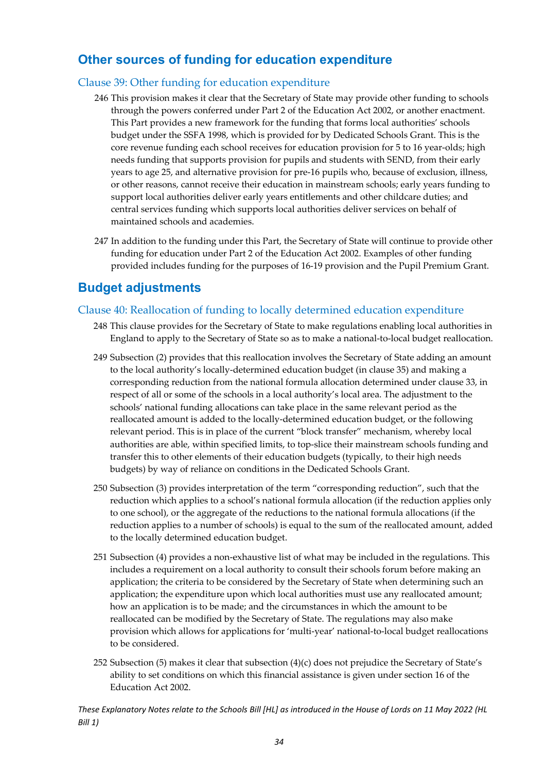### <span id="page-34-0"></span>**Other sources of funding for education expenditure**

#### <span id="page-34-1"></span>Clause 39: Other funding for education expenditure

- 246 This provision makes it clear that the Secretary of State may provide other funding to schools through the powers conferred under Part 2 of the Education Act 2002, or another enactment. This Part provides a new framework for the funding that forms local authorities' schools budget under the SSFA 1998, which is provided for by Dedicated Schools Grant. This is the core revenue funding each school receives for education provision for 5 to 16 year-olds; high needs funding that supports provision for pupils and students with SEND, from their early years to age 25, and alternative provision for pre-16 pupils who, because of exclusion, illness, or other reasons, cannot receive their education in mainstream schools; early years funding to support local authorities deliver early years entitlements and other childcare duties; and central services funding which supports local authorities deliver services on behalf of maintained schools and academies.
- 247 In addition to the funding under this Part, the Secretary of State will continue to provide other funding for education under Part 2 of the Education Act 2002. Examples of other funding provided includes funding for the purposes of 16-19 provision and the Pupil Premium Grant.

### <span id="page-34-2"></span>**Budget adjustments**

#### <span id="page-34-3"></span>Clause 40: Reallocation of funding to locally determined education expenditure

- 248 This clause provides for the Secretary of State to make regulations enabling local authorities in England to apply to the Secretary of State so as to make a national-to-local budget reallocation.
- 249 Subsection (2) provides that this reallocation involves the Secretary of State adding an amount to the local authority's locally-determined education budget (in clause 35) and making a corresponding reduction from the national formula allocation determined under clause 33, in respect of all or some of the schools in a local authority's local area. The adjustment to the schools' national funding allocations can take place in the same relevant period as the reallocated amount is added to the locally-determined education budget, or the following relevant period. This is in place of the current "block transfer" mechanism, whereby local authorities are able, within specified limits, to top-slice their mainstream schools funding and transfer this to other elements of their education budgets (typically, to their high needs budgets) by way of reliance on conditions in the Dedicated Schools Grant.
- 250 Subsection (3) provides interpretation of the term "corresponding reduction", such that the reduction which applies to a school's national formula allocation (if the reduction applies only to one school), or the aggregate of the reductions to the national formula allocations (if the reduction applies to a number of schools) is equal to the sum of the reallocated amount, added to the locally determined education budget.
- 251 Subsection (4) provides a non-exhaustive list of what may be included in the regulations. This includes a requirement on a local authority to consult their schools forum before making an application; the criteria to be considered by the Secretary of State when determining such an application; the expenditure upon which local authorities must use any reallocated amount; how an application is to be made; and the circumstances in which the amount to be reallocated can be modified by the Secretary of State. The regulations may also make provision which allows for applications for 'multi-year' national-to-local budget reallocations to be considered.
- 252 Subsection (5) makes it clear that subsection (4)(c) does not prejudice the Secretary of State's ability to set conditions on which this financial assistance is given under section 16 of the Education Act 2002.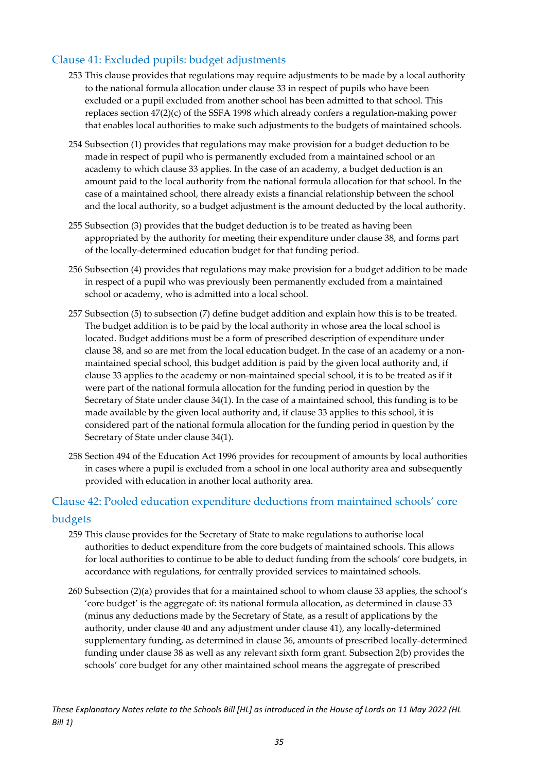#### <span id="page-35-0"></span>Clause 41: Excluded pupils: budget adjustments

- 253 This clause provides that regulations may require adjustments to be made by a local authority to the national formula allocation under clause 33 in respect of pupils who have been excluded or a pupil excluded from another school has been admitted to that school. This replaces section 47(2)(c) of the SSFA 1998 which already confers a regulation-making power that enables local authorities to make such adjustments to the budgets of maintained schools.
- 254 Subsection (1) provides that regulations may make provision for a budget deduction to be made in respect of pupil who is permanently excluded from a maintained school or an academy to which clause 33 applies. In the case of an academy, a budget deduction is an amount paid to the local authority from the national formula allocation for that school. In the case of a maintained school, there already exists a financial relationship between the school and the local authority, so a budget adjustment is the amount deducted by the local authority.
- 255 Subsection (3) provides that the budget deduction is to be treated as having been appropriated by the authority for meeting their expenditure under clause 38, and forms part of the locally-determined education budget for that funding period.
- 256 Subsection (4) provides that regulations may make provision for a budget addition to be made in respect of a pupil who was previously been permanently excluded from a maintained school or academy, who is admitted into a local school.
- 257 Subsection (5) to subsection (7) define budget addition and explain how this is to be treated. The budget addition is to be paid by the local authority in whose area the local school is located. Budget additions must be a form of prescribed description of expenditure under clause 38, and so are met from the local education budget. In the case of an academy or a nonmaintained special school, this budget addition is paid by the given local authority and, if clause 33 applies to the academy or non-maintained special school, it is to be treated as if it were part of the national formula allocation for the funding period in question by the Secretary of State under clause 34(1). In the case of a maintained school, this funding is to be made available by the given local authority and, if clause 33 applies to this school, it is considered part of the national formula allocation for the funding period in question by the Secretary of State under clause 34(1).
- 258 Section 494 of the Education Act 1996 provides for recoupment of amounts by local authorities in cases where a pupil is excluded from a school in one local authority area and subsequently provided with education in another local authority area.

#### <span id="page-35-1"></span>Clause 42: Pooled education expenditure deductions from maintained schools' core budgets

- 259 This clause provides for the Secretary of State to make regulations to authorise local authorities to deduct expenditure from the core budgets of maintained schools. This allows for local authorities to continue to be able to deduct funding from the schools' core budgets, in accordance with regulations, for centrally provided services to maintained schools.
- 260 Subsection (2)(a) provides that for a maintained school to whom clause 33 applies, the school's 'core budget' is the aggregate of: its national formula allocation, as determined in clause 33 (minus any deductions made by the Secretary of State, as a result of applications by the authority, under clause 40 and any adjustment under clause 41), any locally-determined supplementary funding, as determined in clause 36, amounts of prescribed locally-determined funding under clause 38 as well as any relevant sixth form grant. Subsection 2(b) provides the schools' core budget for any other maintained school means the aggregate of prescribed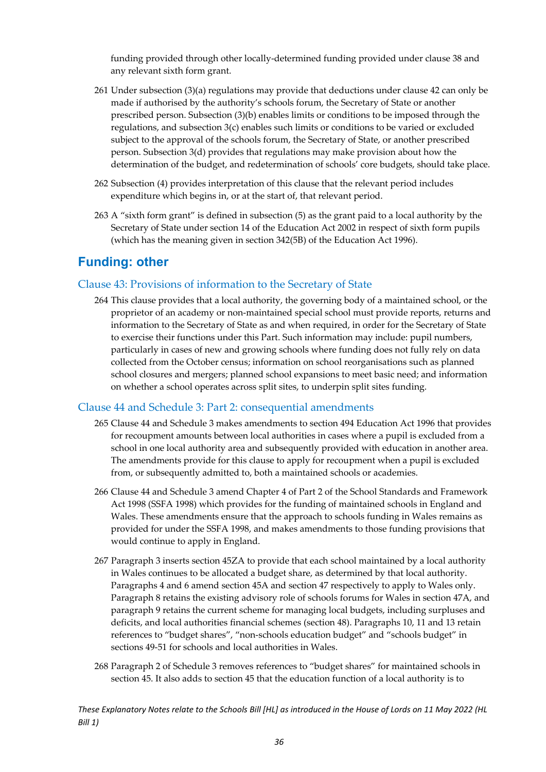funding provided through other locally-determined funding provided under clause 38 and any relevant sixth form grant.

- 261 Under subsection (3)(a) regulations may provide that deductions under clause 42 can only be made if authorised by the authority's schools forum, the Secretary of State or another prescribed person. Subsection (3)(b) enables limits or conditions to be imposed through the regulations, and subsection 3(c) enables such limits or conditions to be varied or excluded subject to the approval of the schools forum, the Secretary of State, or another prescribed person. Subsection 3(d) provides that regulations may make provision about how the determination of the budget, and redetermination of schools' core budgets, should take place.
- 262 Subsection (4) provides interpretation of this clause that the relevant period includes expenditure which begins in, or at the start of, that relevant period.
- 263 A "sixth form grant" is defined in subsection (5) as the grant paid to a local authority by the Secretary of State under section 14 of the Education Act 2002 in respect of sixth form pupils (which has the meaning given in section 342(5B) of the Education Act 1996).

#### <span id="page-36-0"></span>**Funding: other**

#### <span id="page-36-1"></span>Clause 43: Provisions of information to the Secretary of State

264 This clause provides that a local authority, the governing body of a maintained school, or the proprietor of an academy or non-maintained special school must provide reports, returns and information to the Secretary of State as and when required, in order for the Secretary of State to exercise their functions under this Part. Such information may include: pupil numbers, particularly in cases of new and growing schools where funding does not fully rely on data collected from the October census; information on school reorganisations such as planned school closures and mergers; planned school expansions to meet basic need; and information on whether a school operates across split sites, to underpin split sites funding.

#### <span id="page-36-2"></span>Clause 44 and Schedule 3: Part 2: consequential amendments

- 265 Clause 44 and Schedule 3 makes amendments to section 494 Education Act 1996 that provides for recoupment amounts between local authorities in cases where a pupil is excluded from a school in one local authority area and subsequently provided with education in another area. The amendments provide for this clause to apply for recoupment when a pupil is excluded from, or subsequently admitted to, both a maintained schools or academies.
- 266 Clause 44 and Schedule 3 amend Chapter 4 of Part 2 of the School Standards and Framework Act 1998 (SSFA 1998) which provides for the funding of maintained schools in England and Wales. These amendments ensure that the approach to schools funding in Wales remains as provided for under the SSFA 1998, and makes amendments to those funding provisions that would continue to apply in England.
- 267 Paragraph 3 inserts section 45ZA to provide that each school maintained by a local authority in Wales continues to be allocated a budget share, as determined by that local authority. Paragraphs 4 and 6 amend section 45A and section 47 respectively to apply to Wales only. Paragraph 8 retains the existing advisory role of schools forums for Wales in section 47A, and paragraph 9 retains the current scheme for managing local budgets, including surpluses and deficits, and local authorities financial schemes (section 48). Paragraphs 10, 11 and 13 retain references to "budget shares", "non-schools education budget" and "schools budget" in sections 49-51 for schools and local authorities in Wales.
- 268 Paragraph 2 of Schedule 3 removes references to "budget shares" for maintained schools in section 45. It also adds to section 45 that the education function of a local authority is to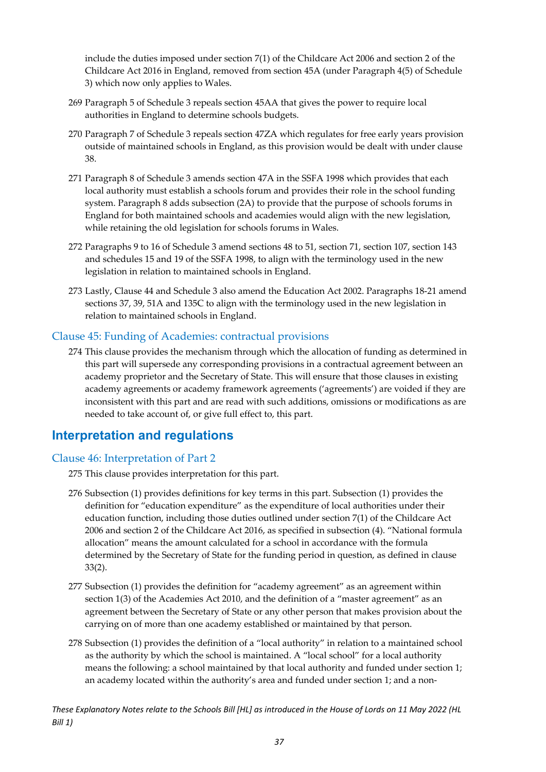include the duties imposed under section 7(1) of the Childcare Act 2006 and section 2 of the Childcare Act 2016 in England, removed from section 45A (under Paragraph 4(5) of Schedule 3) which now only applies to Wales.

- 269 Paragraph 5 of Schedule 3 repeals section 45AA that gives the power to require local authorities in England to determine schools budgets.
- 270 Paragraph 7 of Schedule 3 repeals section 47ZA which regulates for free early years provision outside of maintained schools in England, as this provision would be dealt with under clause 38.
- 271 Paragraph 8 of Schedule 3 amends section 47A in the SSFA 1998 which provides that each local authority must establish a schools forum and provides their role in the school funding system. Paragraph 8 adds subsection (2A) to provide that the purpose of schools forums in England for both maintained schools and academies would align with the new legislation, while retaining the old legislation for schools forums in Wales.
- 272 Paragraphs 9 to 16 of Schedule 3 amend sections 48 to 51, section 71, section 107, section 143 and schedules 15 and 19 of the SSFA 1998, to align with the terminology used in the new legislation in relation to maintained schools in England.
- 273 Lastly, Clause 44 and Schedule 3 also amend the Education Act 2002. Paragraphs 18-21 amend sections 37, 39, 51A and 135C to align with the terminology used in the new legislation in relation to maintained schools in England.

#### <span id="page-37-0"></span>Clause 45: Funding of Academies: contractual provisions

274 This clause provides the mechanism through which the allocation of funding as determined in this part will supersede any corresponding provisions in a contractual agreement between an academy proprietor and the Secretary of State. This will ensure that those clauses in existing academy agreements or academy framework agreements ('agreements') are voided if they are inconsistent with this part and are read with such additions, omissions or modifications as are needed to take account of, or give full effect to, this part.

#### <span id="page-37-1"></span>**Interpretation and regulations**

#### <span id="page-37-2"></span>Clause 46: Interpretation of Part 2

- 275 This clause provides interpretation for this part.
- 276 Subsection (1) provides definitions for key terms in this part. Subsection (1) provides the definition for "education expenditure" as the expenditure of local authorities under their education function, including those duties outlined under section 7(1) of the Childcare Act 2006 and section 2 of the Childcare Act 2016, as specified in subsection (4). "National formula allocation" means the amount calculated for a school in accordance with the formula determined by the Secretary of State for the funding period in question, as defined in clause 33(2).
- 277 Subsection (1) provides the definition for "academy agreement" as an agreement within section 1(3) of the Academies Act 2010, and the definition of a "master agreement" as an agreement between the Secretary of State or any other person that makes provision about the carrying on of more than one academy established or maintained by that person.
- 278 Subsection (1) provides the definition of a "local authority" in relation to a maintained school as the authority by which the school is maintained. A "local school" for a local authority means the following: a school maintained by that local authority and funded under section 1; an academy located within the authority's area and funded under section 1; and a non-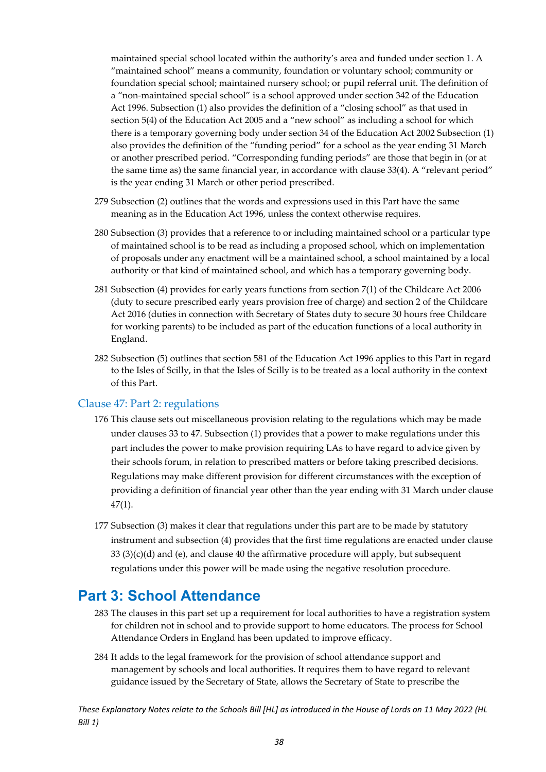maintained special school located within the authority's area and funded under section 1. A "maintained school" means a community, foundation or voluntary school; community or foundation special school; maintained nursery school; or pupil referral unit. The definition of a "non-maintained special school" is a school approved under section 342 of the Education Act 1996. Subsection (1) also provides the definition of a "closing school" as that used in section 5(4) of the Education Act 2005 and a "new school" as including a school for which there is a temporary governing body under section 34 of the Education Act 2002 Subsection (1) also provides the definition of the "funding period" for a school as the year ending 31 March or another prescribed period. "Corresponding funding periods" are those that begin in (or at the same time as) the same financial year, in accordance with clause 33(4). A "relevant period" is the year ending 31 March or other period prescribed.

- 279 Subsection (2) outlines that the words and expressions used in this Part have the same meaning as in the Education Act 1996, unless the context otherwise requires.
- 280 Subsection (3) provides that a reference to or including maintained school or a particular type of maintained school is to be read as including a proposed school, which on implementation of proposals under any enactment will be a maintained school, a school maintained by a local authority or that kind of maintained school, and which has a temporary governing body.
- 281 Subsection (4) provides for early years functions from section 7(1) of the Childcare Act 2006 (duty to secure prescribed early years provision free of charge) and section 2 of the Childcare Act 2016 (duties in connection with Secretary of States duty to secure 30 hours free Childcare for working parents) to be included as part of the education functions of a local authority in England.
- 282 Subsection (5) outlines that section 581 of the Education Act 1996 applies to this Part in regard to the Isles of Scilly, in that the Isles of Scilly is to be treated as a local authority in the context of this Part.

#### <span id="page-38-0"></span>Clause 47: Part 2: regulations

- 176 This clause sets out miscellaneous provision relating to the regulations which may be made under clauses 33 to 47. Subsection (1) provides that a power to make regulations under this part includes the power to make provision requiring LAs to have regard to advice given by their schools forum, in relation to prescribed matters or before taking prescribed decisions. Regulations may make different provision for different circumstances with the exception of providing a definition of financial year other than the year ending with 31 March under clause 47(1).
- 177 Subsection (3) makes it clear that regulations under this part are to be made by statutory instrument and subsection (4) provides that the first time regulations are enacted under clause 33 (3)(c)(d) and (e), and clause 40 the affirmative procedure will apply, but subsequent regulations under this power will be made using the negative resolution procedure.

### <span id="page-38-1"></span>**Part 3: School Attendance**

- 283 The clauses in this part set up a requirement for local authorities to have a registration system for children not in school and to provide support to home educators. The process for School Attendance Orders in England has been updated to improve efficacy.
- 284 It adds to the legal framework for the provision of school attendance support and management by schools and local authorities. It requires them to have regard to relevant guidance issued by the Secretary of State, allows the Secretary of State to prescribe the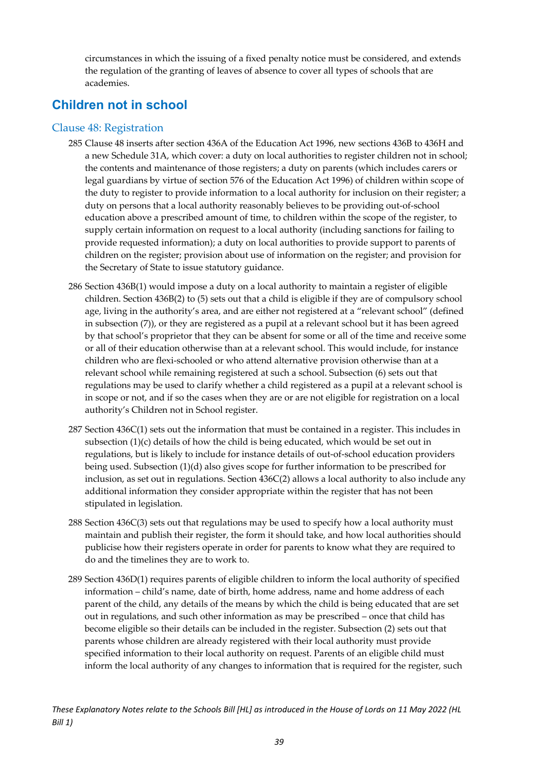circumstances in which the issuing of a fixed penalty notice must be considered, and extends the regulation of the granting of leaves of absence to cover all types of schools that are academies.

### <span id="page-39-0"></span>**Children not in school**

#### <span id="page-39-1"></span>Clause 48: Registration

- 285 Clause 48 inserts after section 436A of the Education Act 1996, new sections 436B to 436H and a new Schedule 31A, which cover: a duty on local authorities to register children not in school; the contents and maintenance of those registers; a duty on parents (which includes carers or legal guardians by virtue of section 576 of the Education Act 1996) of children within scope of the duty to register to provide information to a local authority for inclusion on their register; a duty on persons that a local authority reasonably believes to be providing out-of-school education above a prescribed amount of time, to children within the scope of the register, to supply certain information on request to a local authority (including sanctions for failing to provide requested information); a duty on local authorities to provide support to parents of children on the register; provision about use of information on the register; and provision for the Secretary of State to issue statutory guidance.
- 286 Section 436B(1) would impose a duty on a local authority to maintain a register of eligible children. Section 436B(2) to (5) sets out that a child is eligible if they are of compulsory school age, living in the authority's area, and are either not registered at a "relevant school" (defined in subsection (7)), or they are registered as a pupil at a relevant school but it has been agreed by that school's proprietor that they can be absent for some or all of the time and receive some or all of their education otherwise than at a relevant school. This would include, for instance children who are flexi-schooled or who attend alternative provision otherwise than at a relevant school while remaining registered at such a school. Subsection (6) sets out that regulations may be used to clarify whether a child registered as a pupil at a relevant school is in scope or not, and if so the cases when they are or are not eligible for registration on a local authority's Children not in School register.
- 287 Section 436C(1) sets out the information that must be contained in a register. This includes in subsection (1)(c) details of how the child is being educated, which would be set out in regulations, but is likely to include for instance details of out-of-school education providers being used. Subsection (1)(d) also gives scope for further information to be prescribed for inclusion, as set out in regulations. Section 436C(2) allows a local authority to also include any additional information they consider appropriate within the register that has not been stipulated in legislation.
- 288 Section 436C(3) sets out that regulations may be used to specify how a local authority must maintain and publish their register, the form it should take, and how local authorities should publicise how their registers operate in order for parents to know what they are required to do and the timelines they are to work to.
- 289 Section 436D(1) requires parents of eligible children to inform the local authority of specified information – child's name, date of birth, home address, name and home address of each parent of the child, any details of the means by which the child is being educated that are set out in regulations, and such other information as may be prescribed – once that child has become eligible so their details can be included in the register. Subsection (2) sets out that parents whose children are already registered with their local authority must provide specified information to their local authority on request. Parents of an eligible child must inform the local authority of any changes to information that is required for the register, such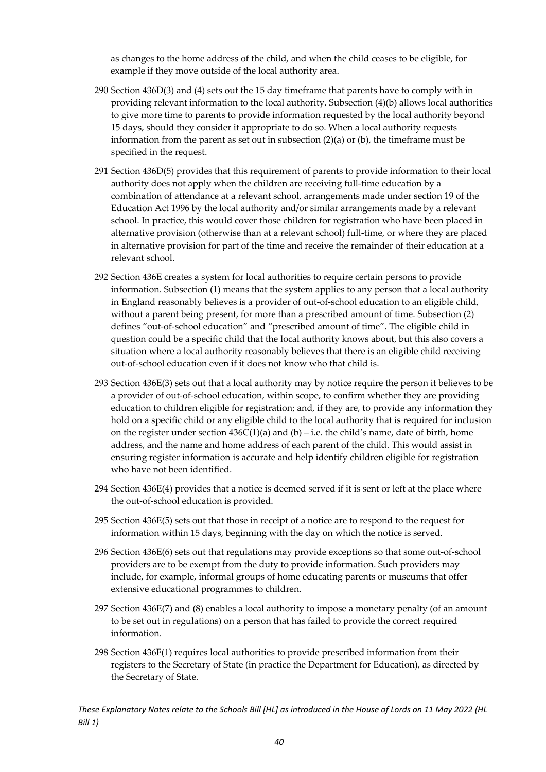as changes to the home address of the child, and when the child ceases to be eligible, for example if they move outside of the local authority area.

- 290 Section 436D(3) and (4) sets out the 15 day timeframe that parents have to comply with in providing relevant information to the local authority. Subsection (4)(b) allows local authorities to give more time to parents to provide information requested by the local authority beyond 15 days, should they consider it appropriate to do so. When a local authority requests information from the parent as set out in subsection  $(2)(a)$  or  $(b)$ , the timeframe must be specified in the request.
- 291 Section 436D(5) provides that this requirement of parents to provide information to their local authority does not apply when the children are receiving full-time education by a combination of attendance at a relevant school, arrangements made under section 19 of the Education Act 1996 by the local authority and/or similar arrangements made by a relevant school. In practice, this would cover those children for registration who have been placed in alternative provision (otherwise than at a relevant school) full-time, or where they are placed in alternative provision for part of the time and receive the remainder of their education at a relevant school.
- 292 Section 436E creates a system for local authorities to require certain persons to provide information. Subsection (1) means that the system applies to any person that a local authority in England reasonably believes is a provider of out-of-school education to an eligible child, without a parent being present, for more than a prescribed amount of time. Subsection (2) defines "out-of-school education" and "prescribed amount of time". The eligible child in question could be a specific child that the local authority knows about, but this also covers a situation where a local authority reasonably believes that there is an eligible child receiving out-of-school education even if it does not know who that child is.
- 293 Section 436E(3) sets out that a local authority may by notice require the person it believes to be a provider of out-of-school education, within scope, to confirm whether they are providing education to children eligible for registration; and, if they are, to provide any information they hold on a specific child or any eligible child to the local authority that is required for inclusion on the register under section  $436C(1)(a)$  and (b) – i.e. the child's name, date of birth, home address, and the name and home address of each parent of the child. This would assist in ensuring register information is accurate and help identify children eligible for registration who have not been identified.
- 294 Section 436E(4) provides that a notice is deemed served if it is sent or left at the place where the out-of-school education is provided.
- 295 Section 436E(5) sets out that those in receipt of a notice are to respond to the request for information within 15 days, beginning with the day on which the notice is served.
- 296 Section 436E(6) sets out that regulations may provide exceptions so that some out-of-school providers are to be exempt from the duty to provide information. Such providers may include, for example, informal groups of home educating parents or museums that offer extensive educational programmes to children.
- 297 Section 436E(7) and (8) enables a local authority to impose a monetary penalty (of an amount to be set out in regulations) on a person that has failed to provide the correct required information.
- 298 Section 436F(1) requires local authorities to provide prescribed information from their registers to the Secretary of State (in practice the Department for Education), as directed by the Secretary of State.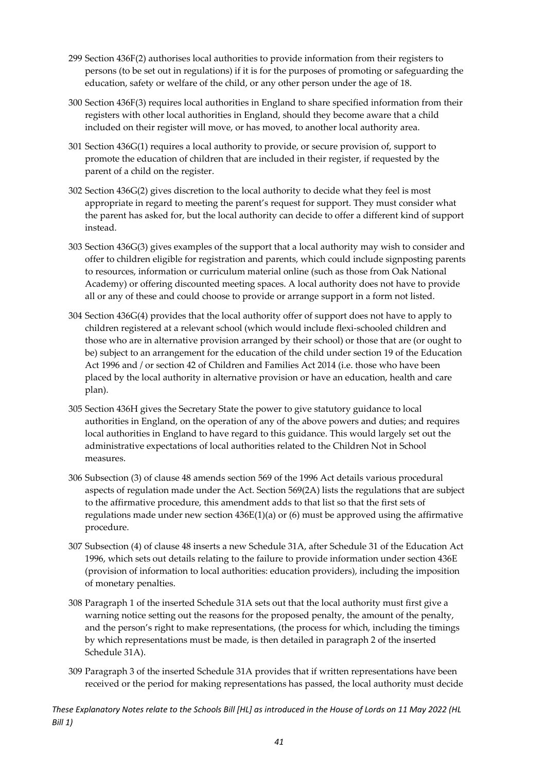- 299 Section 436F(2) authorises local authorities to provide information from their registers to persons (to be set out in regulations) if it is for the purposes of promoting or safeguarding the education, safety or welfare of the child, or any other person under the age of 18.
- 300 Section 436F(3) requires local authorities in England to share specified information from their registers with other local authorities in England, should they become aware that a child included on their register will move, or has moved, to another local authority area.
- 301 Section 436G(1) requires a local authority to provide, or secure provision of, support to promote the education of children that are included in their register, if requested by the parent of a child on the register.
- 302 Section 436G(2) gives discretion to the local authority to decide what they feel is most appropriate in regard to meeting the parent's request for support. They must consider what the parent has asked for, but the local authority can decide to offer a different kind of support instead.
- 303 Section 436G(3) gives examples of the support that a local authority may wish to consider and offer to children eligible for registration and parents, which could include signposting parents to resources, information or curriculum material online (such as those from Oak National Academy) or offering discounted meeting spaces. A local authority does not have to provide all or any of these and could choose to provide or arrange support in a form not listed.
- 304 Section 436G(4) provides that the local authority offer of support does not have to apply to children registered at a relevant school (which would include flexi-schooled children and those who are in alternative provision arranged by their school) or those that are (or ought to be) subject to an arrangement for the education of the child under section 19 of the Education Act 1996 and / or section 42 of Children and Families Act 2014 (i.e. those who have been placed by the local authority in alternative provision or have an education, health and care plan).
- 305 Section 436H gives the Secretary State the power to give statutory guidance to local authorities in England, on the operation of any of the above powers and duties; and requires local authorities in England to have regard to this guidance. This would largely set out the administrative expectations of local authorities related to the Children Not in School measures.
- 306 Subsection (3) of clause 48 amends section 569 of the 1996 Act details various procedural aspects of regulation made under the Act. Section 569(2A) lists the regulations that are subject to the affirmative procedure, this amendment adds to that list so that the first sets of regulations made under new section  $436E(1)(a)$  or (6) must be approved using the affirmative procedure.
- 307 Subsection (4) of clause 48 inserts a new Schedule 31A, after Schedule 31 of the Education Act 1996, which sets out details relating to the failure to provide information under section 436E (provision of information to local authorities: education providers), including the imposition of monetary penalties.
- 308 Paragraph 1 of the inserted Schedule 31A sets out that the local authority must first give a warning notice setting out the reasons for the proposed penalty, the amount of the penalty, and the person's right to make representations, (the process for which, including the timings by which representations must be made, is then detailed in paragraph 2 of the inserted Schedule 31A).
- 309 Paragraph 3 of the inserted Schedule 31A provides that if written representations have been received or the period for making representations has passed, the local authority must decide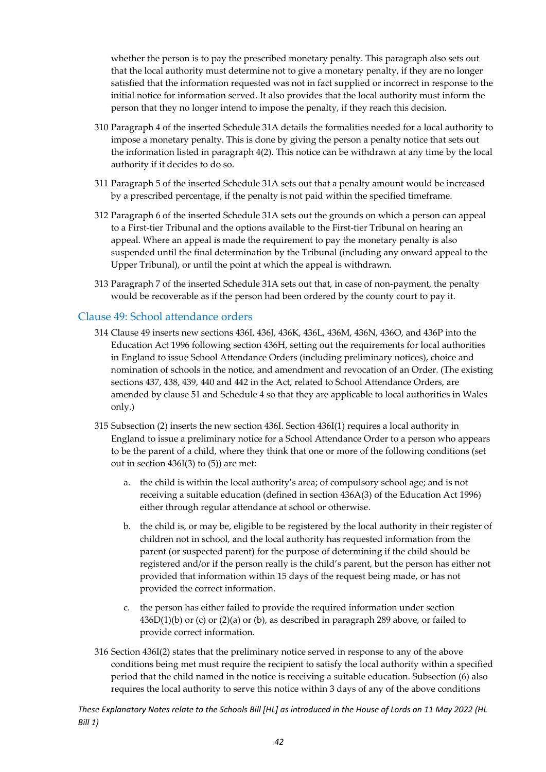whether the person is to pay the prescribed monetary penalty. This paragraph also sets out that the local authority must determine not to give a monetary penalty, if they are no longer satisfied that the information requested was not in fact supplied or incorrect in response to the initial notice for information served. It also provides that the local authority must inform the person that they no longer intend to impose the penalty, if they reach this decision.

- 310 Paragraph 4 of the inserted Schedule 31A details the formalities needed for a local authority to impose a monetary penalty. This is done by giving the person a penalty notice that sets out the information listed in paragraph 4(2). This notice can be withdrawn at any time by the local authority if it decides to do so.
- 311 Paragraph 5 of the inserted Schedule 31A sets out that a penalty amount would be increased by a prescribed percentage, if the penalty is not paid within the specified timeframe.
- 312 Paragraph 6 of the inserted Schedule 31A sets out the grounds on which a person can appeal to a First-tier Tribunal and the options available to the First-tier Tribunal on hearing an appeal. Where an appeal is made the requirement to pay the monetary penalty is also suspended until the final determination by the Tribunal (including any onward appeal to the Upper Tribunal), or until the point at which the appeal is withdrawn.
- 313 Paragraph 7 of the inserted Schedule 31A sets out that, in case of non-payment, the penalty would be recoverable as if the person had been ordered by the county court to pay it.

#### <span id="page-42-0"></span>Clause 49: School attendance orders

- 314 Clause 49 inserts new sections 436I, 436J, 436K, 436L, 436M, 436N, 436O, and 436P into the Education Act 1996 following section 436H, setting out the requirements for local authorities in England to issue School Attendance Orders (including preliminary notices), choice and nomination of schools in the notice, and amendment and revocation of an Order. (The existing sections 437, 438, 439, 440 and 442 in the Act, related to School Attendance Orders, are amended by clause 51 and Schedule 4 so that they are applicable to local authorities in Wales only.)
- 315 Subsection (2) inserts the new section 436I. Section 436I(1) requires a local authority in England to issue a preliminary notice for a School Attendance Order to a person who appears to be the parent of a child, where they think that one or more of the following conditions (set out in section 436I(3) to (5)) are met:
	- a. the child is within the local authority's area; of compulsory school age; and is not receiving a suitable education (defined in section 436A(3) of the Education Act 1996) either through regular attendance at school or otherwise.
	- b. the child is, or may be, eligible to be registered by the local authority in their register of children not in school, and the local authority has requested information from the parent (or suspected parent) for the purpose of determining if the child should be registered and/or if the person really is the child's parent, but the person has either not provided that information within 15 days of the request being made, or has not provided the correct information.
	- c. the person has either failed to provide the required information under section  $436D(1)(b)$  or (c) or (2)(a) or (b), as described in paragraph 289 above, or failed to provide correct information.
- 316 Section 436I(2) states that the preliminary notice served in response to any of the above conditions being met must require the recipient to satisfy the local authority within a specified period that the child named in the notice is receiving a suitable education. Subsection (6) also requires the local authority to serve this notice within 3 days of any of the above conditions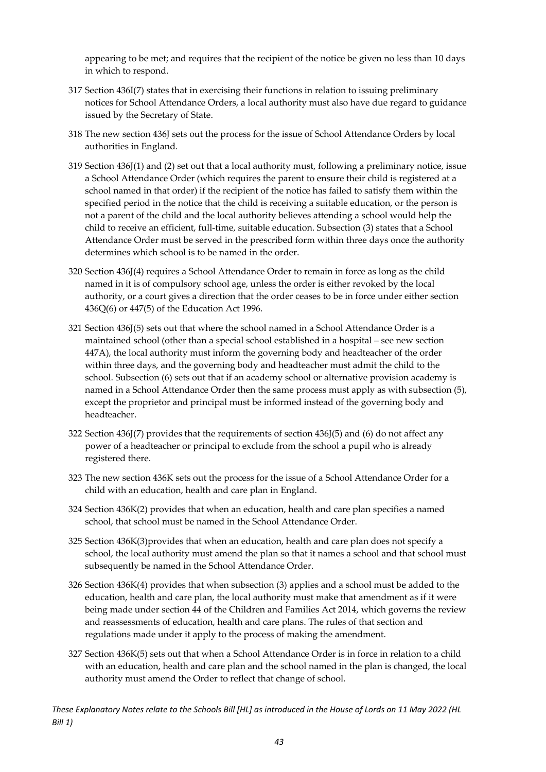appearing to be met; and requires that the recipient of the notice be given no less than 10 days in which to respond.

- 317 Section 436I(7) states that in exercising their functions in relation to issuing preliminary notices for School Attendance Orders, a local authority must also have due regard to guidance issued by the Secretary of State.
- 318 The new section 436J sets out the process for the issue of School Attendance Orders by local authorities in England.
- 319 Section 436J(1) and (2) set out that a local authority must, following a preliminary notice, issue a School Attendance Order (which requires the parent to ensure their child is registered at a school named in that order) if the recipient of the notice has failed to satisfy them within the specified period in the notice that the child is receiving a suitable education, or the person is not a parent of the child and the local authority believes attending a school would help the child to receive an efficient, full-time, suitable education. Subsection (3) states that a School Attendance Order must be served in the prescribed form within three days once the authority determines which school is to be named in the order.
- 320 Section 436J(4) requires a School Attendance Order to remain in force as long as the child named in it is of compulsory school age, unless the order is either revoked by the local authority, or a court gives a direction that the order ceases to be in force under either section 436Q(6) or 447(5) of the Education Act 1996.
- 321 Section 436J(5) sets out that where the school named in a School Attendance Order is a maintained school (other than a special school established in a hospital – see new section 447A), the local authority must inform the governing body and headteacher of the order within three days, and the governing body and headteacher must admit the child to the school. Subsection (6) sets out that if an academy school or alternative provision academy is named in a School Attendance Order then the same process must apply as with subsection (5), except the proprietor and principal must be informed instead of the governing body and headteacher.
- 322 Section 436J(7) provides that the requirements of section 436J(5) and (6) do not affect any power of a headteacher or principal to exclude from the school a pupil who is already registered there.
- 323 The new section 436K sets out the process for the issue of a School Attendance Order for a child with an education, health and care plan in England.
- 324 Section 436K(2) provides that when an education, health and care plan specifies a named school, that school must be named in the School Attendance Order.
- 325 Section 436K(3)provides that when an education, health and care plan does not specify a school, the local authority must amend the plan so that it names a school and that school must subsequently be named in the School Attendance Order.
- 326 Section 436K(4) provides that when subsection (3) applies and a school must be added to the education, health and care plan, the local authority must make that amendment as if it were being made under section 44 of the Children and Families Act 2014, which governs the review and reassessments of education, health and care plans. The rules of that section and regulations made under it apply to the process of making the amendment.
- 327 Section 436K(5) sets out that when a School Attendance Order is in force in relation to a child with an education, health and care plan and the school named in the plan is changed, the local authority must amend the Order to reflect that change of school.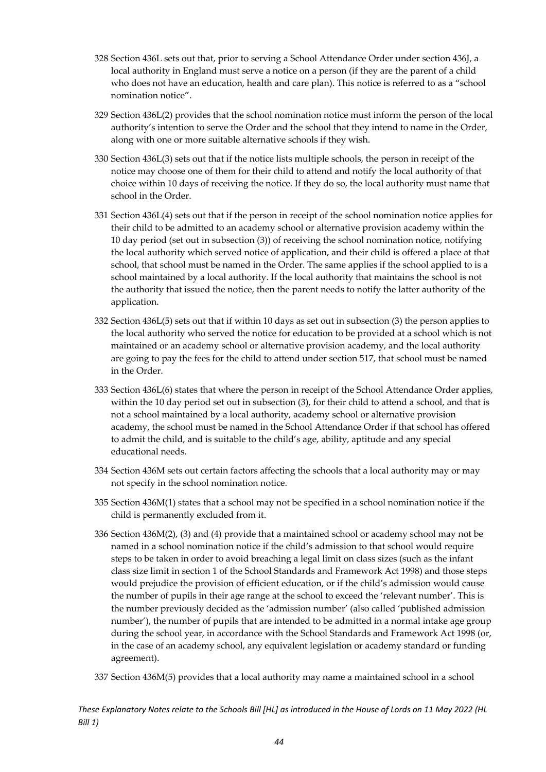- 328 Section 436L sets out that, prior to serving a School Attendance Order under section 436J, a local authority in England must serve a notice on a person (if they are the parent of a child who does not have an education, health and care plan). This notice is referred to as a "school nomination notice".
- 329 Section 436L(2) provides that the school nomination notice must inform the person of the local authority's intention to serve the Order and the school that they intend to name in the Order, along with one or more suitable alternative schools if they wish.
- 330 Section 436L(3) sets out that if the notice lists multiple schools, the person in receipt of the notice may choose one of them for their child to attend and notify the local authority of that choice within 10 days of receiving the notice. If they do so, the local authority must name that school in the Order.
- 331 Section 436L(4) sets out that if the person in receipt of the school nomination notice applies for their child to be admitted to an academy school or alternative provision academy within the 10 day period (set out in subsection (3)) of receiving the school nomination notice, notifying the local authority which served notice of application, and their child is offered a place at that school, that school must be named in the Order. The same applies if the school applied to is a school maintained by a local authority. If the local authority that maintains the school is not the authority that issued the notice, then the parent needs to notify the latter authority of the application.
- 332 Section 436L(5) sets out that if within 10 days as set out in subsection (3) the person applies to the local authority who served the notice for education to be provided at a school which is not maintained or an academy school or alternative provision academy, and the local authority are going to pay the fees for the child to attend under section 517, that school must be named in the Order.
- 333 Section 436L(6) states that where the person in receipt of the School Attendance Order applies, within the 10 day period set out in subsection (3), for their child to attend a school, and that is not a school maintained by a local authority, academy school or alternative provision academy, the school must be named in the School Attendance Order if that school has offered to admit the child, and is suitable to the child's age, ability, aptitude and any special educational needs.
- 334 Section 436M sets out certain factors affecting the schools that a local authority may or may not specify in the school nomination notice.
- 335 Section 436M(1) states that a school may not be specified in a school nomination notice if the child is permanently excluded from it.
- 336 Section 436M(2), (3) and (4) provide that a maintained school or academy school may not be named in a school nomination notice if the child's admission to that school would require steps to be taken in order to avoid breaching a legal limit on class sizes (such as the infant class size limit in section 1 of the School Standards and Framework Act 1998) and those steps would prejudice the provision of efficient education, or if the child's admission would cause the number of pupils in their age range at the school to exceed the 'relevant number'. This is the number previously decided as the 'admission number' (also called 'published admission number'), the number of pupils that are intended to be admitted in a normal intake age group during the school year, in accordance with the School Standards and Framework Act 1998 (or, in the case of an academy school, any equivalent legislation or academy standard or funding agreement).
- 337 Section 436M(5) provides that a local authority may name a maintained school in a school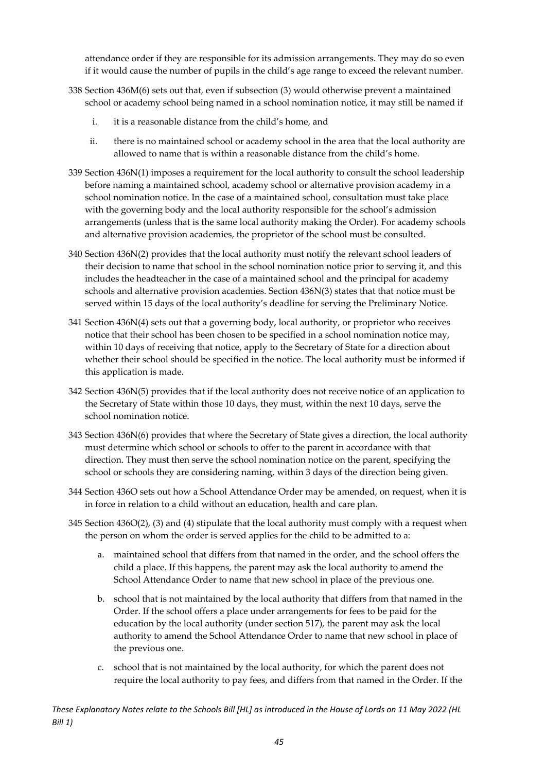attendance order if they are responsible for its admission arrangements. They may do so even if it would cause the number of pupils in the child's age range to exceed the relevant number.

- 338 Section 436M(6) sets out that, even if subsection (3) would otherwise prevent a maintained school or academy school being named in a school nomination notice, it may still be named if
	- i. it is a reasonable distance from the child's home, and
	- ii. there is no maintained school or academy school in the area that the local authority are allowed to name that is within a reasonable distance from the child's home.
- 339 Section 436N(1) imposes a requirement for the local authority to consult the school leadership before naming a maintained school, academy school or alternative provision academy in a school nomination notice. In the case of a maintained school, consultation must take place with the governing body and the local authority responsible for the school's admission arrangements (unless that is the same local authority making the Order). For academy schools and alternative provision academies, the proprietor of the school must be consulted.
- 340 Section 436N(2) provides that the local authority must notify the relevant school leaders of their decision to name that school in the school nomination notice prior to serving it, and this includes the headteacher in the case of a maintained school and the principal for academy schools and alternative provision academies. Section 436N(3) states that that notice must be served within 15 days of the local authority's deadline for serving the Preliminary Notice.
- 341 Section 436N(4) sets out that a governing body, local authority, or proprietor who receives notice that their school has been chosen to be specified in a school nomination notice may, within 10 days of receiving that notice, apply to the Secretary of State for a direction about whether their school should be specified in the notice. The local authority must be informed if this application is made.
- 342 Section 436N(5) provides that if the local authority does not receive notice of an application to the Secretary of State within those 10 days, they must, within the next 10 days, serve the school nomination notice.
- 343 Section 436N(6) provides that where the Secretary of State gives a direction, the local authority must determine which school or schools to offer to the parent in accordance with that direction. They must then serve the school nomination notice on the parent, specifying the school or schools they are considering naming, within 3 days of the direction being given.
- 344 Section 436O sets out how a School Attendance Order may be amended, on request, when it is in force in relation to a child without an education, health and care plan.
- 345 Section 436O(2), (3) and (4) stipulate that the local authority must comply with a request when the person on whom the order is served applies for the child to be admitted to a:
	- a. maintained school that differs from that named in the order, and the school offers the child a place. If this happens, the parent may ask the local authority to amend the School Attendance Order to name that new school in place of the previous one.
	- b. school that is not maintained by the local authority that differs from that named in the Order. If the school offers a place under arrangements for fees to be paid for the education by the local authority (under section 517), the parent may ask the local authority to amend the School Attendance Order to name that new school in place of the previous one.
	- c. school that is not maintained by the local authority, for which the parent does not require the local authority to pay fees, and differs from that named in the Order. If the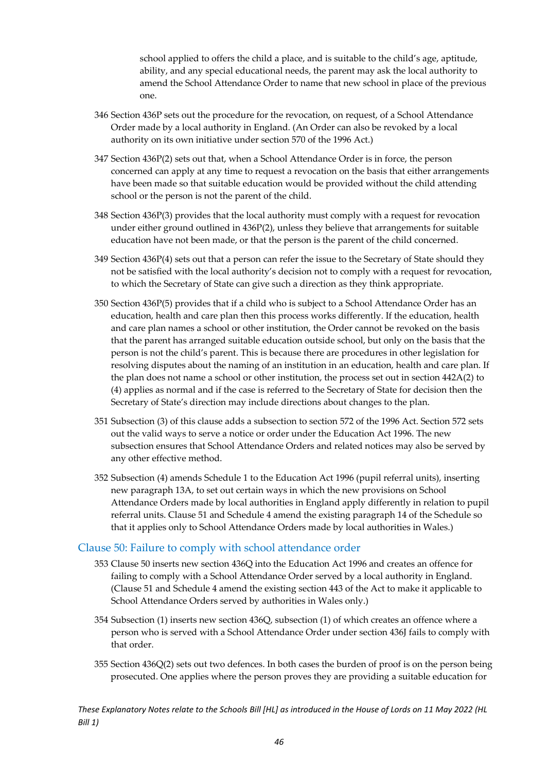school applied to offers the child a place, and is suitable to the child's age, aptitude, ability, and any special educational needs, the parent may ask the local authority to amend the School Attendance Order to name that new school in place of the previous one.

- 346 Section 436P sets out the procedure for the revocation, on request, of a School Attendance Order made by a local authority in England. (An Order can also be revoked by a local authority on its own initiative under section 570 of the 1996 Act.)
- 347 Section 436P(2) sets out that, when a School Attendance Order is in force, the person concerned can apply at any time to request a revocation on the basis that either arrangements have been made so that suitable education would be provided without the child attending school or the person is not the parent of the child.
- 348 Section 436P(3) provides that the local authority must comply with a request for revocation under either ground outlined in 436P(2), unless they believe that arrangements for suitable education have not been made, or that the person is the parent of the child concerned.
- 349 Section 436P(4) sets out that a person can refer the issue to the Secretary of State should they not be satisfied with the local authority's decision not to comply with a request for revocation, to which the Secretary of State can give such a direction as they think appropriate.
- 350 Section 436P(5) provides that if a child who is subject to a School Attendance Order has an education, health and care plan then this process works differently. If the education, health and care plan names a school or other institution, the Order cannot be revoked on the basis that the parent has arranged suitable education outside school, but only on the basis that the person is not the child's parent. This is because there are procedures in other legislation for resolving disputes about the naming of an institution in an education, health and care plan. If the plan does not name a school or other institution, the process set out in section 442A(2) to (4) applies as normal and if the case is referred to the Secretary of State for decision then the Secretary of State's direction may include directions about changes to the plan.
- 351 Subsection (3) of this clause adds a subsection to section 572 of the 1996 Act. Section 572 sets out the valid ways to serve a notice or order under the Education Act 1996. The new subsection ensures that School Attendance Orders and related notices may also be served by any other effective method.
- 352 Subsection (4) amends Schedule 1 to the Education Act 1996 (pupil referral units), inserting new paragraph 13A, to set out certain ways in which the new provisions on School Attendance Orders made by local authorities in England apply differently in relation to pupil referral units. Clause 51 and Schedule 4 amend the existing paragraph 14 of the Schedule so that it applies only to School Attendance Orders made by local authorities in Wales.)

#### <span id="page-46-0"></span>Clause 50: Failure to comply with school attendance order

- 353 Clause 50 inserts new section 436Q into the Education Act 1996 and creates an offence for failing to comply with a School Attendance Order served by a local authority in England. (Clause 51 and Schedule 4 amend the existing section 443 of the Act to make it applicable to School Attendance Orders served by authorities in Wales only.)
- 354 Subsection (1) inserts new section 436Q, subsection (1) of which creates an offence where a person who is served with a School Attendance Order under section 436J fails to comply with that order.
- 355 Section 436Q(2) sets out two defences. In both cases the burden of proof is on the person being prosecuted. One applies where the person proves they are providing a suitable education for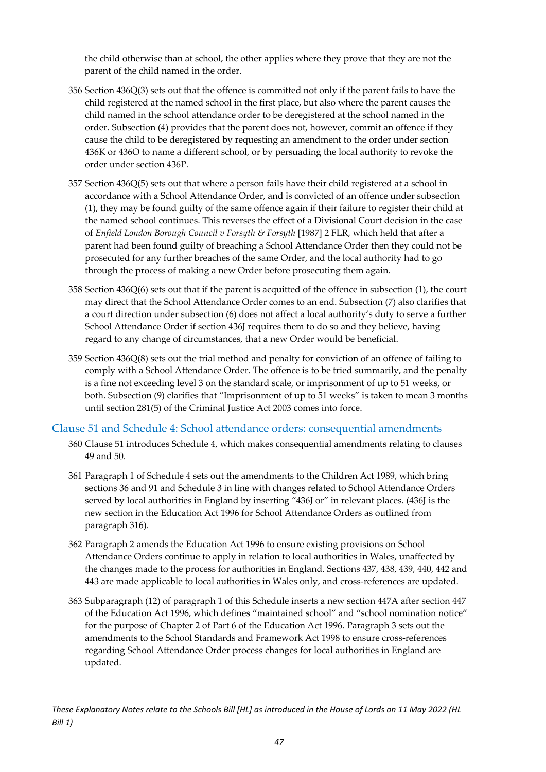the child otherwise than at school, the other applies where they prove that they are not the parent of the child named in the order.

- 356 Section 436Q(3) sets out that the offence is committed not only if the parent fails to have the child registered at the named school in the first place, but also where the parent causes the child named in the school attendance order to be deregistered at the school named in the order. Subsection (4) provides that the parent does not, however, commit an offence if they cause the child to be deregistered by requesting an amendment to the order under section 436K or 436O to name a different school, or by persuading the local authority to revoke the order under section 436P.
- 357 Section 436Q(5) sets out that where a person fails have their child registered at a school in accordance with a School Attendance Order, and is convicted of an offence under subsection (1), they may be found guilty of the same offence again if their failure to register their child at the named school continues. This reverses the effect of a Divisional Court decision in the case of *Enfield London Borough Council v Forsyth & Forsyth* [1987] 2 FLR, which held that after a parent had been found guilty of breaching a School Attendance Order then they could not be prosecuted for any further breaches of the same Order, and the local authority had to go through the process of making a new Order before prosecuting them again.
- 358 Section 436Q(6) sets out that if the parent is acquitted of the offence in subsection (1), the court may direct that the School Attendance Order comes to an end. Subsection (7) also clarifies that a court direction under subsection (6) does not affect a local authority's duty to serve a further School Attendance Order if section 436J requires them to do so and they believe, having regard to any change of circumstances, that a new Order would be beneficial.
- 359 Section 436Q(8) sets out the trial method and penalty for conviction of an offence of failing to comply with a School Attendance Order. The offence is to be tried summarily, and the penalty is a fine not exceeding level 3 on the standard scale, or imprisonment of up to 51 weeks, or both. Subsection (9) clarifies that "Imprisonment of up to 51 weeks" is taken to mean 3 months until section 281(5) of the Criminal Justice Act 2003 comes into force.

#### <span id="page-47-0"></span>Clause 51 and Schedule 4: School attendance orders: consequential amendments

- 360 Clause 51 introduces Schedule 4, which makes consequential amendments relating to clauses 49 and 50.
- 361 Paragraph 1 of Schedule 4 sets out the amendments to the Children Act 1989, which bring sections 36 and 91 and Schedule 3 in line with changes related to School Attendance Orders served by local authorities in England by inserting "436J or" in relevant places. (436J is the new section in the Education Act 1996 for School Attendance Orders as outlined from paragraph 316).
- 362 Paragraph 2 amends the Education Act 1996 to ensure existing provisions on School Attendance Orders continue to apply in relation to local authorities in Wales, unaffected by the changes made to the process for authorities in England. Sections 437, 438, 439, 440, 442 and 443 are made applicable to local authorities in Wales only, and cross-references are updated.
- 363 Subparagraph (12) of paragraph 1 of this Schedule inserts a new section 447A after section 447 of the Education Act 1996, which defines "maintained school" and "school nomination notice" for the purpose of Chapter 2 of Part 6 of the Education Act 1996. Paragraph 3 sets out the amendments to the School Standards and Framework Act 1998 to ensure cross-references regarding School Attendance Order process changes for local authorities in England are updated.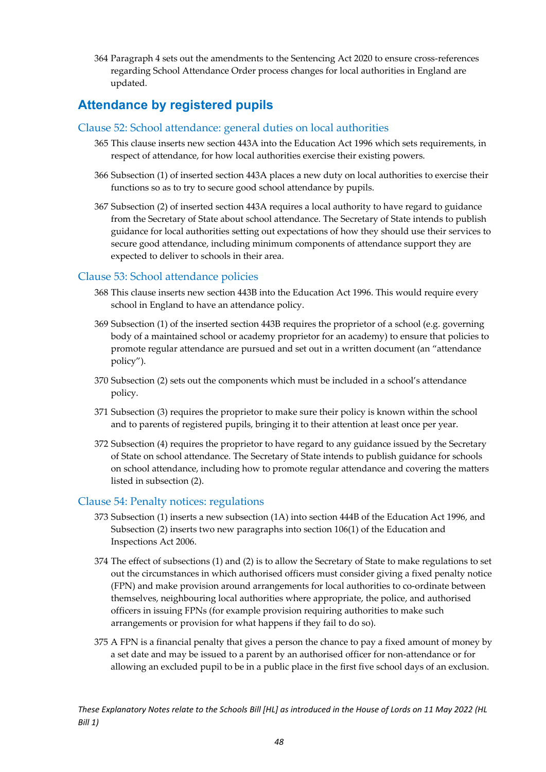364 Paragraph 4 sets out the amendments to the Sentencing Act 2020 to ensure cross-references regarding School Attendance Order process changes for local authorities in England are updated.

### <span id="page-48-0"></span>**Attendance by registered pupils**

#### <span id="page-48-1"></span>Clause 52: School attendance: general duties on local authorities

- 365 This clause inserts new section 443A into the Education Act 1996 which sets requirements, in respect of attendance, for how local authorities exercise their existing powers.
- 366 Subsection (1) of inserted section 443A places a new duty on local authorities to exercise their functions so as to try to secure good school attendance by pupils.
- 367 Subsection (2) of inserted section 443A requires a local authority to have regard to guidance from the Secretary of State about school attendance. The Secretary of State intends to publish guidance for local authorities setting out expectations of how they should use their services to secure good attendance, including minimum components of attendance support they are expected to deliver to schools in their area.

#### <span id="page-48-2"></span>Clause 53: School attendance policies

- 368 This clause inserts new section 443B into the Education Act 1996. This would require every school in England to have an attendance policy.
- 369 Subsection (1) of the inserted section 443B requires the proprietor of a school (e.g. governing body of a maintained school or academy proprietor for an academy) to ensure that policies to promote regular attendance are pursued and set out in a written document (an "attendance policy").
- 370 Subsection (2) sets out the components which must be included in a school's attendance policy.
- 371 Subsection (3) requires the proprietor to make sure their policy is known within the school and to parents of registered pupils, bringing it to their attention at least once per year.
- 372 Subsection (4) requires the proprietor to have regard to any guidance issued by the Secretary of State on school attendance. The Secretary of State intends to publish guidance for schools on school attendance, including how to promote regular attendance and covering the matters listed in subsection (2).

#### <span id="page-48-3"></span>Clause 54: Penalty notices: regulations

- 373 Subsection (1) inserts a new subsection (1A) into section 444B of the Education Act 1996, and Subsection (2) inserts two new paragraphs into section 106(1) of the Education and Inspections Act 2006.
- 374 The effect of subsections (1) and (2) is to allow the Secretary of State to make regulations to set out the circumstances in which authorised officers must consider giving a fixed penalty notice (FPN) and make provision around arrangements for local authorities to co-ordinate between themselves, neighbouring local authorities where appropriate, the police, and authorised officers in issuing FPNs (for example provision requiring authorities to make such arrangements or provision for what happens if they fail to do so).
- 375 A FPN is a financial penalty that gives a person the chance to pay a fixed amount of money by a set date and may be issued to a parent by an authorised officer for non-attendance or for allowing an excluded pupil to be in a public place in the first five school days of an exclusion.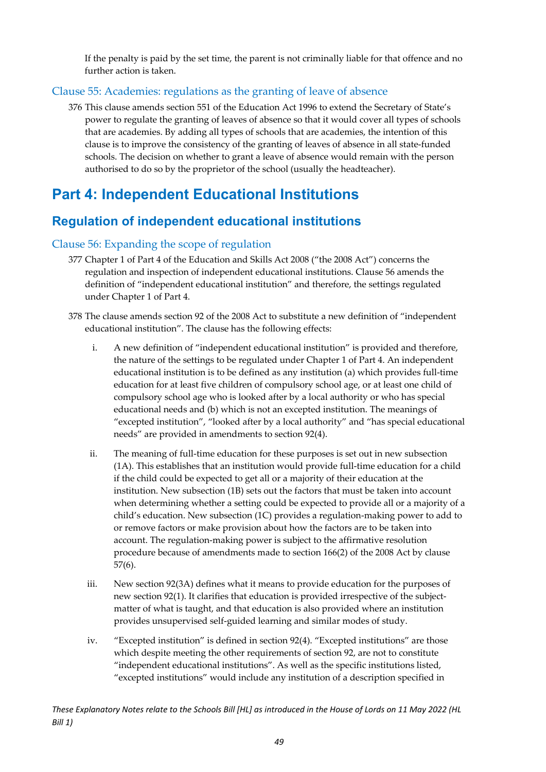If the penalty is paid by the set time, the parent is not criminally liable for that offence and no further action is taken.

#### <span id="page-49-0"></span>Clause 55: Academies: regulations as the granting of leave of absence

376 This clause amends section 551 of the Education Act 1996 to extend the Secretary of State's power to regulate the granting of leaves of absence so that it would cover all types of schools that are academies. By adding all types of schools that are academies, the intention of this clause is to improve the consistency of the granting of leaves of absence in all state-funded schools. The decision on whether to grant a leave of absence would remain with the person authorised to do so by the proprietor of the school (usually the headteacher).

### <span id="page-49-1"></span>**Part 4: Independent Educational Institutions**

### <span id="page-49-2"></span>**Regulation of independent educational institutions**

#### <span id="page-49-3"></span>Clause 56: Expanding the scope of regulation

- 377 Chapter 1 of Part 4 of the Education and Skills Act 2008 ("the 2008 Act") concerns the regulation and inspection of independent educational institutions. Clause 56 amends the definition of "independent educational institution" and therefore, the settings regulated under Chapter 1 of Part 4.
- 378 The clause amends section 92 of the 2008 Act to substitute a new definition of "independent educational institution". The clause has the following effects:
	- i. A new definition of "independent educational institution" is provided and therefore, the nature of the settings to be regulated under Chapter 1 of Part 4. An independent educational institution is to be defined as any institution (a) which provides full-time education for at least five children of compulsory school age, or at least one child of compulsory school age who is looked after by a local authority or who has special educational needs and (b) which is not an excepted institution. The meanings of "excepted institution", "looked after by a local authority" and "has special educational needs" are provided in amendments to section 92(4).
	- ii. The meaning of full-time education for these purposes is set out in new subsection (1A). This establishes that an institution would provide full-time education for a child if the child could be expected to get all or a majority of their education at the institution. New subsection (1B) sets out the factors that must be taken into account when determining whether a setting could be expected to provide all or a majority of a child's education. New subsection (1C) provides a regulation-making power to add to or remove factors or make provision about how the factors are to be taken into account. The regulation-making power is subject to the affirmative resolution procedure because of amendments made to section 166(2) of the 2008 Act by clause 57(6).
	- iii. New section 92(3A) defines what it means to provide education for the purposes of new section 92(1). It clarifies that education is provided irrespective of the subjectmatter of what is taught, and that education is also provided where an institution provides unsupervised self-guided learning and similar modes of study.
	- iv. "Excepted institution" is defined in section 92(4). "Excepted institutions" are those which despite meeting the other requirements of section 92, are not to constitute "independent educational institutions". As well as the specific institutions listed, "excepted institutions" would include any institution of a description specified in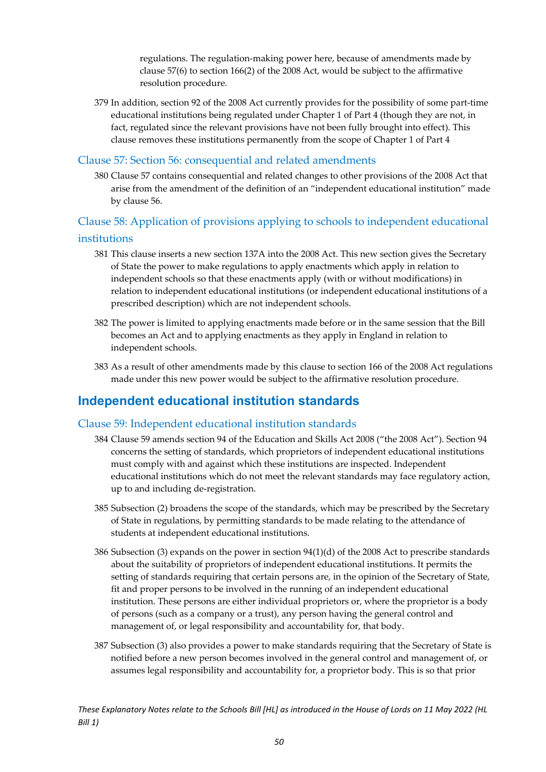regulations. The regulation-making power here, because of amendments made by clause 57(6) to section 166(2) of the 2008 Act, would be subject to the affirmative resolution procedure.

379 In addition, section 92 of the 2008 Act currently provides for the possibility of some part-time educational institutions being regulated under Chapter 1 of Part 4 (though they are not, in fact, regulated since the relevant provisions have not been fully brought into effect). This clause removes these institutions permanently from the scope of Chapter 1 of Part 4

#### <span id="page-50-0"></span>Clause 57: Section 56: consequential and related amendments

380 Clause 57 contains consequential and related changes to other provisions of the 2008 Act that arise from the amendment of the definition of an "independent educational institution" made by clause 56.

#### <span id="page-50-1"></span>Clause 58: Application of provisions applying to schools to independent educational institutions

- 381 This clause inserts a new section 137A into the 2008 Act. This new section gives the Secretary of State the power to make regulations to apply enactments which apply in relation to independent schools so that these enactments apply (with or without modifications) in relation to independent educational institutions (or independent educational institutions of a prescribed description) which are not independent schools.
- 382 The power is limited to applying enactments made before or in the same session that the Bill becomes an Act and to applying enactments as they apply in England in relation to independent schools.
- 383 As a result of other amendments made by this clause to section 166 of the 2008 Act regulations made under this new power would be subject to the affirmative resolution procedure.

#### <span id="page-50-2"></span>**Independent educational institution standards**

#### <span id="page-50-3"></span>Clause 59: Independent educational institution standards

- 384 Clause 59 amends section 94 of the Education and Skills Act 2008 ("the 2008 Act"). Section 94 concerns the setting of standards, which proprietors of independent educational institutions must comply with and against which these institutions are inspected. Independent educational institutions which do not meet the relevant standards may face regulatory action, up to and including de-registration.
- 385 Subsection (2) broadens the scope of the standards, which may be prescribed by the Secretary of State in regulations, by permitting standards to be made relating to the attendance of students at independent educational institutions.
- 386 Subsection (3) expands on the power in section 94(1)(d) of the 2008 Act to prescribe standards about the suitability of proprietors of independent educational institutions. It permits the setting of standards requiring that certain persons are, in the opinion of the Secretary of State, fit and proper persons to be involved in the running of an independent educational institution. These persons are either individual proprietors or, where the proprietor is a body of persons (such as a company or a trust), any person having the general control and management of, or legal responsibility and accountability for, that body.
- 387 Subsection (3) also provides a power to make standards requiring that the Secretary of State is notified before a new person becomes involved in the general control and management of, or assumes legal responsibility and accountability for, a proprietor body. This is so that prior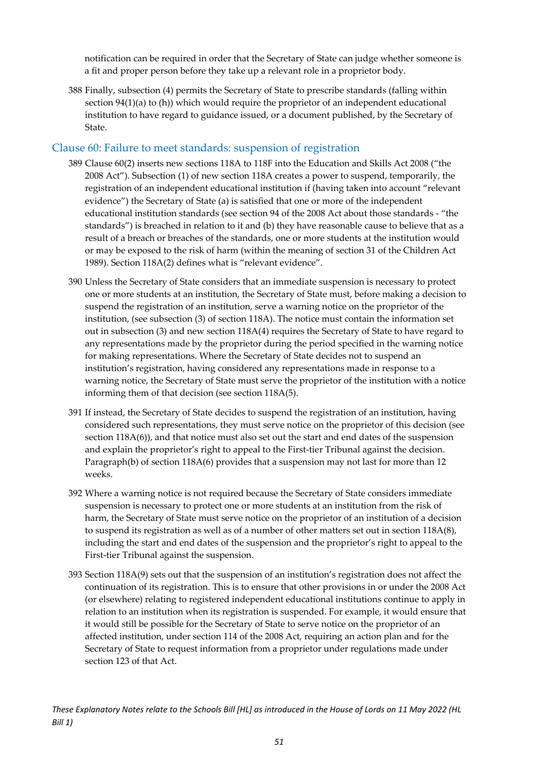notification can be required in order that the Secretary of State can judge whether someone is a fit and proper person before they take up a relevant role in a proprietor body.

388 Finally, subsection (4) permits the Secretary of State to prescribe standards (falling within section 94(1)(a) to (h)) which would require the proprietor of an independent educational institution to have regard to guidance issued, or a document published, by the Secretary of State.

#### <span id="page-51-0"></span>Clause 60: Failure to meet standards: suspension of registration

- 389 Clause 60(2) inserts new sections 118A to 118F into the Education and Skills Act 2008 ("the 2008 Act"). Subsection (1) of new section 118A creates a power to suspend, temporarily, the registration of an independent educational institution if (having taken into account "relevant evidence") the Secretary of State (a) is satisfied that one or more of the independent educational institution standards (see section 94 of the 2008 Act about those standards - "the standards") is breached in relation to it and (b) they have reasonable cause to believe that as a result of a breach or breaches of the standards, one or more students at the institution would or may be exposed to the risk of harm (within the meaning of section 31 of the Children Act 1989). Section 118A(2) defines what is "relevant evidence".
- 390 Unless the Secretary of State considers that an immediate suspension is necessary to protect one or more students at an institution, the Secretary of State must, before making a decision to suspend the registration of an institution, serve a warning notice on the proprietor of the institution, (see subsection (3) of section 118A). The notice must contain the information set out in subsection (3) and new section 118A(4) requires the Secretary of State to have regard to any representations made by the proprietor during the period specified in the warning notice for making representations. Where the Secretary of State decides not to suspend an institution's registration, having considered any representations made in response to a warning notice, the Secretary of State must serve the proprietor of the institution with a notice informing them of that decision (see section 118A(5).
- 391 If instead, the Secretary of State decides to suspend the registration of an institution, having considered such representations, they must serve notice on the proprietor of this decision (see section 118A(6)), and that notice must also set out the start and end dates of the suspension and explain the proprietor's right to appeal to the First-tier Tribunal against the decision. Paragraph(b) of section 118A(6) provides that a suspension may not last for more than 12 weeks.
- 392 Where a warning notice is not required because the Secretary of State considers immediate suspension is necessary to protect one or more students at an institution from the risk of harm, the Secretary of State must serve notice on the proprietor of an institution of a decision to suspend its registration as well as of a number of other matters set out in section 118A(8), including the start and end dates of the suspension and the proprietor's right to appeal to the First-tier Tribunal against the suspension.
- 393 Section 118A(9) sets out that the suspension of an institution's registration does not affect the continuation of its registration. This is to ensure that other provisions in or under the 2008 Act (or elsewhere) relating to registered independent educational institutions continue to apply in relation to an institution when its registration is suspended. For example, it would ensure that it would still be possible for the Secretary of State to serve notice on the proprietor of an affected institution, under section 114 of the 2008 Act, requiring an action plan and for the Secretary of State to request information from a proprietor under regulations made under section 123 of that Act.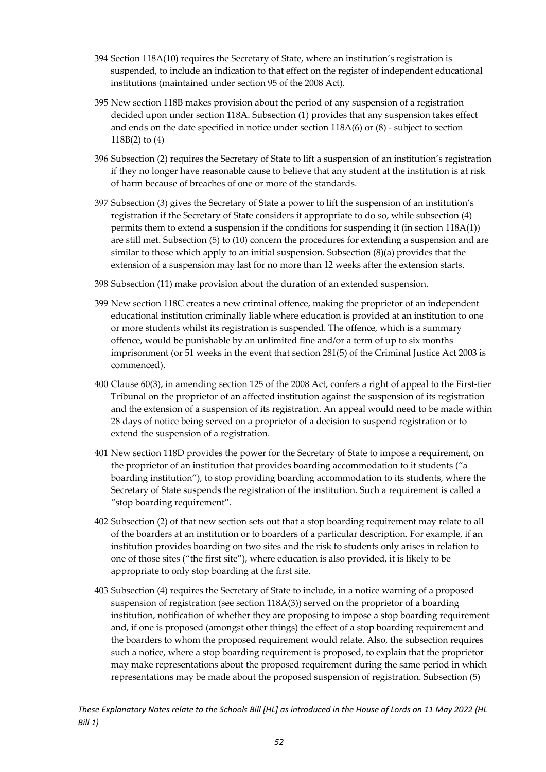- 394 Section 118A(10) requires the Secretary of State, where an institution's registration is suspended, to include an indication to that effect on the register of independent educational institutions (maintained under section 95 of the 2008 Act).
- 395 New section 118B makes provision about the period of any suspension of a registration decided upon under section 118A. Subsection (1) provides that any suspension takes effect and ends on the date specified in notice under section 118A(6) or (8) - subject to section 118B(2) to (4)
- 396 Subsection (2) requires the Secretary of State to lift a suspension of an institution's registration if they no longer have reasonable cause to believe that any student at the institution is at risk of harm because of breaches of one or more of the standards.
- 397 Subsection (3) gives the Secretary of State a power to lift the suspension of an institution's registration if the Secretary of State considers it appropriate to do so, while subsection (4) permits them to extend a suspension if the conditions for suspending it (in section 118A(1)) are still met. Subsection (5) to (10) concern the procedures for extending a suspension and are similar to those which apply to an initial suspension. Subsection (8)(a) provides that the extension of a suspension may last for no more than 12 weeks after the extension starts.
- 398 Subsection (11) make provision about the duration of an extended suspension.
- 399 New section 118C creates a new criminal offence, making the proprietor of an independent educational institution criminally liable where education is provided at an institution to one or more students whilst its registration is suspended. The offence, which is a summary offence, would be punishable by an unlimited fine and/or a term of up to six months imprisonment (or 51 weeks in the event that section 281(5) of the Criminal Justice Act 2003 is commenced).
- 400 Clause 60(3), in amending section 125 of the 2008 Act, confers a right of appeal to the First-tier Tribunal on the proprietor of an affected institution against the suspension of its registration and the extension of a suspension of its registration. An appeal would need to be made within 28 days of notice being served on a proprietor of a decision to suspend registration or to extend the suspension of a registration.
- 401 New section 118D provides the power for the Secretary of State to impose a requirement, on the proprietor of an institution that provides boarding accommodation to it students ("a boarding institution"), to stop providing boarding accommodation to its students, where the Secretary of State suspends the registration of the institution. Such a requirement is called a "stop boarding requirement".
- 402 Subsection (2) of that new section sets out that a stop boarding requirement may relate to all of the boarders at an institution or to boarders of a particular description. For example, if an institution provides boarding on two sites and the risk to students only arises in relation to one of those sites ("the first site"), where education is also provided, it is likely to be appropriate to only stop boarding at the first site.
- 403 Subsection (4) requires the Secretary of State to include, in a notice warning of a proposed suspension of registration (see section 118A(3)) served on the proprietor of a boarding institution, notification of whether they are proposing to impose a stop boarding requirement and, if one is proposed (amongst other things) the effect of a stop boarding requirement and the boarders to whom the proposed requirement would relate. Also, the subsection requires such a notice, where a stop boarding requirement is proposed, to explain that the proprietor may make representations about the proposed requirement during the same period in which representations may be made about the proposed suspension of registration. Subsection (5)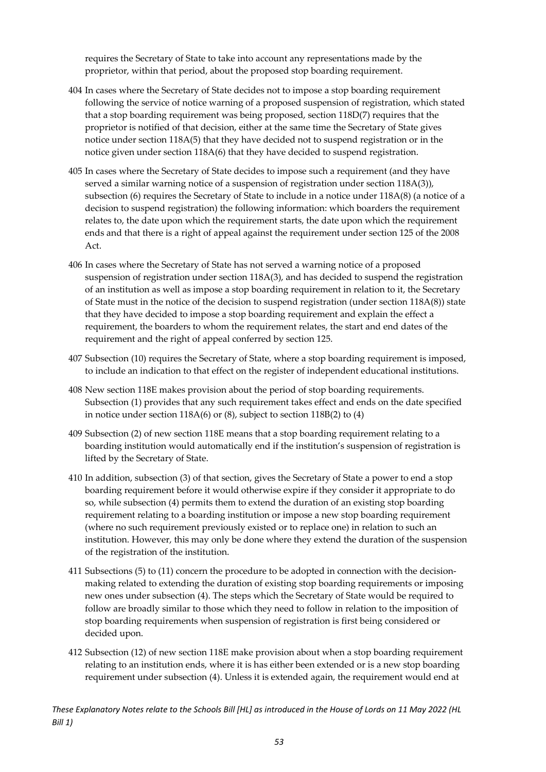requires the Secretary of State to take into account any representations made by the proprietor, within that period, about the proposed stop boarding requirement.

- 404 In cases where the Secretary of State decides not to impose a stop boarding requirement following the service of notice warning of a proposed suspension of registration, which stated that a stop boarding requirement was being proposed, section 118D(7) requires that the proprietor is notified of that decision, either at the same time the Secretary of State gives notice under section 118A(5) that they have decided not to suspend registration or in the notice given under section 118A(6) that they have decided to suspend registration.
- 405 In cases where the Secretary of State decides to impose such a requirement (and they have served a similar warning notice of a suspension of registration under section 118A(3)), subsection (6) requires the Secretary of State to include in a notice under 118A(8) (a notice of a decision to suspend registration) the following information: which boarders the requirement relates to, the date upon which the requirement starts, the date upon which the requirement ends and that there is a right of appeal against the requirement under section 125 of the 2008 Act.
- 406 In cases where the Secretary of State has not served a warning notice of a proposed suspension of registration under section 118A(3), and has decided to suspend the registration of an institution as well as impose a stop boarding requirement in relation to it, the Secretary of State must in the notice of the decision to suspend registration (under section 118A(8)) state that they have decided to impose a stop boarding requirement and explain the effect a requirement, the boarders to whom the requirement relates, the start and end dates of the requirement and the right of appeal conferred by section 125.
- 407 Subsection (10) requires the Secretary of State, where a stop boarding requirement is imposed, to include an indication to that effect on the register of independent educational institutions.
- 408 New section 118E makes provision about the period of stop boarding requirements. Subsection (1) provides that any such requirement takes effect and ends on the date specified in notice under section 118A(6) or (8), subject to section 118B(2) to (4)
- 409 Subsection (2) of new section 118E means that a stop boarding requirement relating to a boarding institution would automatically end if the institution's suspension of registration is lifted by the Secretary of State.
- 410 In addition, subsection (3) of that section, gives the Secretary of State a power to end a stop boarding requirement before it would otherwise expire if they consider it appropriate to do so, while subsection (4) permits them to extend the duration of an existing stop boarding requirement relating to a boarding institution or impose a new stop boarding requirement (where no such requirement previously existed or to replace one) in relation to such an institution. However, this may only be done where they extend the duration of the suspension of the registration of the institution.
- 411 Subsections (5) to (11) concern the procedure to be adopted in connection with the decisionmaking related to extending the duration of existing stop boarding requirements or imposing new ones under subsection (4). The steps which the Secretary of State would be required to follow are broadly similar to those which they need to follow in relation to the imposition of stop boarding requirements when suspension of registration is first being considered or decided upon.
- 412 Subsection (12) of new section 118E make provision about when a stop boarding requirement relating to an institution ends, where it is has either been extended or is a new stop boarding requirement under subsection (4). Unless it is extended again, the requirement would end at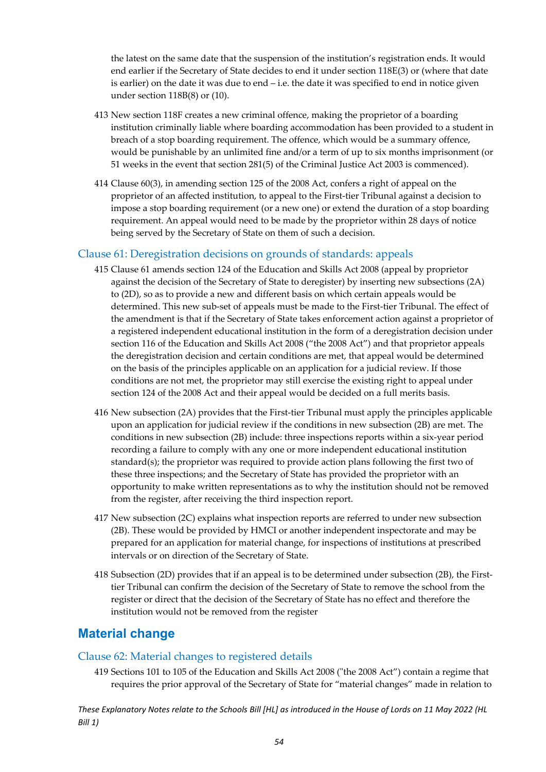the latest on the same date that the suspension of the institution's registration ends. It would end earlier if the Secretary of State decides to end it under section 118E(3) or (where that date is earlier) on the date it was due to end – i.e. the date it was specified to end in notice given under section 118B(8) or (10).

- 413 New section 118F creates a new criminal offence, making the proprietor of a boarding institution criminally liable where boarding accommodation has been provided to a student in breach of a stop boarding requirement. The offence, which would be a summary offence, would be punishable by an unlimited fine and/or a term of up to six months imprisonment (or 51 weeks in the event that section 281(5) of the Criminal Justice Act 2003 is commenced).
- 414 Clause 60(3), in amending section 125 of the 2008 Act, confers a right of appeal on the proprietor of an affected institution, to appeal to the First-tier Tribunal against a decision to impose a stop boarding requirement (or a new one) or extend the duration of a stop boarding requirement. An appeal would need to be made by the proprietor within 28 days of notice being served by the Secretary of State on them of such a decision.

#### <span id="page-54-0"></span>Clause 61: Deregistration decisions on grounds of standards: appeals

- 415 Clause 61 amends section 124 of the Education and Skills Act 2008 (appeal by proprietor against the decision of the Secretary of State to deregister) by inserting new subsections (2A) to (2D), so as to provide a new and different basis on which certain appeals would be determined. This new sub-set of appeals must be made to the First-tier Tribunal. The effect of the amendment is that if the Secretary of State takes enforcement action against a proprietor of a registered independent educational institution in the form of a deregistration decision under section 116 of the Education and Skills Act 2008 ("the 2008 Act") and that proprietor appeals the deregistration decision and certain conditions are met, that appeal would be determined on the basis of the principles applicable on an application for a judicial review. If those conditions are not met, the proprietor may still exercise the existing right to appeal under section 124 of the 2008 Act and their appeal would be decided on a full merits basis.
- 416 New subsection (2A) provides that the First-tier Tribunal must apply the principles applicable upon an application for judicial review if the conditions in new subsection (2B) are met. The conditions in new subsection (2B) include: three inspections reports within a six-year period recording a failure to comply with any one or more independent educational institution standard(s); the proprietor was required to provide action plans following the first two of these three inspections; and the Secretary of State has provided the proprietor with an opportunity to make written representations as to why the institution should not be removed from the register, after receiving the third inspection report.
- 417 New subsection (2C) explains what inspection reports are referred to under new subsection (2B). These would be provided by HMCI or another independent inspectorate and may be prepared for an application for material change, for inspections of institutions at prescribed intervals or on direction of the Secretary of State.
- 418 Subsection (2D) provides that if an appeal is to be determined under subsection (2B), the Firsttier Tribunal can confirm the decision of the Secretary of State to remove the school from the register or direct that the decision of the Secretary of State has no effect and therefore the institution would not be removed from the register

### <span id="page-54-1"></span>**Material change**

#### <span id="page-54-2"></span>Clause 62: Material changes to registered details

419 Sections 101 to 105 of the Education and Skills Act 2008 ("the 2008 Act") contain a regime that requires the prior approval of the Secretary of State for "material changes" made in relation to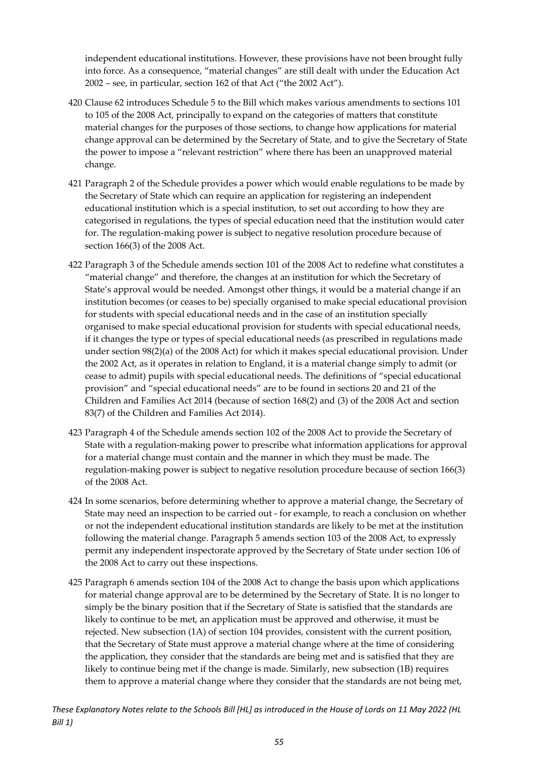independent educational institutions. However, these provisions have not been brought fully into force. As a consequence, "material changes" are still dealt with under the Education Act 2002 – see, in particular, section 162 of that Act ("the 2002 Act").

- 420 Clause 62 introduces Schedule 5 to the Bill which makes various amendments to sections 101 to 105 of the 2008 Act, principally to expand on the categories of matters that constitute material changes for the purposes of those sections, to change how applications for material change approval can be determined by the Secretary of State, and to give the Secretary of State the power to impose a "relevant restriction" where there has been an unapproved material change.
- 421 Paragraph 2 of the Schedule provides a power which would enable regulations to be made by the Secretary of State which can require an application for registering an independent educational institution which is a special institution, to set out according to how they are categorised in regulations, the types of special education need that the institution would cater for. The regulation-making power is subject to negative resolution procedure because of section 166(3) of the 2008 Act.
- 422 Paragraph 3 of the Schedule amends section 101 of the 2008 Act to redefine what constitutes a "material change" and therefore, the changes at an institution for which the Secretary of State's approval would be needed. Amongst other things, it would be a material change if an institution becomes (or ceases to be) specially organised to make special educational provision for students with special educational needs and in the case of an institution specially organised to make special educational provision for students with special educational needs, if it changes the type or types of special educational needs (as prescribed in regulations made under section 98(2)(a) of the 2008 Act) for which it makes special educational provision. Under the 2002 Act, as it operates in relation to England, it is a material change simply to admit (or cease to admit) pupils with special educational needs. The definitions of "special educational provision" and "special educational needs" are to be found in sections 20 and 21 of the Children and Families Act 2014 (because of section 168(2) and (3) of the 2008 Act and section 83(7) of the Children and Families Act 2014).
- 423 Paragraph 4 of the Schedule amends section 102 of the 2008 Act to provide the Secretary of State with a regulation-making power to prescribe what information applications for approval for a material change must contain and the manner in which they must be made. The regulation-making power is subject to negative resolution procedure because of section 166(3) of the 2008 Act.
- 424 In some scenarios, before determining whether to approve a material change, the Secretary of State may need an inspection to be carried out - for example, to reach a conclusion on whether or not the independent educational institution standards are likely to be met at the institution following the material change. Paragraph 5 amends section 103 of the 2008 Act, to expressly permit any independent inspectorate approved by the Secretary of State under section 106 of the 2008 Act to carry out these inspections.
- 425 Paragraph 6 amends section 104 of the 2008 Act to change the basis upon which applications for material change approval are to be determined by the Secretary of State. It is no longer to simply be the binary position that if the Secretary of State is satisfied that the standards are likely to continue to be met, an application must be approved and otherwise, it must be rejected. New subsection (1A) of section 104 provides, consistent with the current position, that the Secretary of State must approve a material change where at the time of considering the application, they consider that the standards are being met and is satisfied that they are likely to continue being met if the change is made. Similarly, new subsection (1B) requires them to approve a material change where they consider that the standards are not being met,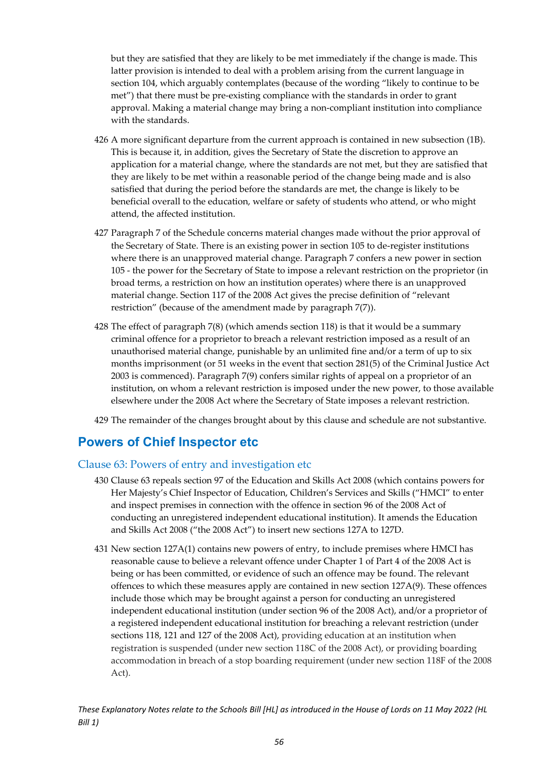but they are satisfied that they are likely to be met immediately if the change is made. This latter provision is intended to deal with a problem arising from the current language in section 104, which arguably contemplates (because of the wording "likely to continue to be met") that there must be pre-existing compliance with the standards in order to grant approval. Making a material change may bring a non-compliant institution into compliance with the standards.

- 426 A more significant departure from the current approach is contained in new subsection (1B). This is because it, in addition, gives the Secretary of State the discretion to approve an application for a material change, where the standards are not met, but they are satisfied that they are likely to be met within a reasonable period of the change being made and is also satisfied that during the period before the standards are met, the change is likely to be beneficial overall to the education, welfare or safety of students who attend, or who might attend, the affected institution.
- 427 Paragraph 7 of the Schedule concerns material changes made without the prior approval of the Secretary of State. There is an existing power in section 105 to de-register institutions where there is an unapproved material change. Paragraph 7 confers a new power in section 105 - the power for the Secretary of State to impose a relevant restriction on the proprietor (in broad terms, a restriction on how an institution operates) where there is an unapproved material change. Section 117 of the 2008 Act gives the precise definition of "relevant restriction" (because of the amendment made by paragraph 7(7)).
- 428 The effect of paragraph 7(8) (which amends section 118) is that it would be a summary criminal offence for a proprietor to breach a relevant restriction imposed as a result of an unauthorised material change, punishable by an unlimited fine and/or a term of up to six months imprisonment (or 51 weeks in the event that section 281(5) of the Criminal Justice Act 2003 is commenced). Paragraph 7(9) confers similar rights of appeal on a proprietor of an institution, on whom a relevant restriction is imposed under the new power, to those available elsewhere under the 2008 Act where the Secretary of State imposes a relevant restriction.
- 429 The remainder of the changes brought about by this clause and schedule are not substantive.

#### <span id="page-56-0"></span>**Powers of Chief Inspector etc**

#### <span id="page-56-1"></span>Clause 63: Powers of entry and investigation etc

- 430 Clause 63 repeals section 97 of the Education and Skills Act 2008 (which contains powers for Her Majesty's Chief Inspector of Education, Children's Services and Skills ("HMCI" to enter and inspect premises in connection with the offence in section 96 of the 2008 Act of conducting an unregistered independent educational institution). It amends the Education and Skills Act 2008 ("the 2008 Act") to insert new sections 127A to 127D.
- 431 New section 127A(1) contains new powers of entry, to include premises where HMCI has reasonable cause to believe a relevant offence under Chapter 1 of Part 4 of the 2008 Act is being or has been committed, or evidence of such an offence may be found. The relevant offences to which these measures apply are contained in new section 127A(9). These offences include those which may be brought against a person for conducting an unregistered independent educational institution (under section 96 of the 2008 Act), and/or a proprietor of a registered independent educational institution for breaching a relevant restriction (under sections 118, 121 and 127 of the 2008 Act), providing education at an institution when registration is suspended (under new section 118C of the 2008 Act), or providing boarding accommodation in breach of a stop boarding requirement (under new section 118F of the 2008 Act).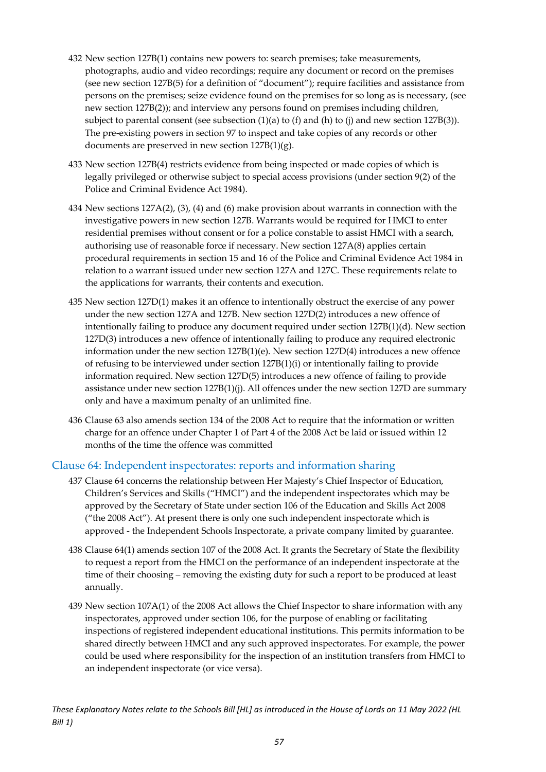- 432 New section 127B(1) contains new powers to: search premises; take measurements, photographs, audio and video recordings; require any document or record on the premises (see new section 127B(5) for a definition of "document"); require facilities and assistance from persons on the premises; seize evidence found on the premises for so long as is necessary, (see new section 127B(2)); and interview any persons found on premises including children, subject to parental consent (see subsection  $(1)(a)$  to  $(f)$  and  $(h)$  to  $(j)$  and new section 127B(3)). The pre-existing powers in section 97 to inspect and take copies of any records or other documents are preserved in new section 127B(1)(g).
- 433 New section 127B(4) restricts evidence from being inspected or made copies of which is legally privileged or otherwise subject to special access provisions (under section 9(2) of the Police and Criminal Evidence Act 1984).
- 434 New sections 127A(2), (3), (4) and (6) make provision about warrants in connection with the investigative powers in new section 127B. Warrants would be required for HMCI to enter residential premises without consent or for a police constable to assist HMCI with a search, authorising use of reasonable force if necessary. New section 127A(8) applies certain procedural requirements in section 15 and 16 of the Police and Criminal Evidence Act 1984 in relation to a warrant issued under new section 127A and 127C. These requirements relate to the applications for warrants, their contents and execution.
- 435 New section 127D(1) makes it an offence to intentionally obstruct the exercise of any power under the new section 127A and 127B. New section 127D(2) introduces a new offence of intentionally failing to produce any document required under section 127B(1)(d). New section 127D(3) introduces a new offence of intentionally failing to produce any required electronic information under the new section 127B(1)(e). New section 127D(4) introduces a new offence of refusing to be interviewed under section 127B(1)(i) or intentionally failing to provide information required. New section 127D(5) introduces a new offence of failing to provide assistance under new section 127B(1)(j). All offences under the new section 127D are summary only and have a maximum penalty of an unlimited fine.
- 436 Clause 63 also amends section 134 of the 2008 Act to require that the information or written charge for an offence under Chapter 1 of Part 4 of the 2008 Act be laid or issued within 12 months of the time the offence was committed

#### <span id="page-57-0"></span>Clause 64: Independent inspectorates: reports and information sharing

- 437 Clause 64 concerns the relationship between Her Majesty's Chief Inspector of Education, Children's Services and Skills ("HMCI") and the independent inspectorates which may be approved by the Secretary of State under section 106 of the Education and Skills Act 2008 ("the 2008 Act"). At present there is only one such independent inspectorate which is approved - the Independent Schools Inspectorate, a private company limited by guarantee.
- 438 Clause 64(1) amends section 107 of the 2008 Act. It grants the Secretary of State the flexibility to request a report from the HMCI on the performance of an independent inspectorate at the time of their choosing – removing the existing duty for such a report to be produced at least annually.
- 439 New section 107A(1) of the 2008 Act allows the Chief Inspector to share information with any inspectorates, approved under section 106, for the purpose of enabling or facilitating inspections of registered independent educational institutions. This permits information to be shared directly between HMCI and any such approved inspectorates. For example, the power could be used where responsibility for the inspection of an institution transfers from HMCI to an independent inspectorate (or vice versa).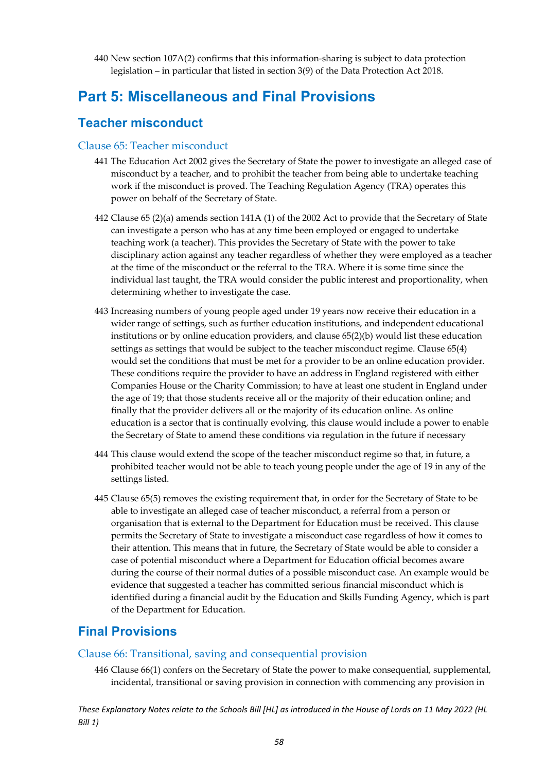440 New section 107A(2) confirms that this information-sharing is subject to data protection legislation – in particular that listed in section 3(9) of the Data Protection Act 2018.

### <span id="page-58-0"></span>**Part 5: Miscellaneous and Final Provisions**

#### <span id="page-58-1"></span>**Teacher misconduct**

#### <span id="page-58-2"></span>Clause 65: Teacher misconduct

- 441 The Education Act 2002 gives the Secretary of State the power to investigate an alleged case of misconduct by a teacher, and to prohibit the teacher from being able to undertake teaching work if the misconduct is proved. The Teaching Regulation Agency (TRA) operates this power on behalf of the Secretary of State.
- 442 Clause 65 (2)(a) amends section 141A (1) of the 2002 Act to provide that the Secretary of State can investigate a person who has at any time been employed or engaged to undertake teaching work (a teacher). This provides the Secretary of State with the power to take disciplinary action against any teacher regardless of whether they were employed as a teacher at the time of the misconduct or the referral to the TRA. Where it is some time since the individual last taught, the TRA would consider the public interest and proportionality, when determining whether to investigate the case.
- 443 Increasing numbers of young people aged under 19 years now receive their education in a wider range of settings, such as further education institutions, and independent educational institutions or by online education providers, and clause 65(2)(b) would list these education settings as settings that would be subject to the teacher misconduct regime. Clause 65(4) would set the conditions that must be met for a provider to be an online education provider. These conditions require the provider to have an address in England registered with either Companies House or the Charity Commission; to have at least one student in England under the age of 19; that those students receive all or the majority of their education online; and finally that the provider delivers all or the majority of its education online. As online education is a sector that is continually evolving, this clause would include a power to enable the Secretary of State to amend these conditions via regulation in the future if necessary
- 444 This clause would extend the scope of the teacher misconduct regime so that, in future, a prohibited teacher would not be able to teach young people under the age of 19 in any of the settings listed.
- 445 Clause 65(5) removes the existing requirement that, in order for the Secretary of State to be able to investigate an alleged case of teacher misconduct, a referral from a person or organisation that is external to the Department for Education must be received. This clause permits the Secretary of State to investigate a misconduct case regardless of how it comes to their attention. This means that in future, the Secretary of State would be able to consider a case of potential misconduct where a Department for Education official becomes aware during the course of their normal duties of a possible misconduct case. An example would be evidence that suggested a teacher has committed serious financial misconduct which is identified during a financial audit by the Education and Skills Funding Agency, which is part of the Department for Education.

#### <span id="page-58-3"></span>**Final Provisions**

#### <span id="page-58-4"></span>Clause 66: Transitional, saving and consequential provision

446 Clause 66(1) confers on the Secretary of State the power to make consequential, supplemental, incidental, transitional or saving provision in connection with commencing any provision in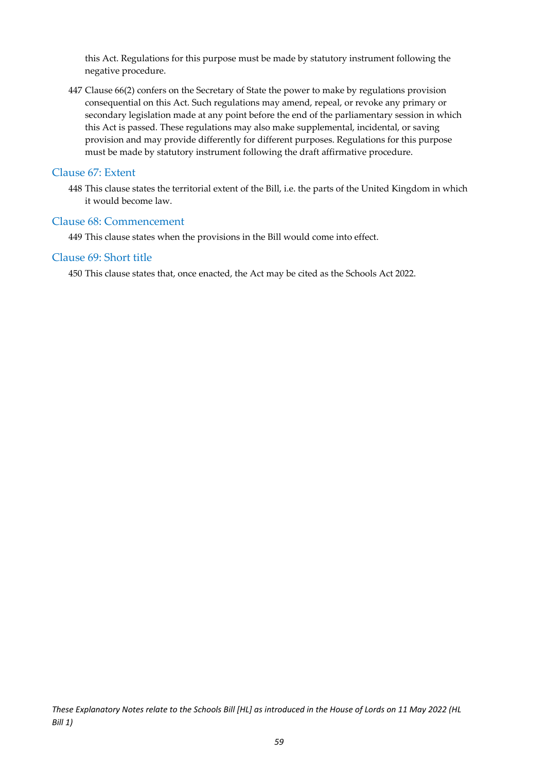this Act. Regulations for this purpose must be made by statutory instrument following the negative procedure.

447 Clause 66(2) confers on the Secretary of State the power to make by regulations provision consequential on this Act. Such regulations may amend, repeal, or revoke any primary or secondary legislation made at any point before the end of the parliamentary session in which this Act is passed. These regulations may also make supplemental, incidental, or saving provision and may provide differently for different purposes. Regulations for this purpose must be made by statutory instrument following the draft affirmative procedure.

#### <span id="page-59-0"></span>Clause 67: Extent

448 This clause states the territorial extent of the Bill, i.e. the parts of the United Kingdom in which it would become law.

#### <span id="page-59-1"></span>Clause 68: Commencement

449 This clause states when the provisions in the Bill would come into effect.

#### <span id="page-59-2"></span>Clause 69: Short title

450 This clause states that, once enacted, the Act may be cited as the Schools Act 2022.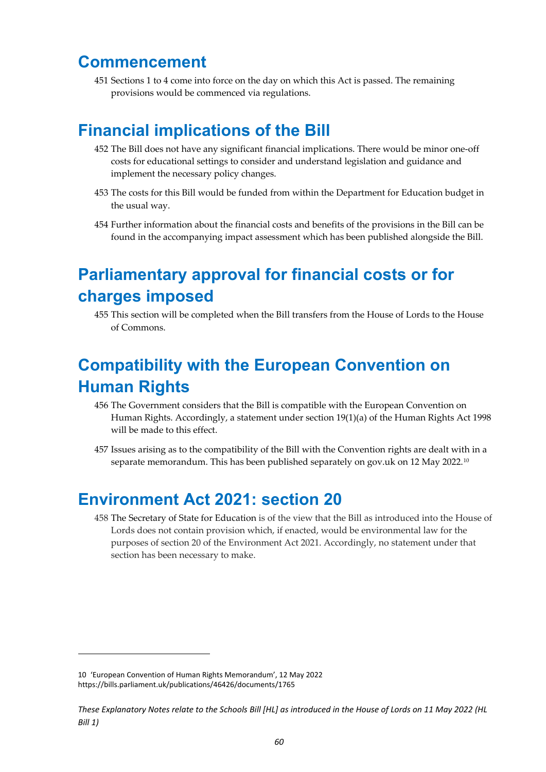### <span id="page-60-0"></span>**Commencement**

451 Sections 1 to 4 come into force on the day on which this Act is passed. The remaining provisions would be commenced via regulations.

## <span id="page-60-1"></span>**Financial implications of the Bill**

- 452 The Bill does not have any significant financial implications. There would be minor one-off costs for educational settings to consider and understand legislation and guidance and implement the necessary policy changes.
- 453 The costs for this Bill would be funded from within the Department for Education budget in the usual way.
- 454 Further information about the financial costs and benefits of the provisions in the Bill can be found in the accompanying impact assessment which has been published alongside the Bill.

## <span id="page-60-2"></span>**Parliamentary approval for financial costs or for charges imposed**

455 This section will be completed when the Bill transfers from the House of Lords to the House of Commons.

## <span id="page-60-3"></span>**Compatibility with the European Convention on Human Rights**

- 456 The Government considers that the Bill is compatible with the European Convention on Human Rights. Accordingly, a statement under section 19(1)(a) of the Human Rights Act 1998 will be made to this effect.
- 457 Issues arising as to the compatibility of the Bill with the Convention rights are dealt with in a separate memorandum. This has been published separately on gov.uk on 12 May 2022.<sup>[10](#page-60-5)</sup>

### <span id="page-60-4"></span>**Environment Act 2021: section 20**

458 The Secretary of State for Education is of the view that the Bill as introduced into the House of Lords does not contain provision which, if enacted, would be environmental law for the purposes of section 20 of the Environment Act 2021. Accordingly, no statement under that section has been necessary to make.

<span id="page-60-5"></span><sup>10 &#</sup>x27;European Convention of Human Rights Memorandum', 12 May 2022 <https://bills.parliament.uk/publications/46426/documents/1765>

*These Explanatory Notes relate to the Schools Bill [HL] as introduced in the House of Lords on 11 May 2022 (HL Bill 1)*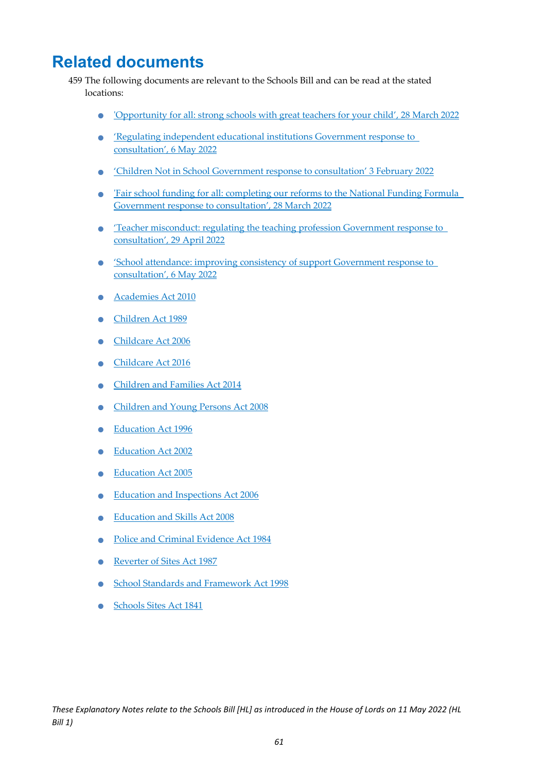## <span id="page-61-0"></span>**Related documents**

- 459 The following documents are relevant to the Schools Bill and can be read at the stated locations:
	- ['Opportunity for all: strong schools with great teachers for your child', 28 March 2022](https://www.gov.uk/government/publications/opportunity-for-all-strong-schools-with-great-teachers-for-your-child)
	- ['Regulating independent educational institutions Government response to](https://www.gov.uk/government/consultations/regulating-independent-educational-institutions)  [consultation', 6 May 2022](https://www.gov.uk/government/consultations/regulating-independent-educational-institutions)
	- ['Children Not in School Government response to consultation' 3 February 2022](https://www.gov.uk/government/consultations/children-not-in-school)
	- 'Fair school funding for all: completing our reforms to the National Funding Formula [Government response to consultation', 28 March 2022](https://www.gov.uk/government/consultations/fair-school-funding-for-all-completing-our-reforms-to-the-national-funding-formula%20-%20full-publication-update-history)
	- 'Teacher misconduct: regulating the teaching profession Government response to [consultation', 29 April 2022](https://www.gov.uk/government/consultations/teacher-misconduct-regulating-the-teaching-profession)
	- 'School attendance: improving consistency of support Government response to [consultation', 6 May 2022](https://www.gov.uk/government/publications/school-attendance-consultation-response)
	- [Academies Act 2010](https://www.legislation.gov.uk/ukpga/2010/32/contents)
	- [Children Act 1989](https://www.legislation.gov.uk/ukpga/1989/41/contents)
	- [Childcare Act 2006](https://www.legislation.gov.uk/ukpga/2006/21)
	- [Childcare Act 2016](https://www.legislation.gov.uk/ukpga/2016/5)
	- [Children and Families Act 2014](https://www.legislation.gov.uk/ukpga/2014/6/contents)
	- [Children and Young Persons Act 2008](https://www.legislation.gov.uk/ukpga/2008/23/contents)
	- [Education Act 1996](https://www.legislation.gov.uk/ukpga/1996/56/contents)
	- Education Act 2002
	- Education Act 2005
	- Education and Inspections Act 2006
	- [Education and Skills Act 2008](https://www.legislation.gov.uk/ukpga/2008/25/contents)
	- [Police and Criminal Evidence Act 1984](https://www.legislation.gov.uk/ukpga/1984/60/contents)
	- Reverter of Sites Act 1987
	- School Standards and Framework Act 1998
	- [Schools Sites Act 1841](https://www.legislation.gov.uk/ukpga/Vict/4-5/38/contents)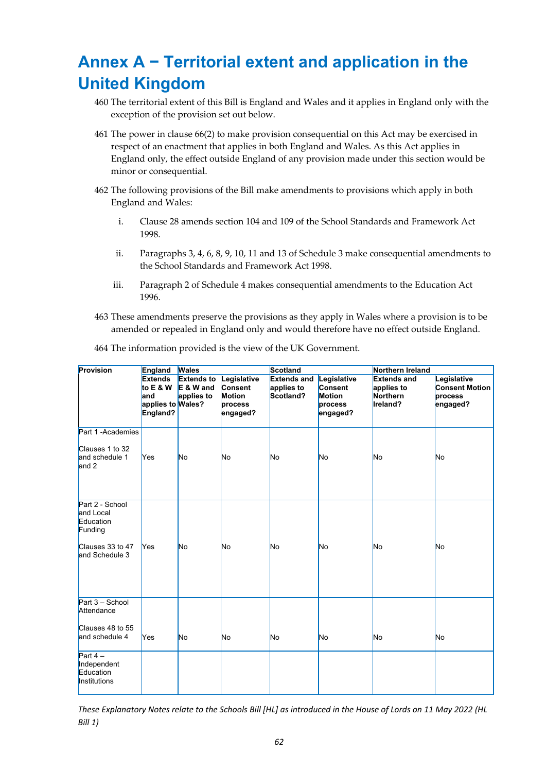## <span id="page-62-0"></span>**Annex A − Territorial extent and application in the United Kingdom**

- 460 The territorial extent of this Bill is England and Wales and it applies in England only with the exception of the provision set out below.
- 461 The power in clause 66(2) to make provision consequential on this Act may be exercised in respect of an enactment that applies in both England and Wales. As this Act applies in England only, the effect outside England of any provision made under this section would be minor or consequential.
- 462 The following provisions of the Bill make amendments to provisions which apply in both England and Wales:
	- i. Clause 28 amends section 104 and 109 of the School Standards and Framework Act 1998.
	- ii. Paragraphs 3, 4, 6, 8, 9, 10, 11 and 13 of Schedule 3 make consequential amendments to the School Standards and Framework Act 1998.
	- iii. Paragraph 2 of Schedule 4 makes consequential amendments to the Education Act 1996.
- 463 These amendments preserve the provisions as they apply in Wales where a provision is to be amended or repealed in England only and would therefore have no effect outside England.

| Provision                                             | England                                                               | <b>Wales</b>                                   |                                                                       | Scotland                                      |                                                                       | Northern Ireland                                         |                                                             |
|-------------------------------------------------------|-----------------------------------------------------------------------|------------------------------------------------|-----------------------------------------------------------------------|-----------------------------------------------|-----------------------------------------------------------------------|----------------------------------------------------------|-------------------------------------------------------------|
|                                                       | <b>Extends</b><br>to $E$ & W<br>land<br>applies to Wales?<br>England? | <b>Extends to</b><br>$E$ & W and<br>applies to | Legislative<br><b>Consent</b><br><b>Motion</b><br>process<br>engaged? | <b>Extends and</b><br>applies to<br>Scotland? | Legislative<br><b>Consent</b><br><b>Motion</b><br>process<br>engaged? | <b>Extends and</b><br>applies to<br>Northern<br>Ireland? | Legislative<br><b>Consent Motion</b><br>process<br>engaged? |
| Part 1 - Academies                                    |                                                                       |                                                |                                                                       |                                               |                                                                       |                                                          |                                                             |
| Clauses 1 to 32<br>and schedule 1<br>and 2            | <b>Yes</b>                                                            | <b>No</b>                                      | <b>No</b>                                                             | <b>No</b>                                     | No                                                                    | No                                                       | No                                                          |
| Part 2 - School<br>and Local<br>Education<br>Funding  |                                                                       |                                                |                                                                       |                                               |                                                                       |                                                          |                                                             |
| Clauses 33 to 47<br>and Schedule 3                    | <b>Yes</b>                                                            | <b>No</b>                                      | No                                                                    | <b>No</b>                                     | No                                                                    | No                                                       | No                                                          |
| Part 3 - School<br>Attendance                         |                                                                       |                                                |                                                                       |                                               |                                                                       |                                                          |                                                             |
| Clauses 48 to 55<br>and schedule 4                    | <b>Yes</b>                                                            | <b>No</b>                                      | <b>No</b>                                                             | No                                            | No                                                                    | No                                                       | No.                                                         |
| Part $4-$<br>Independent<br>Education<br>Institutions |                                                                       |                                                |                                                                       |                                               |                                                                       |                                                          |                                                             |

464 The information provided is the view of the UK Government.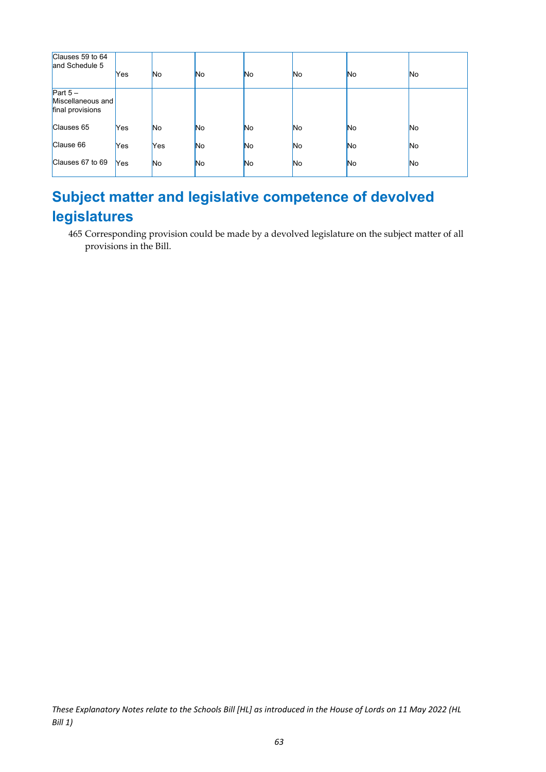| Clauses 59 to 64<br>and Schedule 5                 | Yes        | No        | <b>No</b> | N <sub>o</sub> | No | No | No.            |
|----------------------------------------------------|------------|-----------|-----------|----------------|----|----|----------------|
| Part $5-$<br>Miscellaneous and<br>final provisions |            |           |           |                |    |    |                |
| Clauses 65                                         | Yes        | <b>No</b> | <b>No</b> | <b>No</b>      | No | No | N <sub>o</sub> |
| Clause 66                                          | Yes        | Yes       | No.       | <b>No</b>      | No | No | No             |
| Clauses 67 to 69                                   | <b>Yes</b> | <b>No</b> | No.       | N <sub>o</sub> | No | No | N <sub>o</sub> |

### <span id="page-63-0"></span>**Subject matter and legislative competence of devolved legislatures**

465 Corresponding provision could be made by a devolved legislature on the subject matter of all provisions in the Bill.